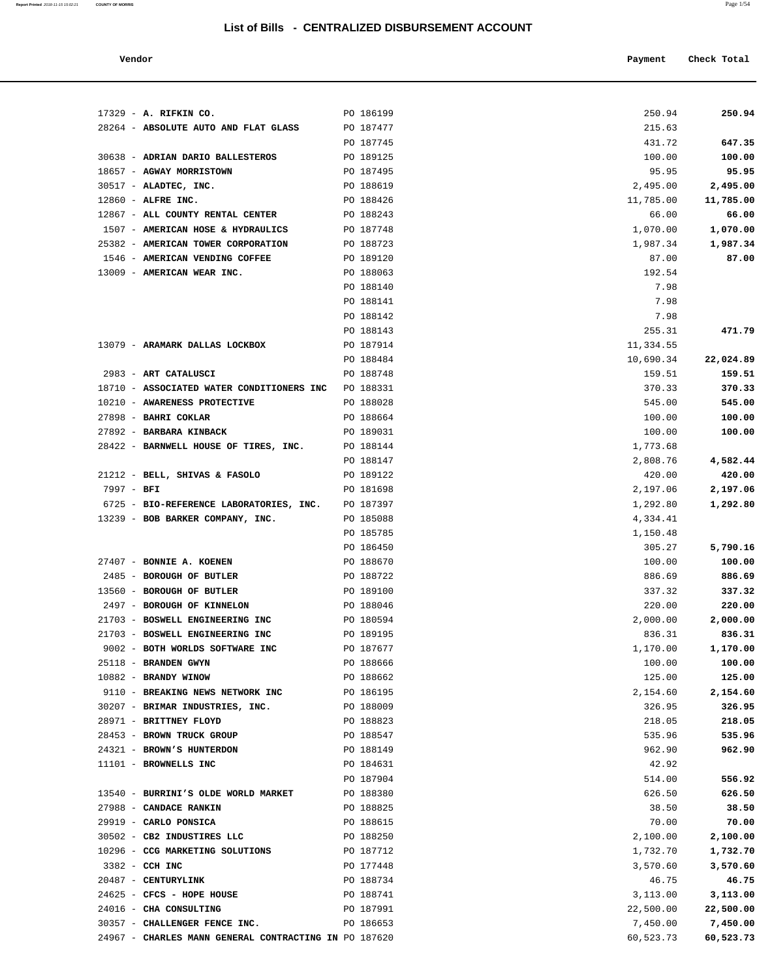| Vendor |  | Payment | Check Total |
|--------|--|---------|-------------|
|        |  |         |             |

| 17329 - A. RIFKIN CO.                                              | PO 186199              | 250.94             | 250.94             |
|--------------------------------------------------------------------|------------------------|--------------------|--------------------|
| 28264 - ABSOLUTE AUTO AND FLAT GLASS                               | PO 187477              | 215.63             |                    |
|                                                                    | PO 187745              | 431.72             | 647.35             |
| 30638 - ADRIAN DARIO BALLESTEROS                                   | PO 189125              | 100.00             | 100.00             |
| 18657 - AGWAY MORRISTOWN                                           | PO 187495              | 95.95              | 95.95              |
| 30517 - ALADTEC, INC.                                              | PO 188619              | 2,495.00           | 2,495.00           |
| 12860 - ALFRE INC.                                                 | PO 188426              | 11,785.00          | 11,785.00          |
| 12867 - ALL COUNTY RENTAL CENTER                                   | PO 188243              | 66.00              | 66.00              |
| 1507 - AMERICAN HOSE & HYDRAULICS                                  | PO 187748              | 1,070.00           | 1,070.00           |
| 25382 - AMERICAN TOWER CORPORATION                                 | PO 188723              | 1,987.34           | 1,987.34           |
| 1546 - AMERICAN VENDING COFFEE                                     | PO 189120              | 87.00              | 87.00              |
| 13009 - AMERICAN WEAR INC.                                         | PO 188063              | 192.54             |                    |
|                                                                    | PO 188140              | 7.98               |                    |
|                                                                    | PO 188141              | 7.98               |                    |
|                                                                    | PO 188142              | 7.98               |                    |
|                                                                    | PO 188143              | 255.31             | 471.79             |
| 13079 - ARAMARK DALLAS LOCKBOX                                     | PO 187914              | 11,334.55          |                    |
|                                                                    | PO 188484              | 10,690.34          | 22,024.89          |
| 2983 - ART CATALUSCI                                               | PO 188748              | 159.51             | 159.51             |
| 18710 - ASSOCIATED WATER CONDITIONERS INC                          | PO 188331              | 370.33             | 370.33             |
| 10210 - AWARENESS PROTECTIVE                                       | PO 188028              | 545.00             | 545.00             |
| 27898 - BAHRI COKLAR                                               | PO 188664              | 100.00             | 100.00             |
| 27892 - BARBARA KINBACK                                            | PO 189031              | 100.00             | 100.00             |
| 28422 - BARNWELL HOUSE OF TIRES, INC.                              | PO 188144              | 1,773.68           |                    |
|                                                                    | PO 188147              | 2,808.76           | 4,582.44           |
| 21212 - BELL, SHIVAS & FASOLO                                      | PO 189122              | 420.00             | 420.00             |
| $7997 - BFI$                                                       | PO 181698              | 2,197.06           | 2,197.06           |
| 6725 - BIO-REFERENCE LABORATORIES, INC.                            | PO 187397              | 1,292.80           | 1,292.80           |
| 13239 - BOB BARKER COMPANY, INC.                                   | PO 185088              | 4,334.41           |                    |
|                                                                    | PO 185785              | 1,150.48           |                    |
|                                                                    | PO 186450              | 305.27             | 5,790.16           |
| 27407 - BONNIE A. KOENEN                                           | PO 188670              | 100.00             | 100.00             |
| 2485 - BOROUGH OF BUTLER                                           | PO 188722              | 886.69             | 886.69             |
| 13560 - BOROUGH OF BUTLER                                          | PO 189100              | 337.32             | 337.32             |
| 2497 - BOROUGH OF KINNELON                                         | PO 188046              | 220.00             | 220.00             |
| 21703 - BOSWELL ENGINEERING INC<br>21703 - BOSWELL ENGINEERING INC | PO 180594              | 2,000.00           | 2,000.00<br>836.31 |
| 9002 - BOTH WORLDS SOFTWARE INC                                    | PO 189195<br>PO 187677 | 836.31<br>1,170.00 |                    |
| 25118 - BRANDEN GWYN                                               | PO 188666              | 100.00             | 1,170.00<br>100.00 |
| 10882 - BRANDY WINOW                                               | PO 188662              | 125.00             | 125.00             |
| 9110 - BREAKING NEWS NETWORK INC                                   | PO 186195              | 2,154.60           | 2,154.60           |
| 30207 - BRIMAR INDUSTRIES, INC.                                    | PO 188009              | 326.95             | 326.95             |
| 28971 - BRITTNEY FLOYD                                             | PO 188823              | 218.05             | 218.05             |
| 28453 - BROWN TRUCK GROUP                                          | PO 188547              | 535.96             | 535.96             |
| 24321 - BROWN'S HUNTERDON                                          | PO 188149              | 962.90             | 962.90             |
| 11101 - BROWNELLS INC                                              | PO 184631              | 42.92              |                    |
|                                                                    | PO 187904              | 514.00             | 556.92             |
| 13540 - BURRINI'S OLDE WORLD MARKET                                | PO 188380              | 626.50             | 626.50             |
| 27988 - CANDACE RANKIN                                             | PO 188825              | 38.50              | 38.50              |
| 29919 - CARLO PONSICA                                              | PO 188615              | 70.00              | 70.00              |
| 30502 - CB2 INDUSTIRES LLC                                         | PO 188250              | 2,100.00           | 2,100.00           |
| 10296 - CCG MARKETING SOLUTIONS                                    | PO 187712              | 1,732.70           | 1,732.70           |
| 3382 - CCH INC                                                     | PO 177448              | 3,570.60           | 3,570.60           |
| 20487 - CENTURYLINK                                                | PO 188734              | 46.75              | 46.75              |
| 24625 - CFCS - HOPE HOUSE                                          | PO 188741              | 3,113.00           | 3,113.00           |
| 24016 - CHA CONSULTING                                             | PO 187991              | 22,500.00          | 22,500.00          |
| 30357 - CHALLENGER FENCE INC.                                      | PO 186653              | 7,450.00           | 7,450.00           |

24967 - **CHARLES MANN GENERAL CONTRACTING IN** PO 187620 60,523.73 60,523.73 60,523.73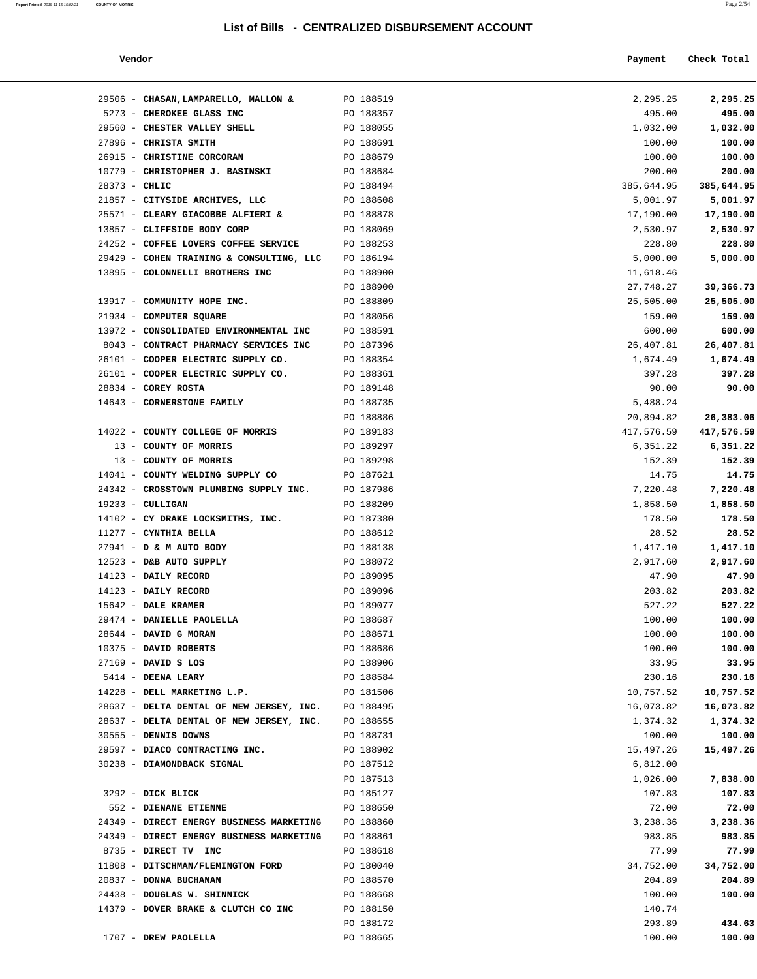24438 - **DOUGLAS W. SHINNICK** PO 188668 100.00 **100.00**

PO 188172 293.89 **434.63**

14379 - **DOVER BRAKE & CLUTCH CO INC** PO 188150 140.74

**Report Printed** 2018-11-15 15:02:21 **COUNTY OF MORRIS** Page 2/54

| Vendor                                             |                        | Payment          | Check Total      |
|----------------------------------------------------|------------------------|------------------|------------------|
| 29506 - CHASAN, LAMPARELLO, MALLON &               | PO 188519              | 2,295.25         | 2,295.25         |
| 5273 - CHEROKEE GLASS INC                          | PO 188357              | 495.00           | 495.00           |
| 29560 - CHESTER VALLEY SHELL                       | PO 188055              | 1,032.00         | 1,032.00         |
| 27896 - CHRISTA SMITH                              | PO 188691              | 100.00           | 100.00           |
| 26915 - CHRISTINE CORCORAN                         | PO 188679              | 100.00           | 100.00           |
| 10779 - CHRISTOPHER J. BASINSKI                    | PO 188684              | 200.00           | 200.00           |
| $28373 - CHLIC$                                    | PO 188494              | 385,644.95       | 385,644.95       |
| 21857 - CITYSIDE ARCHIVES, LLC                     | PO 188608              | 5,001.97         | 5,001.97         |
| 25571 - CLEARY GIACOBBE ALFIERI &                  | PO 188878              | 17,190.00        | 17,190.00        |
| 13857 - CLIFFSIDE BODY CORP                        | PO 188069              | 2,530.97         | 2,530.97         |
| 24252 - COFFEE LOVERS COFFEE SERVICE               | PO 188253              | 228.80           | 228.80           |
| 29429 - COHEN TRAINING & CONSULTING, LLC           | PO 186194              | 5,000.00         | 5,000.00         |
| 13895 - COLONNELLI BROTHERS INC                    | PO 188900              | 11,618.46        |                  |
|                                                    | PO 188900              | 27,748.27        | 39,366.73        |
| 13917 - COMMUNITY HOPE INC.                        | PO 188809              | 25,505.00        | 25,505.00        |
| 21934 - COMPUTER SQUARE                            | PO 188056              | 159.00           | 159.00           |
| 13972 - CONSOLIDATED ENVIRONMENTAL INC             | PO 188591              | 600.00           | 600.00           |
| 8043 - CONTRACT PHARMACY SERVICES INC              | PO 187396              | 26,407.81        | 26,407.81        |
| 26101 - COOPER ELECTRIC SUPPLY CO.                 | PO 188354              | 1,674.49         | 1,674.49         |
| 26101 - COOPER ELECTRIC SUPPLY CO.                 | PO 188361              | 397.28           | 397.28           |
| 28834 - COREY ROSTA                                | PO 189148              | 90.00            | 90.00            |
| 14643 - CORNERSTONE FAMILY                         | PO 188735              | 5,488.24         |                  |
|                                                    | PO 188886              | 20,894.82        | 26,383.06        |
| 14022 - COUNTY COLLEGE OF MORRIS                   | PO 189183              | 417,576.59       | 417,576.59       |
| 13 - COUNTY OF MORRIS                              | PO 189297              | 6,351.22         | 6,351.22         |
| 13 - COUNTY OF MORRIS                              | PO 189298              | 152.39           | 152.39           |
| 14041 - COUNTY WELDING SUPPLY CO                   | PO 187621              | 14.75            | 14.75            |
| 24342 - CROSSTOWN PLUMBING SUPPLY INC.             | PO 187986              | 7,220.48         | 7,220.48         |
| $19233 - \text{CULLIGAN}$                          | PO 188209              | 1,858.50         | 1,858.50         |
| 14102 - CY DRAKE LOCKSMITHS, INC.                  | PO 187380              | 178.50           | 178.50           |
| 11277 - CYNTHIA BELLA                              | PO 188612              | 28.52            | 28.52            |
| 27941 - D & M AUTO BODY                            | PO 188138              | 1,417.10         | 1,417.10         |
| 12523 - D&B AUTO SUPPLY                            | PO 188072              | 2,917.60         | 2,917.60         |
| 14123 - DAILY RECORD<br>14123 - DAILY RECORD       | PO 189095<br>PO 189096 | 47.90            | 47.90            |
|                                                    | PO 189077              | 203.82           | 203.82           |
| 15642 - DALE KRAMER                                |                        | 527.22           | 527.22           |
| 29474 - DANIELLE PAOLELLA<br>28644 - DAVID G MORAN | PO 188687<br>PO 188671 | 100.00<br>100.00 | 100.00<br>100.00 |
| 10375 - DAVID ROBERTS                              | PO 188686              | 100.00           | 100.00           |
| $27169$ - DAVID S LOS                              | PO 188906              | 33.95            | 33.95            |
| 5414 - DEENA LEARY                                 | PO 188584              | 230.16           | 230.16           |
| 14228 - DELL MARKETING L.P.                        | PO 181506              | 10,757.52        | 10,757.52        |
| 28637 - DELTA DENTAL OF NEW JERSEY, INC.           | PO 188495              | 16,073.82        | 16,073.82        |
| 28637 - DELTA DENTAL OF NEW JERSEY, INC.           | PO 188655              | 1,374.32         | 1,374.32         |
| 30555 - DENNIS DOWNS                               | PO 188731              | 100.00           | 100.00           |
| 29597 - DIACO CONTRACTING INC.                     | PO 188902              | 15,497.26        | 15,497.26        |
| 30238 - DIAMONDBACK SIGNAL                         | PO 187512              | 6,812.00         |                  |
|                                                    | PO 187513              | 1,026.00         | 7,838.00         |
| 3292 - DICK BLICK                                  | PO 185127              | 107.83           | 107.83           |
| 552 - DIENANE ETIENNE                              | PO 188650              | 72.00            | 72.00            |
| 24349 - DIRECT ENERGY BUSINESS MARKETING           | PO 188860              | 3,238.36         | 3,238.36         |
| 24349 - DIRECT ENERGY BUSINESS MARKETING           | PO 188861              | 983.85           | 983.85           |
| 8735 - DIRECT TV INC                               | PO 188618              | 77.99            | 77.99            |
| 11808 - DITSCHMAN/FLEMINGTON FORD                  | PO 180040              | 34,752.00        | 34,752.00        |
| 20837 - DONNA BUCHANAN                             | PO 188570              | 204.89           | 204.89           |
|                                                    |                        |                  |                  |

# 1707 - **DREW PAOLELLA** PO 188665 100.00 **100.00**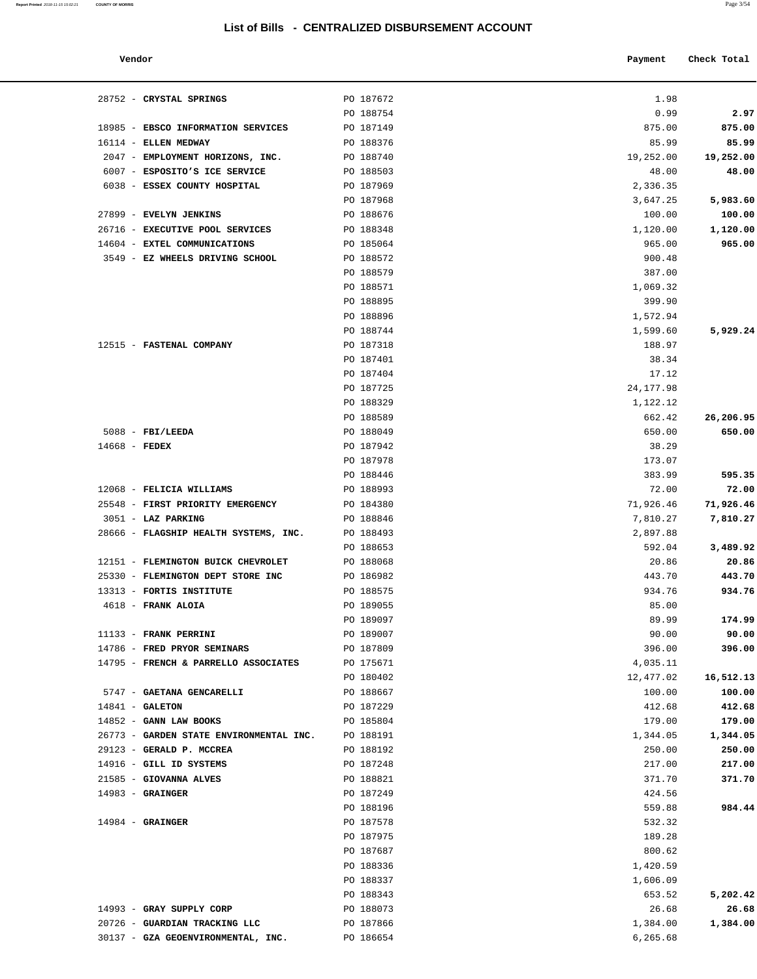#### **Report Printed** 2018-11-15 15:02:21 **COUNTY OF MORRIS** Page 3/54

## **List of Bills - CENTRALIZED DISBURSEMENT ACCOUNT**

| Vendor<br>. | Payment<br>$\sim$ $\sim$ | Check Total |
|-------------|--------------------------|-------------|

| 28752 - CRYSTAL SPRINGS                 | PO 187672 | 1.98       |           |
|-----------------------------------------|-----------|------------|-----------|
|                                         | PO 188754 | 0.99       | 2.97      |
| 18985 - EBSCO INFORMATION SERVICES      | PO 187149 | 875.00     | 875.00    |
| 16114 - ELLEN MEDWAY                    | PO 188376 | 85.99      | 85.99     |
| 2047 - EMPLOYMENT HORIZONS, INC.        | PO 188740 | 19,252.00  | 19,252.00 |
| 6007 - ESPOSITO'S ICE SERVICE           | PO 188503 | 48.00      | 48.00     |
| 6038 - ESSEX COUNTY HOSPITAL            | PO 187969 | 2,336.35   |           |
|                                         | PO 187968 | 3,647.25   | 5,983.60  |
| 27899 - EVELYN JENKINS                  | PO 188676 | 100.00     | 100.00    |
| 26716 - EXECUTIVE POOL SERVICES         | PO 188348 | 1,120.00   | 1,120.00  |
| 14604 - EXTEL COMMUNICATIONS            | PO 185064 | 965.00     | 965.00    |
| 3549 - EZ WHEELS DRIVING SCHOOL         | PO 188572 | 900.48     |           |
|                                         | PO 188579 | 387.00     |           |
|                                         | PO 188571 | 1,069.32   |           |
|                                         | PO 188895 | 399.90     |           |
|                                         | PO 188896 | 1,572.94   |           |
|                                         | PO 188744 | 1,599.60   | 5,929.24  |
| 12515 - FASTENAL COMPANY                | PO 187318 | 188.97     |           |
|                                         | PO 187401 | 38.34      |           |
|                                         | PO 187404 | 17.12      |           |
|                                         | PO 187725 | 24, 177.98 |           |
|                                         | PO 188329 | 1,122.12   |           |
|                                         | PO 188589 | 662.42     | 26,206.95 |
| $5088$ - FBI/LEEDA                      | PO 188049 | 650.00     | 650.00    |
| $14668$ - FEDEX                         | PO 187942 | 38.29      |           |
|                                         | PO 187978 | 173.07     |           |
|                                         | PO 188446 | 383.99     | 595.35    |
| 12068 - FELICIA WILLIAMS                | PO 188993 | 72.00      | 72.00     |
| 25548 - FIRST PRIORITY EMERGENCY        | PO 184380 | 71,926.46  | 71,926.46 |
| 3051 - LAZ PARKING                      | PO 188846 | 7,810.27   | 7,810.27  |
| 28666 - FLAGSHIP HEALTH SYSTEMS, INC.   | PO 188493 | 2,897.88   |           |
|                                         | PO 188653 | 592.04     | 3,489.92  |
| 12151 - FLEMINGTON BUICK CHEVROLET      | PO 188068 | 20.86      | 20.86     |
| 25330 - FLEMINGTON DEPT STORE INC       | PO 186982 | 443.70     | 443.70    |
| 13313 - FORTIS INSTITUTE                | PO 188575 | 934.76     | 934.76    |
| 4618 - FRANK ALOIA                      | PO 189055 | 85.00      |           |
|                                         | PO 189097 | 89.99      | 174.99    |
| 11133 - FRANK PERRINI                   | PO 189007 | 90.00      | 90.00     |
| 14786 - FRED PRYOR SEMINARS             | PO 187809 | 396.00     | 396.00    |
| 14795 - FRENCH & PARRELLO ASSOCIATES    | PO 175671 | 4,035.11   |           |
|                                         | PO 180402 | 12,477.02  | 16,512.13 |
| 5747 - GAETANA GENCARELLI               | PO 188667 | 100.00     | 100.00    |
| $14841 - GALETON$                       | PO 187229 | 412.68     | 412.68    |
| 14852 - GANN LAW BOOKS                  | PO 185804 | 179.00     | 179.00    |
| 26773 - GARDEN STATE ENVIRONMENTAL INC. | PO 188191 | 1,344.05   | 1,344.05  |
| 29123 - GERALD P. MCCREA                | PO 188192 | 250.00     | 250.00    |
| 14916 - GILL ID SYSTEMS                 | PO 187248 | 217.00     | 217.00    |
| 21585 - GIOVANNA ALVES                  | PO 188821 | 371.70     | 371.70    |
| $14983$ - GRAINGER                      | PO 187249 | 424.56     |           |
|                                         | PO 188196 | 559.88     | 984.44    |
| $14984$ - GRAINGER                      | PO 187578 | 532.32     |           |
|                                         | PO 187975 | 189.28     |           |
|                                         | PO 187687 | 800.62     |           |
|                                         | PO 188336 | 1,420.59   |           |
|                                         | PO 188337 | 1,606.09   |           |
|                                         | PO 188343 | 653.52     | 5,202.42  |
| 14993 - GRAY SUPPLY CORP                | PO 188073 | 26.68      | 26.68     |
| 20726 - GUARDIAN TRACKING LLC           | PO 187866 | 1,384.00   | 1,384.00  |
| 30137 - GZA GEOENVIRONMENTAL, INC.      | PO 186654 | 6,265.68   |           |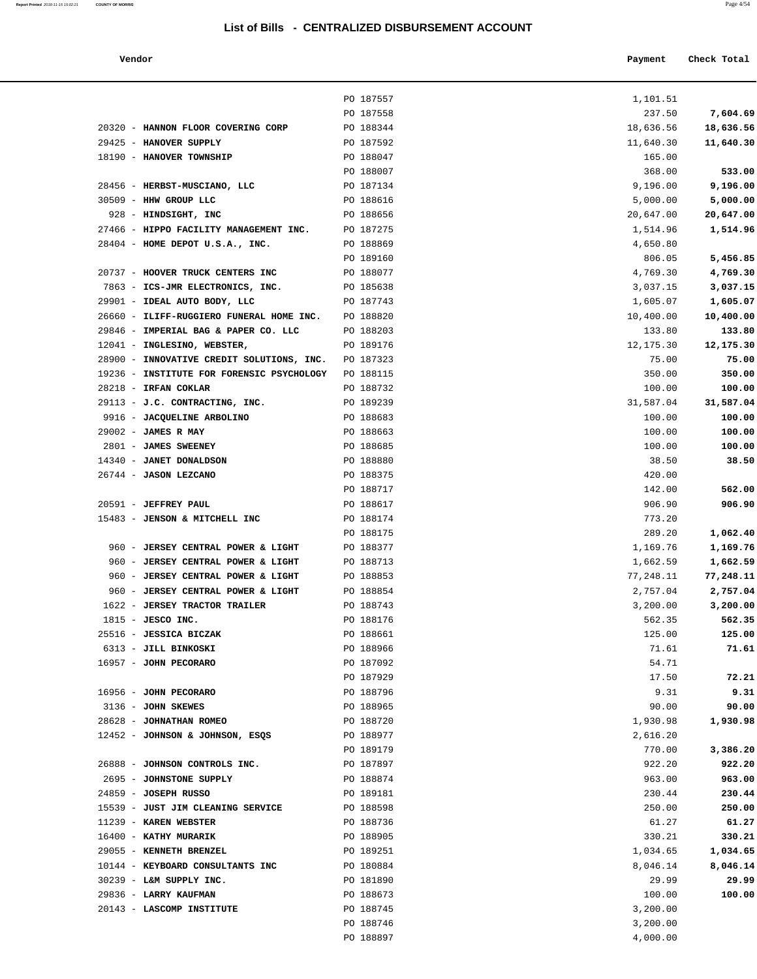#### **Vendor Payment Check Total**

| Report Printed 2018-11-15 15:02:21 | <b>COUNTY OF MORRIS</b> | Page 4/54 |
|------------------------------------|-------------------------|-----------|
|                                    |                         |           |

|           | 1,101.51   |
|-----------|------------|
| 7,604.69  | 237.50     |
| 18,636.56 | 18,636.56  |
| 11,640.30 | 11,640.30  |
|           | 165.00     |
| 533.00    | 368.00     |
| 9,196.00  | 9,196.00   |
| 5,000.00  | 5,000.00   |
| 20,647.00 | 20,647.00  |
| 1,514.96  | 1,514.96   |
|           | 4,650.80   |
| 5,456.85  | 806.05     |
| 4,769.30  | 4,769.30   |
| 3,037.15  | 3,037.15   |
| 1,605.07  | 1,605.07   |
| 10,400.00 | 10,400.00  |
| 133.80    | 133.80     |
| 12,175.30 | 12, 175.30 |
| 75.00     | 75.00      |
| 350.00    | 350.00     |
| 100.00    | 100.00     |
| 31,587.04 | 31,587.04  |
| 100.00    | 100.00     |
| 100.00    | 100.00     |
| 100.00    | 100.00     |
| 38.50     | 38.50      |
|           | 420.00     |
| 562.00    | 142.00     |
| 906.90    | 906.90     |
|           | 773.20     |
| 1,062.40  | 289.20     |
| 1,169.76  | 1,169.76   |
| 1,662.59  | 1,662.59   |
| 77,248.11 | 77,248.11  |
| 2,757.04  | 2,757.04   |
| 3,200.00  | 3,200.00   |
| 562.35    | 562.35     |
| 125.00    | 125.00     |
| 71.61     | 71.61      |
|           | 54.71      |
| 72.21     | 17.50      |
| 9.31      | 9.31       |
| 90.00     | 90.00      |
| 1,930.98  | 1,930.98   |
|           | 2,616.20   |
| 3,386.20  | 770.00     |
| 922.20    | 922.20     |
| 963.00    | 963.00     |
| 230.44    | 230.44     |
| 250.00    | 250.00     |
| 61.27     | 61.27      |
| 330.21    | 330.21     |
| 1,034.65  | 1,034.65   |
| 8,046.14  | 8,046.14   |
| 29.99     | 29.99      |
| 100.00    | 100.00     |
|           | 3,200.00   |
|           | 3,200.00   |
|           | 4,000.00   |
|           |            |
|           |            |

|                                           | PO 187557 | 1,101.51  |           |
|-------------------------------------------|-----------|-----------|-----------|
|                                           | PO 187558 | 237.50    | 7,604.69  |
| 20320 - HANNON FLOOR COVERING CORP        | PO 188344 | 18,636.56 | 18,636.56 |
| 29425 - HANOVER SUPPLY                    | PO 187592 | 11,640.30 | 11,640.30 |
| 18190 - HANOVER TOWNSHIP                  | PO 188047 | 165.00    |           |
|                                           | PO 188007 | 368.00    | 533.00    |
| 28456 - HERBST-MUSCIANO, LLC              | PO 187134 | 9,196.00  | 9,196.00  |
| 30509 - HHW GROUP LLC                     | PO 188616 | 5,000.00  | 5,000.00  |
| 928 - HINDSIGHT, INC                      | PO 188656 | 20,647.00 | 20,647.00 |
| 27466 - HIPPO FACILITY MANAGEMENT INC.    | PO 187275 | 1,514.96  | 1,514.96  |
| 28404 - HOME DEPOT U.S.A., INC.           | PO 188869 | 4,650.80  |           |
|                                           | PO 189160 | 806.05    | 5,456.85  |
| 20737 - HOOVER TRUCK CENTERS INC          | PO 188077 | 4,769.30  | 4,769.30  |
| 7863 - ICS-JMR ELECTRONICS, INC.          | PO 185638 | 3,037.15  | 3,037.15  |
| 29901 - IDEAL AUTO BODY, LLC              | PO 187743 | 1,605.07  | 1,605.07  |
| 26660 - ILIFF-RUGGIERO FUNERAL HOME INC.  | PO 188820 | 10,400.00 | 10,400.00 |
| 29846 - IMPERIAL BAG & PAPER CO. LLC      | PO 188203 | 133.80    | 133.80    |
| 12041 - INGLESINO, WEBSTER,               | PO 189176 | 12,175.30 | 12,175.30 |
| 28900 - INNOVATIVE CREDIT SOLUTIONS, INC. | PO 187323 | 75.00     | 75.00     |
| 19236 - INSTITUTE FOR FORENSIC PSYCHOLOGY | PO 188115 | 350.00    | 350.00    |
| 28218 - IRFAN COKLAR                      | PO 188732 | 100.00    | 100.00    |
| 29113 - J.C. CONTRACTING, INC.            | PO 189239 | 31,587.04 | 31,587.04 |
| 9916 - JACQUELINE ARBOLINO                | PO 188683 | 100.00    | 100.00    |
| 29002 - JAMES R MAY                       | PO 188663 | 100.00    | 100.00    |
| 2801 - JAMES SWEENEY                      | PO 188685 | 100.00    | 100.00    |
| 14340 - JANET DONALDSON                   | PO 188880 | 38.50     | 38.50     |
| 26744 - JASON LEZCANO                     | PO 188375 | 420.00    |           |
|                                           | PO 188717 | 142.00    | 562.00    |
| 20591 - JEFFREY PAUL                      | PO 188617 | 906.90    | 906.90    |
| 15483 - JENSON & MITCHELL INC             | PO 188174 | 773.20    |           |
|                                           | PO 188175 | 289.20    | 1,062.40  |
| 960 - JERSEY CENTRAL POWER & LIGHT        | PO 188377 | 1,169.76  | 1,169.76  |
| 960 - JERSEY CENTRAL POWER & LIGHT        | PO 188713 | 1,662.59  | 1,662.59  |
| 960 - JERSEY CENTRAL POWER & LIGHT        | PO 188853 | 77,248.11 | 77,248.11 |
| 960 - JERSEY CENTRAL POWER & LIGHT        | PO 188854 | 2,757.04  | 2,757.04  |
| 1622 - JERSEY TRACTOR TRAILER             | PO 188743 | 3,200.00  | 3,200.00  |
| $1815$ - JESCO INC.                       | PO 188176 | 562.35    | 562.35    |
| 25516 - JESSICA BICZAK                    | PO 188661 | 125.00    | 125.00    |
| 6313 - JILL BINKOSKI                      | PO 188966 | 71.61     | 71.61     |
| 16957 - JOHN PECORARO                     | PO 187092 | 54.71     |           |
|                                           | PO 187929 | 17.50     | 72.21     |
| 16956 - JOHN PECORARO                     | PO 188796 | 9.31      | 9.31      |
| 3136 - JOHN SKEWES                        | PO 188965 | 90.00     | 90.00     |
| 28628 - JOHNATHAN ROMEO                   | PO 188720 | 1,930.98  | 1,930.98  |
| 12452 - JOHNSON & JOHNSON, ESOS           | PO 188977 | 2,616.20  |           |
|                                           | PO 189179 | 770.00    | 3,386.20  |
| 26888 - JOHNSON CONTROLS INC.             | PO 187897 | 922.20    | 922.20    |
| 2695 - JOHNSTONE SUPPLY                   | PO 188874 | 963.00    | 963.00    |
| 24859 - JOSEPH RUSSO                      | PO 189181 | 230.44    | 230.44    |
| 15539 - JUST JIM CLEANING SERVICE         | PO 188598 | 250.00    | 250.00    |
| 11239 - KAREN WEBSTER                     | PO 188736 | 61.27     | 61.27     |
| 16400 - KATHY MURARIK                     | PO 188905 | 330.21    | 330.21    |
| 29055 - KENNETH BRENZEL                   | PO 189251 | 1,034.65  | 1,034.65  |
| 10144 - KEYBOARD CONSULTANTS INC          | PO 180884 | 8,046.14  | 8,046.14  |
| 30239 - L&M SUPPLY INC.                   | PO 181890 | 29.99     | 29.99     |
| 29836 - LARRY KAUFMAN                     | PO 188673 | 100.00    | 100.00    |
| 20143 - LASCOMP INSTITUTE                 | PO 188745 | 3,200.00  |           |
|                                           | PO 188746 | 3,200.00  |           |
|                                           | PO 188897 | 4,000.00  |           |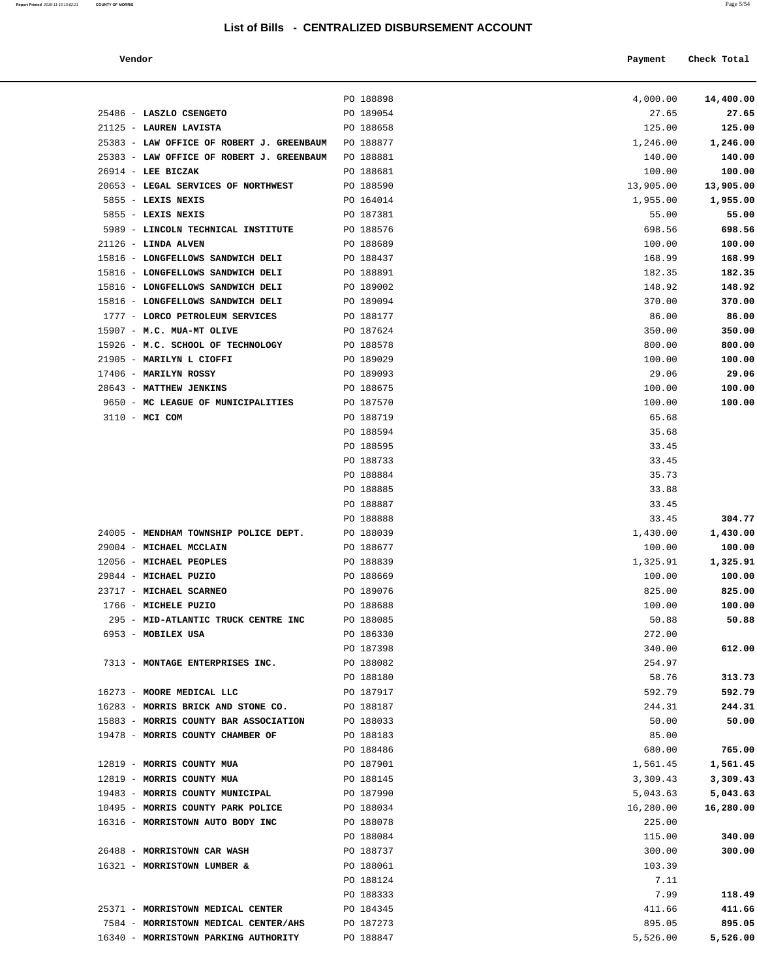| Report Printed 2018-11-15 15:02:21 | <b>COUNTY OF MORRIS</b> |  |  | Page 5/54 |
|------------------------------------|-------------------------|--|--|-----------|
|                                    |                         |  |  |           |

| Vendor                                                          |                        | Payment             | Check Total         |
|-----------------------------------------------------------------|------------------------|---------------------|---------------------|
|                                                                 |                        |                     |                     |
|                                                                 | PO 188898              | 4,000.00            | 14,400.00           |
| 25486 - LASZLO CSENGETO                                         | PO 189054              | 27.65               | 27.65               |
| 21125 - LAUREN LAVISTA                                          | PO 188658              | 125.00              | 125.00              |
| 25383 - LAW OFFICE OF ROBERT J. GREENBAUM                       | PO 188877              | 1,246.00            | 1,246.00            |
| 25383 - LAW OFFICE OF ROBERT J. GREENBAUM                       | PO 188881              | 140.00              | 140.00              |
| $26914$ - LEE BICZAK<br>20653 - LEGAL SERVICES OF NORTHWEST     | PO 188681<br>PO 188590 | 100.00<br>13,905.00 | 100.00<br>13,905.00 |
| 5855 - LEXIS NEXIS                                              | PO 164014              | 1,955.00            | 1,955.00            |
| 5855 - LEXIS NEXIS                                              | PO 187381              | 55.00               | 55.00               |
| 5989 - LINCOLN TECHNICAL INSTITUTE                              | PO 188576              | 698.56              | 698.56              |
| $21126$ - LINDA ALVEN                                           | PO 188689              | 100.00              | 100.00              |
| 15816 - LONGFELLOWS SANDWICH DELI                               | PO 188437              | 168.99              | 168.99              |
| 15816 - LONGFELLOWS SANDWICH DELI                               | PO 188891              | 182.35              | 182.35              |
| 15816 - LONGFELLOWS SANDWICH DELI                               | PO 189002              | 148.92              | 148.92              |
| 15816 - LONGFELLOWS SANDWICH DELI                               | PO 189094              | 370.00              | 370.00              |
| 1777 - LORCO PETROLEUM SERVICES                                 | PO 188177              | 86.00               | 86.00               |
| 15907 - M.C. MUA-MT OLIVE                                       | PO 187624              | 350.00              | 350.00              |
| 15926 - M.C. SCHOOL OF TECHNOLOGY                               | PO 188578              | 800.00              | 800.00              |
| 21905 - MARILYN L CIOFFI                                        | PO 189029              | 100.00              | 100.00              |
| $17406$ - MARILYN ROSSY                                         | PO 189093              | 29.06               | 29.06               |
| 28643 - MATTHEW JENKINS                                         | PO 188675              | 100.00              | 100.00              |
| 9650 - MC LEAGUE OF MUNICIPALITIES                              | PO 187570              | 100.00              | 100.00              |
| 3110 - MCI COM                                                  | PO 188719              | 65.68               |                     |
|                                                                 | PO 188594<br>PO 188595 | 35.68<br>33.45      |                     |
|                                                                 | PO 188733              | 33.45               |                     |
|                                                                 | PO 188884              | 35.73               |                     |
|                                                                 | PO 188885              | 33.88               |                     |
|                                                                 | PO 188887              | 33.45               |                     |
|                                                                 | PO 188888              | 33.45               | 304.77              |
| 24005 - MENDHAM TOWNSHIP POLICE DEPT.                           | PO 188039              | 1,430.00            | 1,430.00            |
| 29004 - MICHAEL MCCLAIN                                         | PO 188677              | 100.00              | 100.00              |
| 12056 - MICHAEL PEOPLES                                         | PO 188839              | 1,325.91            | 1,325.91            |
| 29844 - MICHAEL PUZIO                                           | PO 188669              | 100.00              | 100.00              |
| 23717 - MICHAEL SCARNEO                                         | PO 189076              | 825.00              | 825.00              |
| 1766 - MICHELE PUZIO                                            | PO 188688              | 100.00              | 100.00              |
| 295 - MID-ATLANTIC TRUCK CENTRE INC                             | PO 188085              | 50.88               | 50.88               |
| 6953 - MOBILEX USA                                              | PO 186330              | 272.00              |                     |
|                                                                 | PO 187398              | 340.00              | 612.00              |
| 7313 - MONTAGE ENTERPRISES INC.                                 | PO 188082              | 254.97              |                     |
|                                                                 | PO 188180              | 58.76               | 313.73              |
| 16273 - MOORE MEDICAL LLC<br>16283 - MORRIS BRICK AND STONE CO. | PO 187917<br>PO 188187 | 592.79<br>244.31    | 592.79<br>244.31    |
| 15883 - MORRIS COUNTY BAR ASSOCIATION                           | PO 188033              | 50.00               | 50.00               |
| 19478 - MORRIS COUNTY CHAMBER OF                                | PO 188183              | 85.00               |                     |
|                                                                 | PO 188486              | 680.00              | 765.00              |
| 12819 - MORRIS COUNTY MUA                                       | PO 187901              | 1,561.45            | 1,561.45            |
| 12819 - MORRIS COUNTY MUA                                       | PO 188145              | 3,309.43            | 3,309.43            |
| 19483 - MORRIS COUNTY MUNICIPAL                                 | PO 187990              | 5,043.63            | 5,043.63            |
| 10495 - MORRIS COUNTY PARK POLICE                               | PO 188034              | 16,280.00           | 16,280.00           |
| 16316 - MORRISTOWN AUTO BODY INC                                | PO 188078              | 225.00              |                     |
|                                                                 | PO 188084              | 115.00              | 340.00              |
| 26488 - MORRISTOWN CAR WASH                                     | PO 188737              | 300.00              | 300.00              |
| 16321 - MORRISTOWN LUMBER &                                     | PO 188061              | 103.39              |                     |
|                                                                 | PO 188124              | 7.11                |                     |
|                                                                 | PO 188333              | 7.99                | 118.49              |
| 25371 - MORRISTOWN MEDICAL CENTER                               | PO 184345              | 411.66              | 411.66              |
| 7584 - MORRISTOWN MEDICAL CENTER/AHS                            | PO 187273              | 895.05              | 895.05              |
| 16340 - MORRISTOWN PARKING AUTHORITY                            | PO 188847              | 5,526.00            | 5,526.00            |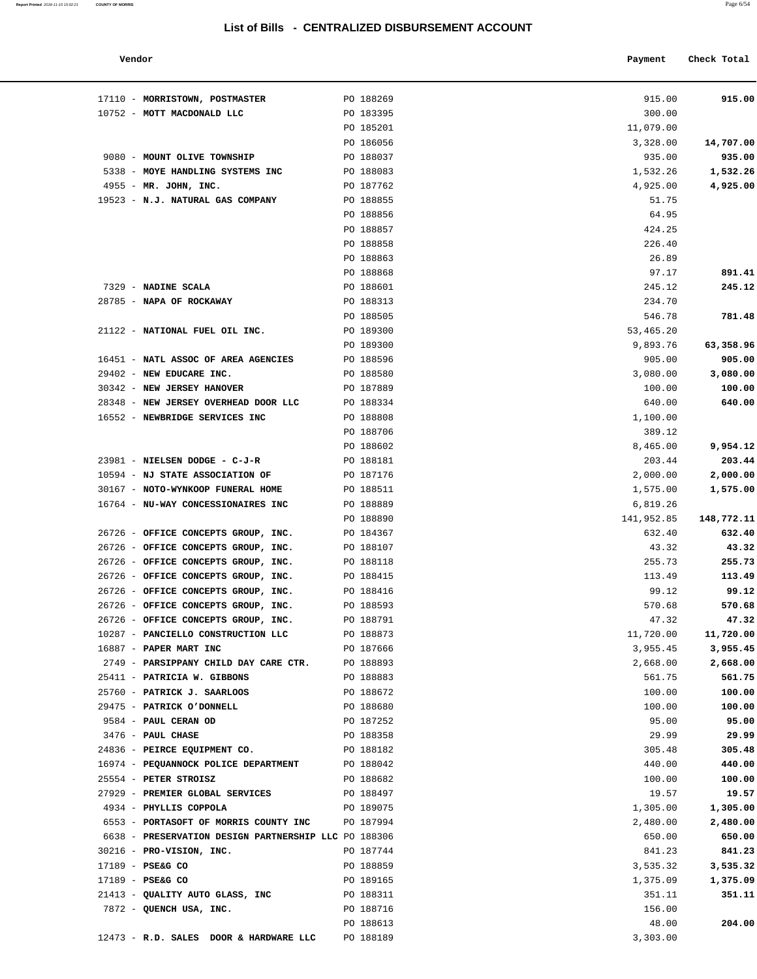#### **Vendor Payment** Check Total

**Report Printed** 2018-11-15 15:02:21 **COUNTY OF MORRIS** Page 6/54

| 915.00           | 915.00              |
|------------------|---------------------|
|                  | 300.00              |
|                  | 11,079.00           |
| 14,707.00        | 3,328.00            |
| 935.00           | 935.00              |
| 1,532.26         | 1,532.26            |
| 4,925.00         | 4,925.00            |
|                  | 51.75               |
|                  | 64.95               |
|                  | 424.25              |
|                  | 226.40              |
|                  | 26.89               |
| 891.41           | 97.17               |
| 245.12           | 245.12<br>234.70    |
|                  |                     |
| 781.48           | 546.78<br>53,465.20 |
| 63,358.96        | 9,893.76            |
| 905.00           | 905.00              |
| 3,080.00         | 3,080.00            |
| 100.00           | 100.00              |
| 640.00           | 640.00              |
|                  | 1,100.00            |
|                  | 389.12              |
| 9,954.12         | 8,465.00            |
| 203.44           | 203.44              |
| 2,000.00         | 2,000.00            |
| 1,575.00         | 1,575.00            |
|                  | 6,819.26            |
| 148,772.11       | 141,952.85          |
| 632.40           | 632.40              |
| 43.32            | 43.32               |
| 255.73           | 255.73              |
| 113.49           | 113.49              |
| 99.12            | 99.12               |
| 570.68           | 570.68              |
| 47.32            | 47.32               |
| 11,720.00        | 11,720.00           |
| 3,955.45         | 3,955.45            |
| 2,668.00         | 2,668.00<br>561.75  |
| 561.75<br>100.00 | 100.00              |
| 100.00           | 100.00              |
| 95.00            | 95.00               |
| 29.99            | 29.99               |
| 305.48           | 305.48              |
| 440.00           | 440.00              |
| 100.00           | 100.00              |
| 19.57            | 19.57               |
| 1,305.00         | 1,305.00            |
| 2,480.00         | 2,480.00            |
| 650.00           | 650.00              |
| 841.23           | 841.23              |
| 3,535.32         | 3,535.32            |
| 1,375.09         | 1,375.09            |
| 351.11           | 351.11              |
|                  | 156.00              |
| 204.00           | 48.00               |
|                  | 3,303.00            |

| 17110 - MORRISTOWN, POSTMASTER                                     | PO 188269              | 915.00             | 915.00     |
|--------------------------------------------------------------------|------------------------|--------------------|------------|
| 10752 - MOTT MACDONALD LLC                                         | PO 183395              | 300.00             |            |
|                                                                    | PO 185201              | 11,079.00          |            |
|                                                                    | PO 186056              | 3,328.00           | 14,707.00  |
| 9080 - MOUNT OLIVE TOWNSHIP                                        | PO 188037              | 935.00             | 935.00     |
| 5338 - MOYE HANDLING SYSTEMS INC                                   | PO 188083              | 1,532.26           | 1,532.26   |
| 4955 - MR. JOHN, INC.                                              | PO 187762              | 4,925.00           | 4,925.00   |
| 19523 - N.J. NATURAL GAS COMPANY                                   | PO 188855              | 51.75              |            |
|                                                                    | PO 188856              | 64.95              |            |
|                                                                    | PO 188857              | 424.25             |            |
|                                                                    | PO 188858              | 226.40             |            |
|                                                                    | PO 188863              | 26.89              |            |
|                                                                    | PO 188868              | 97.17              | 891.41     |
| 7329 - NADINE SCALA                                                | PO 188601              | 245.12             | 245.12     |
| 28785 - NAPA OF ROCKAWAY                                           | PO 188313              | 234.70             |            |
|                                                                    | PO 188505              | 546.78             | 781.48     |
| 21122 - NATIONAL FUEL OIL INC.                                     | PO 189300              | 53,465.20          |            |
|                                                                    | PO 189300              | 9,893.76           | 63,358.96  |
| 16451 - NATL ASSOC OF AREA AGENCIES                                | PO 188596              | 905.00             | 905.00     |
| 29402 - NEW EDUCARE INC.                                           | PO 188580              | 3,080.00           | 3,080.00   |
| 30342 - NEW JERSEY HANOVER<br>28348 - NEW JERSEY OVERHEAD DOOR LLC | PO 187889              | 100.00             | 100.00     |
| 16552 - NEWBRIDGE SERVICES INC                                     | PO 188334<br>PO 188808 | 640.00<br>1,100.00 | 640.00     |
|                                                                    | PO 188706              | 389.12             |            |
|                                                                    | PO 188602              | 8,465.00           | 9,954.12   |
| 23981 - NIELSEN DODGE - C-J-R                                      | PO 188181              | 203.44             | 203.44     |
| 10594 - NJ STATE ASSOCIATION OF                                    | PO 187176              | 2,000.00           | 2,000.00   |
| 30167 - NOTO-WYNKOOP FUNERAL HOME                                  | PO 188511              | 1,575.00           | 1,575.00   |
| 16764 - NU-WAY CONCESSIONAIRES INC                                 | PO 188889              | 6,819.26           |            |
|                                                                    | PO 188890              | 141,952.85         | 148,772.11 |
| 26726 - OFFICE CONCEPTS GROUP, INC.                                | PO 184367              | 632.40             | 632.40     |
| 26726 - OFFICE CONCEPTS GROUP, INC.                                | PO 188107              | 43.32              | 43.32      |
| 26726 - OFFICE CONCEPTS GROUP, INC.                                | PO 188118              | 255.73             | 255.73     |
| 26726 - OFFICE CONCEPTS GROUP, INC.                                | PO 188415              | 113.49             | 113.49     |
| 26726 - OFFICE CONCEPTS GROUP, INC.                                | PO 188416              | 99.12              | 99.12      |
| 26726 - OFFICE CONCEPTS GROUP, INC.                                | PO 188593              | 570.68             | 570.68     |
| 26726 - OFFICE CONCEPTS GROUP, INC.                                | PO 188791              | 47.32              | 47.32      |
| 10287 - PANCIELLO CONSTRUCTION LLC                                 | PO 188873              | 11,720.00          | 11,720.00  |
| 16887 - PAPER MART INC                                             | PO 187666              | 3,955.45           | 3,955.45   |
| 2749 - PARSIPPANY CHILD DAY CARE CTR.                              | PO 188893              | 2,668.00           | 2,668.00   |
| 25411 - PATRICIA W. GIBBONS                                        | PO 188883              | 561.75             | 561.75     |
| 25760 - PATRICK J. SAARLOOS                                        | PO 188672              | 100.00             | 100.00     |
| 29475 - PATRICK O'DONNELL                                          | PO 188680              | 100.00             | 100.00     |
| 9584 - PAUL CERAN OD                                               | PO 187252              | 95.00              | 95.00      |
| 3476 - PAUL CHASE                                                  | PO 188358              | 29.99              | 29.99      |
| 24836 - PEIRCE EQUIPMENT CO.                                       | PO 188182              | 305.48             | 305.48     |
| 16974 - PEQUANNOCK POLICE DEPARTMENT                               | PO 188042              | 440.00             | 440.00     |
| 25554 - PETER STROISZ                                              | PO 188682              | 100.00             | 100.00     |
| 27929 - PREMIER GLOBAL SERVICES                                    | PO 188497              | 19.57              | 19.57      |
| 4934 - PHYLLIS COPPOLA                                             | PO 189075              | 1,305.00           | 1,305.00   |
| 6553 - PORTASOFT OF MORRIS COUNTY INC                              | PO 187994              | 2,480.00           | 2,480.00   |
| 6638 - PRESERVATION DESIGN PARTNERSHIP LLC PO 188306               |                        | 650.00             | 650.00     |
| 30216 - PRO-VISION, INC.                                           | PO 187744              | 841.23             | 841.23     |
| 17189 - PSE&G CO                                                   | PO 188859              | 3,535.32           | 3,535.32   |
| 17189 - PSE&G CO                                                   | PO 189165              | 1,375.09           | 1,375.09   |
| 21413 - QUALITY AUTO GLASS, INC                                    | PO 188311              | 351.11             | 351.11     |
| 7872 - QUENCH USA, INC.                                            | PO 188716              | 156.00             |            |
|                                                                    | PO 188613              | 48.00              | 204.00     |
| 12473 - R.D. SALES DOOR & HARDWARE LLC                             | PO 188189              | 3,303.00           |            |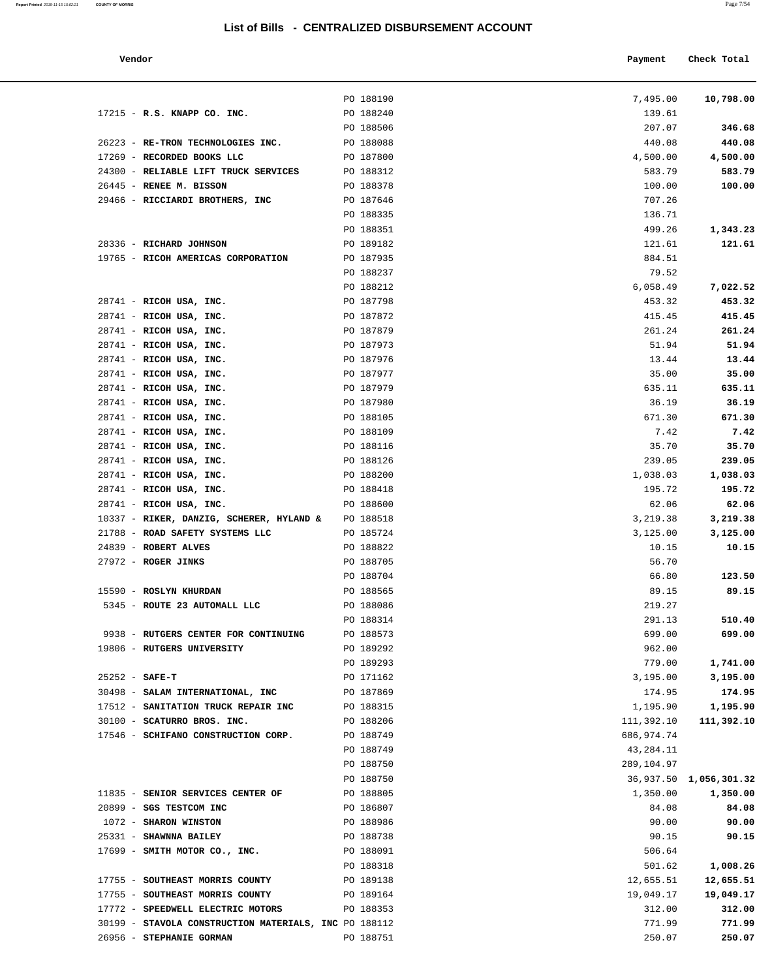| Vendor                                                |           | Payment    | Check Total            |
|-------------------------------------------------------|-----------|------------|------------------------|
|                                                       | PO 188190 | 7,495.00   | 10,798.00              |
| 17215 - R.S. KNAPP CO. INC.                           | PO 188240 | 139.61     |                        |
|                                                       | PO 188506 | 207.07     | 346.68                 |
| 26223 - RE-TRON TECHNOLOGIES INC.                     | PO 188088 | 440.08     | 440.08                 |
| 17269 - RECORDED BOOKS LLC                            | PO 187800 | 4,500.00   | 4,500.00               |
| 24300 - RELIABLE LIFT TRUCK SERVICES                  | PO 188312 | 583.79     | 583.79                 |
| 26445 - RENEE M. BISSON                               | PO 188378 | 100.00     | 100.00                 |
| 29466 - RICCIARDI BROTHERS, INC                       | PO 187646 | 707.26     |                        |
|                                                       | PO 188335 | 136.71     |                        |
|                                                       | PO 188351 | 499.26     | 1,343.23               |
| 28336 - RICHARD JOHNSON                               | PO 189182 | 121.61     | 121.61                 |
| 19765 - RICOH AMERICAS CORPORATION                    | PO 187935 | 884.51     |                        |
|                                                       | PO 188237 | 79.52      |                        |
|                                                       | PO 188212 | 6,058.49   | 7,022.52               |
| 28741 - RICOH USA, INC.                               | PO 187798 | 453.32     | 453.32                 |
| 28741 - RICOH USA, INC.                               | PO 187872 | 415.45     | 415.45                 |
| 28741 - RICOH USA, INC.                               | PO 187879 | 261.24     | 261.24                 |
| 28741 - RICOH USA, INC.                               | PO 187973 | 51.94      | 51.94                  |
| 28741 - RICOH USA, INC.                               | PO 187976 | 13.44      | 13.44                  |
| 28741 - RICOH USA, INC.                               | PO 187977 | 35.00      | 35.00                  |
| 28741 - RICOH USA, INC.                               | PO 187979 | 635.11     | 635.11                 |
| 28741 - RICOH USA, INC.                               | PO 187980 | 36.19      | 36.19                  |
| 28741 - RICOH USA, INC.                               | PO 188105 | 671.30     | 671.30                 |
| 28741 - RICOH USA, INC.                               | PO 188109 | 7.42       | 7.42                   |
| 28741 - RICOH USA, INC.                               | PO 188116 | 35.70      | 35.70                  |
| 28741 - RICOH USA, INC.                               | PO 188126 | 239.05     | 239.05                 |
| 28741 - RICOH USA, INC.                               | PO 188200 | 1,038.03   | 1,038.03               |
| 28741 - RICOH USA, INC.                               | PO 188418 | 195.72     | 195.72                 |
| 28741 - RICOH USA, INC.                               | PO 188600 | 62.06      | 62.06                  |
| 10337 - RIKER, DANZIG, SCHERER, HYLAND &              | PO 188518 | 3,219.38   | 3,219.38               |
| 21788 - ROAD SAFETY SYSTEMS LLC                       | PO 185724 | 3,125.00   | 3,125.00               |
| 24839 - ROBERT ALVES                                  | PO 188822 | 10.15      | 10.15                  |
| 27972 - ROGER JINKS                                   | PO 188705 | 56.70      |                        |
|                                                       | PO 188704 | 66.80      | 123.50                 |
| 15590 - ROSLYN KHURDAN                                | PO 188565 | 89.15      | 89.15                  |
| 5345 - ROUTE 23 AUTOMALL LLC                          | PO 188086 | 219.27     |                        |
|                                                       | PO 188314 | 291.13     | 510.40                 |
| 9938 - RUTGERS CENTER FOR CONTINUING                  | PO 188573 | 699.00     | 699.00                 |
| 19806 - RUTGERS UNIVERSITY                            | PO 189292 | 962.00     |                        |
|                                                       | PO 189293 | 779.00     | 1,741.00               |
| $25252 - SAFE-T$                                      | PO 171162 | 3,195.00   | 3,195.00               |
| 30498 - SALAM INTERNATIONAL, INC                      | PO 187869 | 174.95     | 174.95                 |
| 17512 - SANITATION TRUCK REPAIR INC                   | PO 188315 | 1,195.90   | 1,195.90               |
| 30100 - SCATURRO BROS. INC.                           | PO 188206 | 111,392.10 | 111,392.10             |
| 17546 - SCHIFANO CONSTRUCTION CORP.                   | PO 188749 | 686,974.74 |                        |
|                                                       | PO 188749 | 43,284.11  |                        |
|                                                       | PO 188750 | 289,104.97 |                        |
|                                                       | PO 188750 |            | 36,937.50 1,056,301.32 |
| 11835 - SENIOR SERVICES CENTER OF                     | PO 188805 | 1,350.00   | 1,350.00               |
| 20899 - SGS TESTCOM INC                               | PO 186807 | 84.08      | 84.08                  |
| 1072 - SHARON WINSTON                                 | PO 188986 | 90.00      | 90.00                  |
| 25331 - SHAWNNA BAILEY                                | PO 188738 | 90.15      | 90.15                  |
| 17699 - SMITH MOTOR CO., INC.                         | PO 188091 | 506.64     |                        |
|                                                       | PO 188318 | 501.62     | 1,008.26               |
| 17755 - SOUTHEAST MORRIS COUNTY                       | PO 189138 | 12,655.51  | 12,655.51              |
| 17755 - SOUTHEAST MORRIS COUNTY                       | PO 189164 | 19,049.17  | 19,049.17              |
| 17772 - SPEEDWELL ELECTRIC MOTORS                     | PO 188353 | 312.00     | 312.00                 |
| 30199 - STAVOLA CONSTRUCTION MATERIALS, INC PO 188112 |           | 771.99     | 771.99                 |
| 26956 - STEPHANIE GORMAN                              | PO 188751 | 250.07     | 250.07                 |
|                                                       |           |            |                        |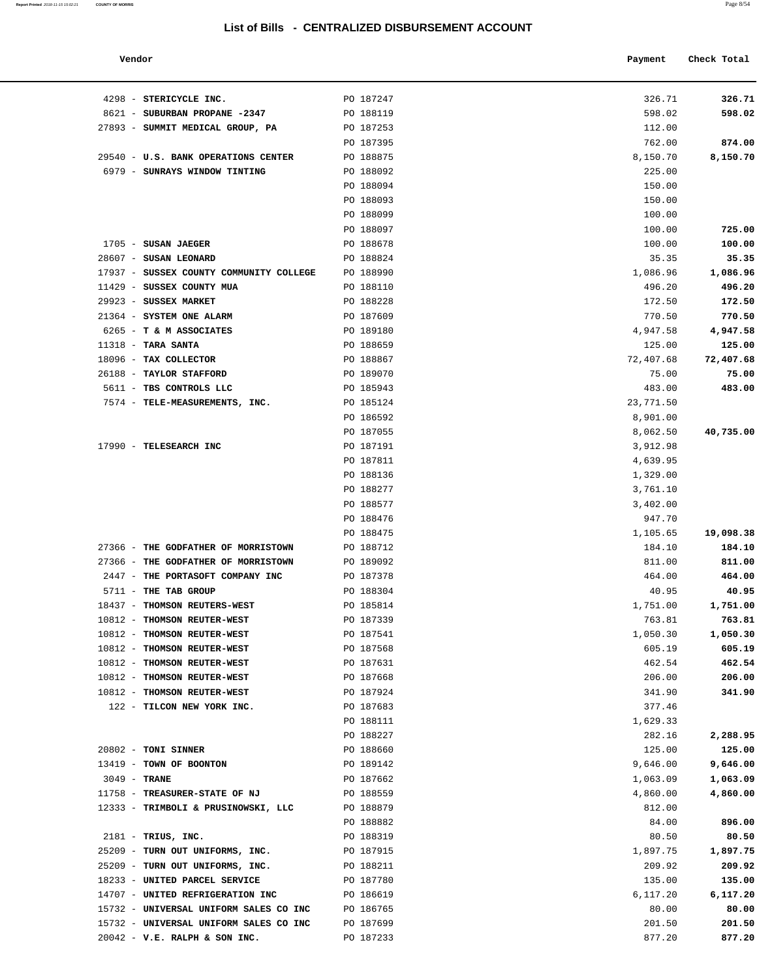#### **Vendor Payment Check Total**

| Report Printed 2018-11-15 15:02:21 COUNTY OF MORRIS | Page 8/54 |
|-----------------------------------------------------|-----------|
|                                                     |           |

| 4298 - STERICYCLE INC.                                     | PO 187247              | 326.71               | 326.71           |
|------------------------------------------------------------|------------------------|----------------------|------------------|
| 8621 - SUBURBAN PROPANE -2347                              | PO 188119              | 598.02               | 598.02           |
| 27893 - SUMMIT MEDICAL GROUP, PA                           | PO 187253              | 112.00               |                  |
|                                                            | PO 187395              | 762.00               | 874.00           |
| 29540 - U.S. BANK OPERATIONS CENTER                        | PO 188875              | 8,150.70             | 8,150.70         |
| 6979 - SUNRAYS WINDOW TINTING                              | PO 188092              | 225.00               |                  |
|                                                            | PO 188094              | 150.00               |                  |
|                                                            | PO 188093              | 150.00               |                  |
|                                                            | PO 188099              | 100.00               |                  |
|                                                            | PO 188097              | 100.00               | 725.00           |
| 1705 - SUSAN JAEGER<br>28607 - SUSAN LEONARD               | PO 188678<br>PO 188824 | 100.00<br>35.35      | 100.00<br>35.35  |
| 17937 - SUSSEX COUNTY COMMUNITY COLLEGE                    | PO 188990              | 1,086.96             | 1,086.96         |
| 11429 - SUSSEX COUNTY MUA                                  | PO 188110              | 496.20               | 496.20           |
| 29923 - SUSSEX MARKET                                      | PO 188228              | 172.50               | 172.50           |
| 21364 - SYSTEM ONE ALARM                                   | PO 187609              | 770.50               | 770.50           |
| 6265 - T & M ASSOCIATES                                    | PO 189180              | 4,947.58             | 4,947.58         |
| $11318$ - TARA SANTA                                       | PO 188659              | 125.00               | 125.00           |
| 18096 - TAX COLLECTOR                                      | PO 188867              | 72,407.68            | 72,407.68        |
| 26188 - TAYLOR STAFFORD                                    | PO 189070              | 75.00                | 75.00            |
| 5611 - TBS CONTROLS LLC                                    | PO 185943              | 483.00               | 483.00           |
| 7574 - TELE-MEASUREMENTS, INC.                             | PO 185124              | 23,771.50            |                  |
|                                                            | PO 186592              | 8,901.00             |                  |
|                                                            | PO 187055              | 8,062.50             | 40,735.00        |
| 17990 - TELESEARCH INC                                     | PO 187191              | 3,912.98             |                  |
|                                                            | PO 187811<br>PO 188136 | 4,639.95             |                  |
|                                                            | PO 188277              | 1,329.00<br>3,761.10 |                  |
|                                                            | PO 188577              | 3,402.00             |                  |
|                                                            | PO 188476              | 947.70               |                  |
|                                                            | PO 188475              | 1,105.65             | 19,098.38        |
| 27366 - THE GODFATHER OF MORRISTOWN                        | PO 188712              | 184.10               | 184.10           |
| 27366 - THE GODFATHER OF MORRISTOWN                        | PO 189092              | 811.00               | 811.00           |
| 2447 - THE PORTASOFT COMPANY INC                           | PO 187378              | 464.00               | 464.00           |
| 5711 - THE TAB GROUP                                       | PO 188304              | 40.95                | 40.95            |
| 18437 - THOMSON REUTERS-WEST                               | PO 185814              | 1,751.00             | 1,751.00         |
| 10812 - THOMSON REUTER-WEST                                | PO 187339              | 763.81               | 763.81           |
| 10812 - THOMSON REUTER-WEST                                | PO 187541              | 1,050.30             | 1,050.30         |
| 10812 - THOMSON REUTER-WEST                                | PO 187568              | 605.19               | 605.19           |
| 10812 - THOMSON REUTER-WEST                                | PO 187631              | 462.54               | 462.54           |
| 10812 - THOMSON REUTER-WEST<br>10812 - THOMSON REUTER-WEST | PO 187668<br>PO 187924 | 206.00<br>341.90     | 206.00<br>341.90 |
| 122 - TILCON NEW YORK INC.                                 | PO 187683              | 377.46               |                  |
|                                                            | PO 188111              | 1,629.33             |                  |
|                                                            | PO 188227              | 282.16               | 2,288.95         |
| 20802 - TONI SINNER                                        | PO 188660              | 125.00               | 125.00           |
| 13419 - TOWN OF BOONTON                                    | PO 189142              | 9,646.00             | 9,646.00         |
| $3049$ - TRANE                                             | PO 187662              | 1,063.09             | 1,063.09         |
| 11758 - TREASURER-STATE OF NJ                              | PO 188559              | 4,860.00             | 4,860.00         |
| 12333 - TRIMBOLI & PRUSINOWSKI, LLC                        | PO 188879              | 812.00               |                  |
|                                                            | PO 188882              | 84.00                | 896.00           |
| $2181$ - TRIUS, INC.                                       | PO 188319              | 80.50                | 80.50            |
| 25209 - TURN OUT UNIFORMS, INC.                            | PO 187915              | 1,897.75             | 1,897.75         |
| 25209 - TURN OUT UNIFORMS, INC.                            | PO 188211              | 209.92               | 209.92           |
| 18233 - UNITED PARCEL SERVICE                              | PO 187780              | 135.00               | 135.00           |
| 14707 - UNITED REFRIGERATION INC                           | PO 186619              | 6,117.20             | 6,117.20         |
| 15732 - UNIVERSAL UNIFORM SALES CO INC                     | PO 186765              | 80.00                | 80.00            |
| 15732 - UNIVERSAL UNIFORM SALES CO INC                     | PO 187699              | 201.50               | 201.50           |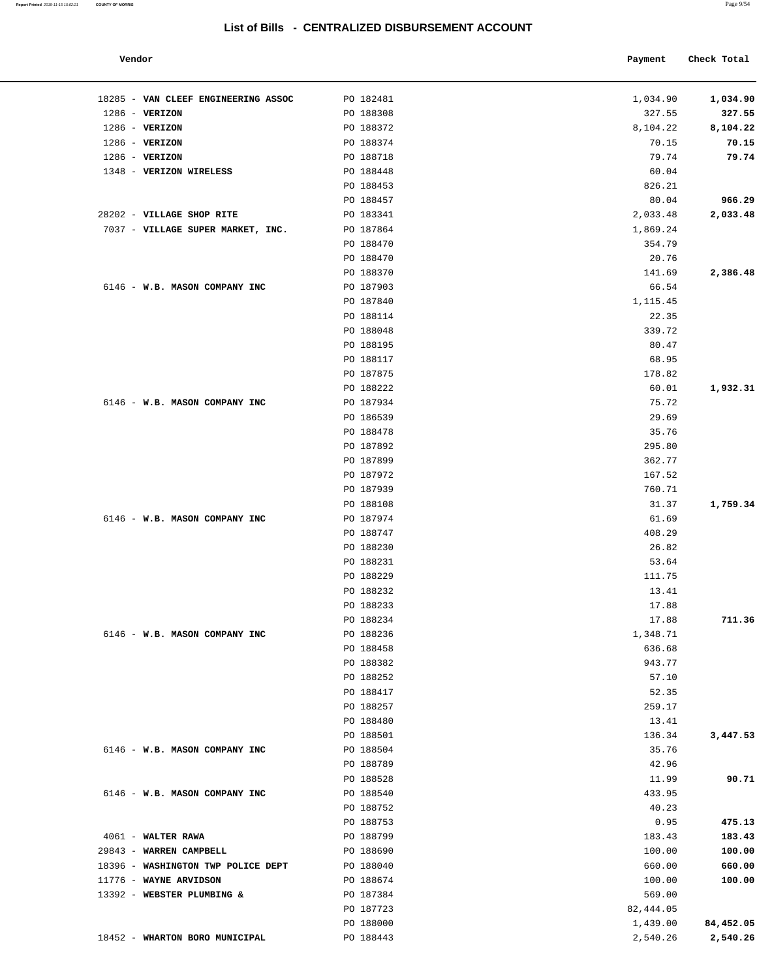#### **Report Printed** 2018-11-15 15:02:21 **COUNTY OF MORRIS** Page 9/54

## **List of Bills - CENTRALIZED DISBURSEMENT ACCOUNT**

#### **Vendor Payment** Check Total

| PO 182481 | 1,034.90                                                                                                                                                                                                                                                                                                                                                                                                                                                                                                                                                       | 1,034.90                                                                                                                                                                                                                                                                                                                                                                                                              |
|-----------|----------------------------------------------------------------------------------------------------------------------------------------------------------------------------------------------------------------------------------------------------------------------------------------------------------------------------------------------------------------------------------------------------------------------------------------------------------------------------------------------------------------------------------------------------------------|-----------------------------------------------------------------------------------------------------------------------------------------------------------------------------------------------------------------------------------------------------------------------------------------------------------------------------------------------------------------------------------------------------------------------|
|           |                                                                                                                                                                                                                                                                                                                                                                                                                                                                                                                                                                | 327.55                                                                                                                                                                                                                                                                                                                                                                                                                |
|           |                                                                                                                                                                                                                                                                                                                                                                                                                                                                                                                                                                | 8,104.22                                                                                                                                                                                                                                                                                                                                                                                                              |
|           |                                                                                                                                                                                                                                                                                                                                                                                                                                                                                                                                                                | 70.15                                                                                                                                                                                                                                                                                                                                                                                                                 |
|           |                                                                                                                                                                                                                                                                                                                                                                                                                                                                                                                                                                | 79.74                                                                                                                                                                                                                                                                                                                                                                                                                 |
|           |                                                                                                                                                                                                                                                                                                                                                                                                                                                                                                                                                                |                                                                                                                                                                                                                                                                                                                                                                                                                       |
|           |                                                                                                                                                                                                                                                                                                                                                                                                                                                                                                                                                                | 966.29                                                                                                                                                                                                                                                                                                                                                                                                                |
|           |                                                                                                                                                                                                                                                                                                                                                                                                                                                                                                                                                                | 2,033.48                                                                                                                                                                                                                                                                                                                                                                                                              |
|           |                                                                                                                                                                                                                                                                                                                                                                                                                                                                                                                                                                |                                                                                                                                                                                                                                                                                                                                                                                                                       |
|           |                                                                                                                                                                                                                                                                                                                                                                                                                                                                                                                                                                |                                                                                                                                                                                                                                                                                                                                                                                                                       |
|           |                                                                                                                                                                                                                                                                                                                                                                                                                                                                                                                                                                |                                                                                                                                                                                                                                                                                                                                                                                                                       |
|           |                                                                                                                                                                                                                                                                                                                                                                                                                                                                                                                                                                | 2,386.48                                                                                                                                                                                                                                                                                                                                                                                                              |
|           |                                                                                                                                                                                                                                                                                                                                                                                                                                                                                                                                                                |                                                                                                                                                                                                                                                                                                                                                                                                                       |
|           |                                                                                                                                                                                                                                                                                                                                                                                                                                                                                                                                                                |                                                                                                                                                                                                                                                                                                                                                                                                                       |
|           |                                                                                                                                                                                                                                                                                                                                                                                                                                                                                                                                                                |                                                                                                                                                                                                                                                                                                                                                                                                                       |
|           |                                                                                                                                                                                                                                                                                                                                                                                                                                                                                                                                                                |                                                                                                                                                                                                                                                                                                                                                                                                                       |
|           |                                                                                                                                                                                                                                                                                                                                                                                                                                                                                                                                                                |                                                                                                                                                                                                                                                                                                                                                                                                                       |
|           |                                                                                                                                                                                                                                                                                                                                                                                                                                                                                                                                                                |                                                                                                                                                                                                                                                                                                                                                                                                                       |
|           |                                                                                                                                                                                                                                                                                                                                                                                                                                                                                                                                                                |                                                                                                                                                                                                                                                                                                                                                                                                                       |
|           |                                                                                                                                                                                                                                                                                                                                                                                                                                                                                                                                                                | 1,932.31                                                                                                                                                                                                                                                                                                                                                                                                              |
|           |                                                                                                                                                                                                                                                                                                                                                                                                                                                                                                                                                                |                                                                                                                                                                                                                                                                                                                                                                                                                       |
|           |                                                                                                                                                                                                                                                                                                                                                                                                                                                                                                                                                                |                                                                                                                                                                                                                                                                                                                                                                                                                       |
|           |                                                                                                                                                                                                                                                                                                                                                                                                                                                                                                                                                                |                                                                                                                                                                                                                                                                                                                                                                                                                       |
|           |                                                                                                                                                                                                                                                                                                                                                                                                                                                                                                                                                                |                                                                                                                                                                                                                                                                                                                                                                                                                       |
|           |                                                                                                                                                                                                                                                                                                                                                                                                                                                                                                                                                                |                                                                                                                                                                                                                                                                                                                                                                                                                       |
|           |                                                                                                                                                                                                                                                                                                                                                                                                                                                                                                                                                                |                                                                                                                                                                                                                                                                                                                                                                                                                       |
|           |                                                                                                                                                                                                                                                                                                                                                                                                                                                                                                                                                                |                                                                                                                                                                                                                                                                                                                                                                                                                       |
|           |                                                                                                                                                                                                                                                                                                                                                                                                                                                                                                                                                                | 1,759.34                                                                                                                                                                                                                                                                                                                                                                                                              |
|           |                                                                                                                                                                                                                                                                                                                                                                                                                                                                                                                                                                |                                                                                                                                                                                                                                                                                                                                                                                                                       |
|           |                                                                                                                                                                                                                                                                                                                                                                                                                                                                                                                                                                |                                                                                                                                                                                                                                                                                                                                                                                                                       |
|           |                                                                                                                                                                                                                                                                                                                                                                                                                                                                                                                                                                |                                                                                                                                                                                                                                                                                                                                                                                                                       |
|           |                                                                                                                                                                                                                                                                                                                                                                                                                                                                                                                                                                |                                                                                                                                                                                                                                                                                                                                                                                                                       |
|           |                                                                                                                                                                                                                                                                                                                                                                                                                                                                                                                                                                |                                                                                                                                                                                                                                                                                                                                                                                                                       |
|           |                                                                                                                                                                                                                                                                                                                                                                                                                                                                                                                                                                |                                                                                                                                                                                                                                                                                                                                                                                                                       |
|           |                                                                                                                                                                                                                                                                                                                                                                                                                                                                                                                                                                |                                                                                                                                                                                                                                                                                                                                                                                                                       |
|           |                                                                                                                                                                                                                                                                                                                                                                                                                                                                                                                                                                | 711.36                                                                                                                                                                                                                                                                                                                                                                                                                |
|           |                                                                                                                                                                                                                                                                                                                                                                                                                                                                                                                                                                |                                                                                                                                                                                                                                                                                                                                                                                                                       |
|           |                                                                                                                                                                                                                                                                                                                                                                                                                                                                                                                                                                |                                                                                                                                                                                                                                                                                                                                                                                                                       |
|           |                                                                                                                                                                                                                                                                                                                                                                                                                                                                                                                                                                |                                                                                                                                                                                                                                                                                                                                                                                                                       |
|           |                                                                                                                                                                                                                                                                                                                                                                                                                                                                                                                                                                |                                                                                                                                                                                                                                                                                                                                                                                                                       |
| PO 188417 | 52.35                                                                                                                                                                                                                                                                                                                                                                                                                                                                                                                                                          |                                                                                                                                                                                                                                                                                                                                                                                                                       |
| PO 188257 | 259.17                                                                                                                                                                                                                                                                                                                                                                                                                                                                                                                                                         |                                                                                                                                                                                                                                                                                                                                                                                                                       |
| PO 188480 | 13.41                                                                                                                                                                                                                                                                                                                                                                                                                                                                                                                                                          |                                                                                                                                                                                                                                                                                                                                                                                                                       |
| PO 188501 | 136.34                                                                                                                                                                                                                                                                                                                                                                                                                                                                                                                                                         | 3,447.53                                                                                                                                                                                                                                                                                                                                                                                                              |
| PO 188504 | 35.76                                                                                                                                                                                                                                                                                                                                                                                                                                                                                                                                                          |                                                                                                                                                                                                                                                                                                                                                                                                                       |
| PO 188789 | 42.96                                                                                                                                                                                                                                                                                                                                                                                                                                                                                                                                                          |                                                                                                                                                                                                                                                                                                                                                                                                                       |
| PO 188528 | 11.99                                                                                                                                                                                                                                                                                                                                                                                                                                                                                                                                                          | 90.71                                                                                                                                                                                                                                                                                                                                                                                                                 |
| PO 188540 | 433.95                                                                                                                                                                                                                                                                                                                                                                                                                                                                                                                                                         |                                                                                                                                                                                                                                                                                                                                                                                                                       |
| PO 188752 | 40.23                                                                                                                                                                                                                                                                                                                                                                                                                                                                                                                                                          |                                                                                                                                                                                                                                                                                                                                                                                                                       |
| PO 188753 | 0.95                                                                                                                                                                                                                                                                                                                                                                                                                                                                                                                                                           | 475.13                                                                                                                                                                                                                                                                                                                                                                                                                |
| PO 188799 | 183.43                                                                                                                                                                                                                                                                                                                                                                                                                                                                                                                                                         | 183.43                                                                                                                                                                                                                                                                                                                                                                                                                |
|           |                                                                                                                                                                                                                                                                                                                                                                                                                                                                                                                                                                | 100.00                                                                                                                                                                                                                                                                                                                                                                                                                |
|           |                                                                                                                                                                                                                                                                                                                                                                                                                                                                                                                                                                | 660.00                                                                                                                                                                                                                                                                                                                                                                                                                |
| PO 188674 | 100.00                                                                                                                                                                                                                                                                                                                                                                                                                                                                                                                                                         | 100.00                                                                                                                                                                                                                                                                                                                                                                                                                |
| PO 187384 | 569.00                                                                                                                                                                                                                                                                                                                                                                                                                                                                                                                                                         |                                                                                                                                                                                                                                                                                                                                                                                                                       |
| PO 187723 | 82,444.05                                                                                                                                                                                                                                                                                                                                                                                                                                                                                                                                                      |                                                                                                                                                                                                                                                                                                                                                                                                                       |
| PO 188000 | 1,439.00                                                                                                                                                                                                                                                                                                                                                                                                                                                                                                                                                       | 84,452.05                                                                                                                                                                                                                                                                                                                                                                                                             |
| PO 188443 | 2,540.26                                                                                                                                                                                                                                                                                                                                                                                                                                                                                                                                                       | 2,540.26                                                                                                                                                                                                                                                                                                                                                                                                              |
|           | PO 188308<br>PO 188372<br>PO 188374<br>PO 188718<br>PO 188448<br>PO 188453<br>PO 188457<br>PO 183341<br>PO 187864<br>PO 188470<br>PO 188470<br>PO 188370<br>PO 187903<br>PO 187840<br>PO 188114<br>PO 188048<br>PO 188195<br>PO 188117<br>PO 187875<br>PO 188222<br>PO 187934<br>PO 186539<br>PO 188478<br>PO 187892<br>PO 187899<br>PO 187972<br>PO 187939<br>PO 188108<br>PO 187974<br>PO 188747<br>PO 188230<br>PO 188231<br>PO 188229<br>PO 188232<br>PO 188233<br>PO 188234<br>PO 188236<br>PO 188458<br>PO 188382<br>PO 188252<br>PO 188690<br>PO 188040 | 327.55<br>8,104.22<br>70.15<br>79.74<br>60.04<br>826.21<br>80.04<br>2,033.48<br>1,869.24<br>354.79<br>20.76<br>141.69<br>66.54<br>1,115.45<br>22.35<br>339.72<br>80.47<br>68.95<br>178.82<br>60.01<br>75.72<br>29.69<br>35.76<br>295.80<br>362.77<br>167.52<br>760.71<br>31.37<br>61.69<br>408.29<br>26.82<br>53.64<br>111.75<br>13.41<br>17.88<br>17.88<br>1,348.71<br>636.68<br>943.77<br>57.10<br>100.00<br>660.00 |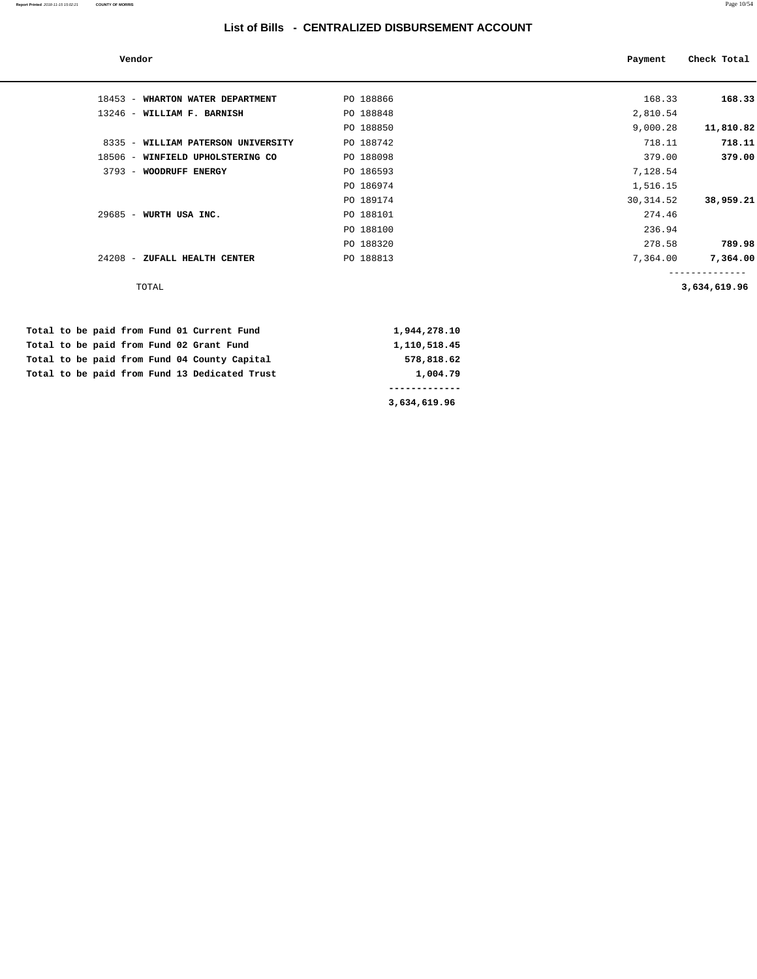| Vendor                                       |              | Payment    | Check Total  |
|----------------------------------------------|--------------|------------|--------------|
| 18453 - WHARTON WATER DEPARTMENT             | PO 188866    | 168.33     | 168.33       |
| 13246 - WILLIAM F. BARNISH                   | PO 188848    | 2,810.54   |              |
|                                              | PO 188850    | 9,000.28   | 11,810.82    |
| 8335 - WILLIAM PATERSON UNIVERSITY           | PO 188742    | 718.11     | 718.11       |
| 18506 - WINFIELD UPHOLSTERING CO             | PO 188098    | 379.00     | 379.00       |
| 3793 - WOODRUFF ENERGY                       | PO 186593    | 7,128.54   |              |
|                                              | PO 186974    | 1,516.15   |              |
|                                              | PO 189174    | 30, 314.52 | 38,959.21    |
| 29685 - WURTH USA INC.                       | PO 188101    | 274.46     |              |
|                                              | PO 188100    | 236.94     |              |
|                                              | PO 188320    | 278.58     | 789.98       |
| 24208 - ZUFALL HEALTH CENTER                 | PO 188813    | 7,364.00   | 7,364.00     |
| TOTAL                                        |              |            | 3,634,619.96 |
| Total to be paid from Fund 01 Current Fund   | 1,944,278.10 |            |              |
| Total to be paid from Fund 02 Grant Fund     | 1,110,518.45 |            |              |
| Total to be paid from Fund 04 County Capital | 578,818.62   |            |              |

Total to be paid from Fund 13 Dedicated Trust 1,004.79  **------------- 3,634,619.96**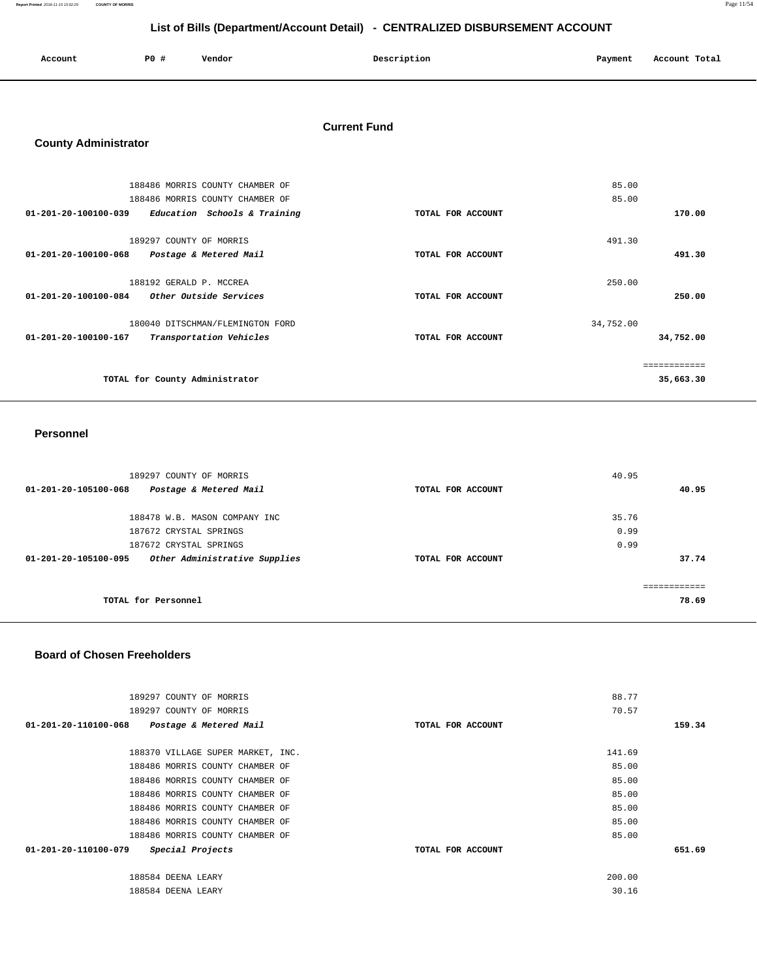**Report Printed** 2018-11-15 15:02:29 **COUNTY OF MORRIS** Page 11/54

## **List of Bills (Department/Account Detail) - CENTRALIZED DISBURSEMENT ACCOUNT**

| Account | <b>PO #</b> | Vendor | Description | Payment | Account Total |
|---------|-------------|--------|-------------|---------|---------------|
|         |             |        |             |         |               |

## **Current Fund**

## **County Administrator**

| 188486 MORRIS COUNTY CHAMBER OF                                                     |                   | 85.00     |           |
|-------------------------------------------------------------------------------------|-------------------|-----------|-----------|
| 188486 MORRIS COUNTY CHAMBER OF                                                     |                   | 85.00     |           |
| 01-201-20-100100-039<br>Education Schools & Training                                | TOTAL FOR ACCOUNT |           | 170.00    |
| 189297 COUNTY OF MORRIS<br>01-201-20-100100-068<br>Postage & Metered Mail           | TOTAL FOR ACCOUNT | 491.30    | 491.30    |
|                                                                                     |                   |           |           |
| 188192 GERALD P. MCCREA                                                             |                   | 250.00    |           |
| 01-201-20-100100-084<br>Other Outside Services                                      | TOTAL FOR ACCOUNT |           | 250.00    |
| 180040 DITSCHMAN/FLEMINGTON FORD<br>01-201-20-100100-167<br>Transportation Vehicles | TOTAL FOR ACCOUNT | 34,752.00 | 34,752.00 |
|                                                                                     |                   |           |           |
|                                                                                     |                   |           |           |
| TOTAL for County Administrator                                                      |                   |           | 35,663.30 |

#### **Personnel**

| 189297 COUNTY OF MORRIS                               | 40.95             |       |       |
|-------------------------------------------------------|-------------------|-------|-------|
| Postage & Metered Mail<br>01-201-20-105100-068        | TOTAL FOR ACCOUNT |       | 40.95 |
| 188478 W.B. MASON COMPANY INC                         |                   | 35.76 |       |
|                                                       |                   |       |       |
| 187672 CRYSTAL SPRINGS                                |                   | 0.99  |       |
| 187672 CRYSTAL SPRINGS                                |                   | 0.99  |       |
| Other Administrative Supplies<br>01-201-20-105100-095 | TOTAL FOR ACCOUNT |       | 37.74 |
|                                                       |                   |       |       |
| TOTAL for Personnel                                   |                   |       | 78.69 |

#### **Board of Chosen Freeholders**

| 189297 COUNTY OF MORRIS                        |                   | 88.77  |        |
|------------------------------------------------|-------------------|--------|--------|
| 189297 COUNTY OF MORRIS                        |                   | 70.57  |        |
| 01-201-20-110100-068<br>Postage & Metered Mail | TOTAL FOR ACCOUNT |        | 159.34 |
| 188370 VILLAGE SUPER MARKET, INC.              |                   | 141.69 |        |
| 188486 MORRIS COUNTY CHAMBER OF                |                   | 85.00  |        |
|                                                |                   |        |        |
| 188486 MORRIS COUNTY CHAMBER OF                |                   | 85.00  |        |
| 188486 MORRIS COUNTY CHAMBER OF                |                   | 85.00  |        |
| 188486 MORRIS COUNTY CHAMBER OF                |                   | 85.00  |        |
| 188486 MORRIS COUNTY CHAMBER OF                |                   | 85.00  |        |
| 188486 MORRIS COUNTY CHAMBER OF                |                   | 85.00  |        |
| Special Projects<br>01-201-20-110100-079       | TOTAL FOR ACCOUNT |        | 651.69 |
|                                                |                   |        |        |
| 188584 DEENA LEARY                             |                   | 200.00 |        |
| 188584 DEENA LEARY                             |                   | 30.16  |        |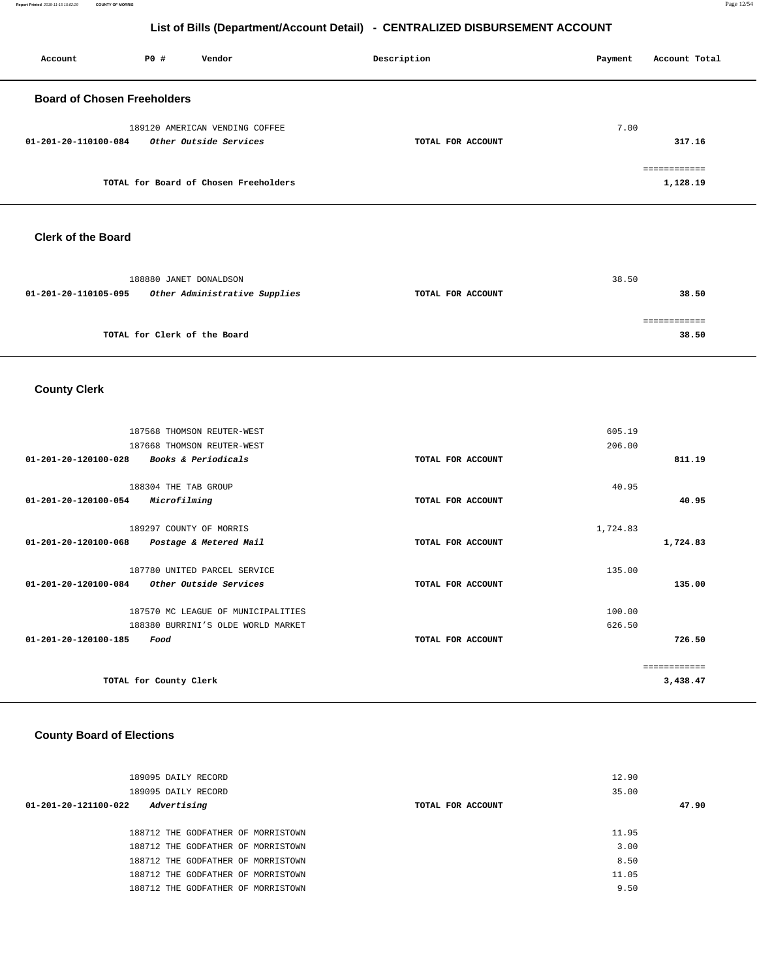**Report Printed** 2018-11-15 15:02:29 **COUNTY OF MORRIS** Page 12/54

## **List of Bills (Department/Account Detail) - CENTRALIZED DISBURSEMENT ACCOUNT**

| Account                            | P0 # | Vendor                                                   | Description       | Account Total<br>Payment |
|------------------------------------|------|----------------------------------------------------------|-------------------|--------------------------|
| <b>Board of Chosen Freeholders</b> |      |                                                          |                   |                          |
| 01-201-20-110100-084               |      | 189120 AMERICAN VENDING COFFEE<br>Other Outside Services | TOTAL FOR ACCOUNT | 7.00<br>317.16           |
|                                    |      | TOTAL for Board of Chosen Freeholders                    |                   | .<br>1,128.19            |

#### **Clerk of the Board**

|                      | 188880 JANET DONALDSON        |                   | 38.50 |       |
|----------------------|-------------------------------|-------------------|-------|-------|
| 01-201-20-110105-095 | Other Administrative Supplies | TOTAL FOR ACCOUNT |       | 38.50 |
|                      |                               |                   |       |       |
|                      | TOTAL for Clerk of the Board  |                   |       | 38.50 |

## **County Clerk**

| 187568 THOMSON REUTER-WEST                               |                   | 605.19   |              |
|----------------------------------------------------------|-------------------|----------|--------------|
| 187668 THOMSON REUTER-WEST                               |                   | 206.00   |              |
| Books & Periodicals<br>$01 - 201 - 20 - 120100 - 028$    | TOTAL FOR ACCOUNT |          | 811.19       |
|                                                          |                   |          |              |
| 188304 THE TAB GROUP                                     |                   | 40.95    |              |
| 01-201-20-120100-054<br>Microfilming                     | TOTAL FOR ACCOUNT |          | 40.95        |
|                                                          |                   |          |              |
| 189297 COUNTY OF MORRIS                                  |                   | 1,724.83 |              |
| 01-201-20-120100-068<br>Postage & Metered Mail           | TOTAL FOR ACCOUNT |          | 1,724.83     |
|                                                          |                   |          |              |
| 187780 UNITED PARCEL SERVICE                             |                   | 135.00   |              |
| $01 - 201 - 20 - 120100 - 084$<br>Other Outside Services | TOTAL FOR ACCOUNT |          | 135.00       |
| 187570 MC LEAGUE OF MUNICIPALITIES                       |                   | 100.00   |              |
| 188380 BURRINI'S OLDE WORLD MARKET                       |                   | 626.50   |              |
| 01-201-20-120100-185<br>Food                             | TOTAL FOR ACCOUNT |          | 726.50       |
|                                                          |                   |          |              |
|                                                          |                   |          | ============ |
| TOTAL for County Clerk                                   |                   |          | 3,438.47     |
|                                                          |                   |          |              |

## **County Board of Elections**

| 189095 DAILY RECORD                 | 12.90             |       |
|-------------------------------------|-------------------|-------|
| 189095 DAILY RECORD                 | 35.00             |       |
| Advertising<br>01-201-20-121100-022 | TOTAL FOR ACCOUNT | 47.90 |
|                                     |                   |       |
| 188712 THE GODFATHER OF MORRISTOWN  | 11.95             |       |
| 188712 THE GODFATHER OF MORRISTOWN  | 3.00              |       |
| 188712 THE GODFATHER OF MORRISTOWN  | 8.50              |       |
| 188712 THE GODFATHER OF MORRISTOWN  | 11.05             |       |
| 188712 THE GODFATHER OF MORRISTOWN  | 9.50              |       |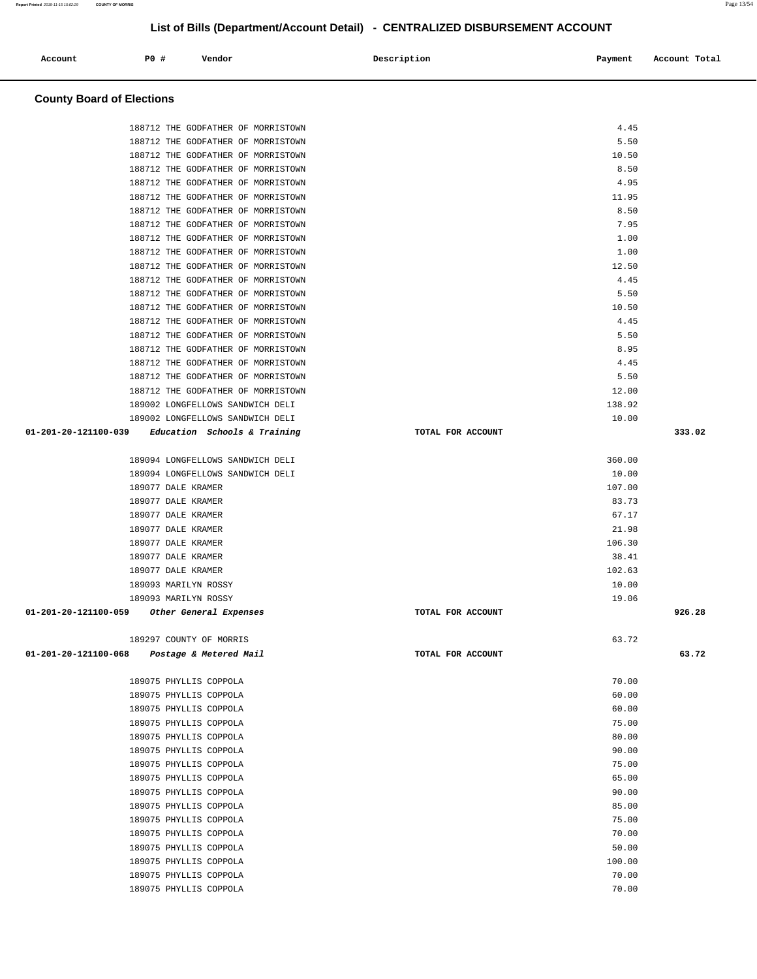| 188712 THE GODFATHER OF MORRISTOWN                       |                   | 4.45            |        |
|----------------------------------------------------------|-------------------|-----------------|--------|
| 188712 THE GODFATHER OF MORRISTOWN                       |                   | 5.50            |        |
| 188712 THE GODFATHER OF MORRISTOWN                       |                   | 10.50           |        |
| 188712 THE GODFATHER OF MORRISTOWN                       |                   | 8.50            |        |
| 188712 THE GODFATHER OF MORRISTOWN                       |                   | 4.95            |        |
| 188712 THE GODFATHER OF MORRISTOWN                       |                   | 11.95           |        |
| 188712 THE GODFATHER OF MORRISTOWN                       |                   | 8.50            |        |
| 188712 THE GODFATHER OF MORRISTOWN                       |                   | 7.95            |        |
| 188712 THE GODFATHER OF MORRISTOWN                       |                   | 1.00            |        |
| 188712 THE GODFATHER OF MORRISTOWN                       |                   | 1.00            |        |
| 188712 THE GODFATHER OF MORRISTOWN                       |                   | 12.50           |        |
| 188712 THE GODFATHER OF MORRISTOWN                       |                   | 4.45            |        |
| 188712 THE GODFATHER OF MORRISTOWN                       |                   | 5.50            |        |
| 188712 THE GODFATHER OF MORRISTOWN                       |                   | 10.50           |        |
| 188712 THE GODFATHER OF MORRISTOWN                       |                   | 4.45            |        |
| 188712 THE GODFATHER OF MORRISTOWN                       |                   | 5.50            |        |
| 188712 THE GODFATHER OF MORRISTOWN                       |                   | 8.95            |        |
| 188712 THE GODFATHER OF MORRISTOWN                       |                   | 4.45            |        |
| 188712 THE GODFATHER OF MORRISTOWN                       |                   | 5.50            |        |
| 188712 THE GODFATHER OF MORRISTOWN                       |                   | 12.00<br>138.92 |        |
| 189002 LONGFELLOWS SANDWICH DELI                         |                   |                 |        |
| 189002 LONGFELLOWS SANDWICH DELI<br>01-201-20-121100-039 |                   | 10.00           | 333.02 |
| Education Schools & Training                             | TOTAL FOR ACCOUNT |                 |        |
| 189094 LONGFELLOWS SANDWICH DELI                         |                   | 360.00          |        |
| 189094 LONGFELLOWS SANDWICH DELI                         |                   | 10.00           |        |
| 189077 DALE KRAMER                                       |                   | 107.00          |        |
| 189077 DALE KRAMER                                       |                   | 83.73           |        |
| 189077 DALE KRAMER                                       |                   | 67.17           |        |
| 189077 DALE KRAMER                                       |                   | 21.98           |        |
| 189077 DALE KRAMER                                       |                   | 106.30          |        |
| 189077 DALE KRAMER                                       |                   | 38.41           |        |
| 189077 DALE KRAMER                                       |                   | 102.63          |        |
| 189093 MARILYN ROSSY                                     |                   | 10.00           |        |
| 189093 MARILYN ROSSY                                     |                   | 19.06           |        |
| 01-201-20-121100-059<br>Other General Expenses           | TOTAL FOR ACCOUNT |                 | 926.28 |
|                                                          |                   |                 |        |
| 189297 COUNTY OF MORRIS                                  |                   | 63.72           |        |
| 01-201-20-121100-068<br>Postage & Metered Mail           | TOTAL FOR ACCOUNT |                 | 63.72  |
|                                                          |                   |                 |        |
| 189075 PHYLLIS COPPOLA                                   |                   | 70.00           |        |
| 189075 PHYLLIS COPPOLA                                   |                   | 60.00           |        |
| 189075 PHYLLIS COPPOLA                                   |                   | 60.00           |        |
| 189075 PHYLLIS COPPOLA                                   |                   | 75.00           |        |
| 189075 PHYLLIS COPPOLA<br>189075 PHYLLIS COPPOLA         |                   | 80.00<br>90.00  |        |
| 189075 PHYLLIS COPPOLA                                   |                   | 75.00           |        |
| 189075 PHYLLIS COPPOLA                                   |                   | 65.00           |        |
| 189075 PHYLLIS COPPOLA                                   |                   | 90.00           |        |
| 189075 PHYLLIS COPPOLA                                   |                   | 85.00           |        |
| 189075 PHYLLIS COPPOLA                                   |                   | 75.00           |        |
| 189075 PHYLLIS COPPOLA                                   |                   | 70.00           |        |
| 189075 PHYLLIS COPPOLA                                   |                   | 50.00           |        |
| 189075 PHYLLIS COPPOLA                                   |                   | 100.00          |        |
| 189075 PHYLLIS COPPOLA                                   |                   | 70.00           |        |
| 189075 PHYLLIS COPPOLA                                   |                   | 70.00           |        |
|                                                          |                   |                 |        |

 **Account P0 # Vendor Description Payment Account Total** 

**County Board of Elections**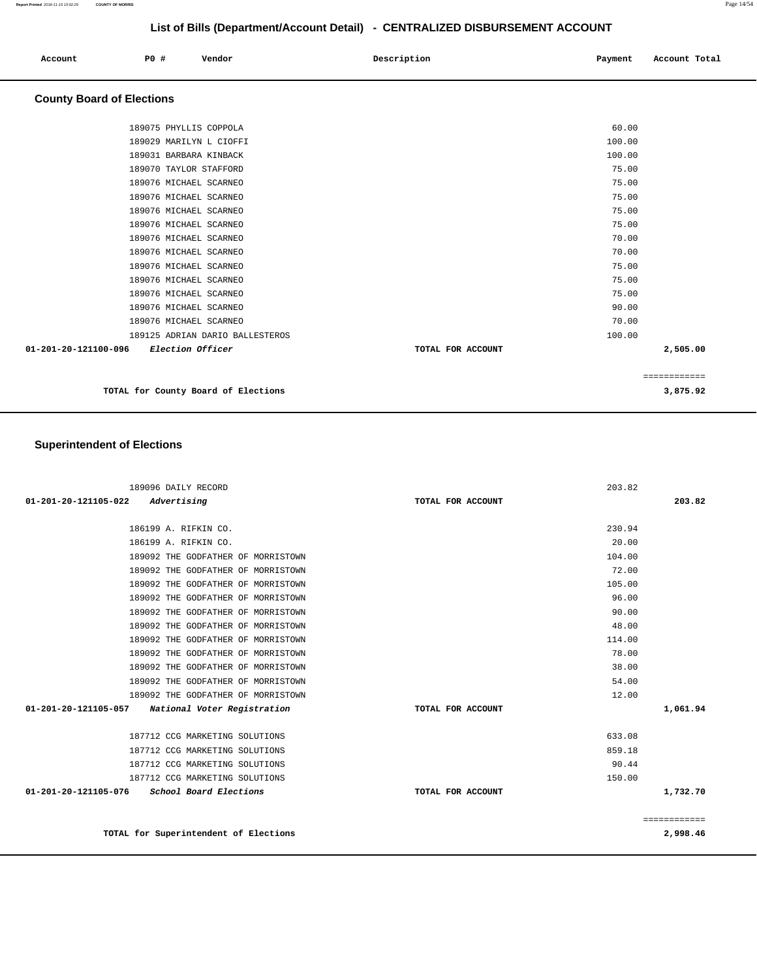| Account<br>. | <b>PO #</b> | Vendor<br>. | Description<br>. | Payment | Account Total |
|--------------|-------------|-------------|------------------|---------|---------------|
|              |             |             |                  |         |               |

#### **County Board of Elections**

| 189075 PHYLLIS COPPOLA                          |                   | 60.00  |              |
|-------------------------------------------------|-------------------|--------|--------------|
| 189029 MARILYN L CIOFFI                         |                   | 100.00 |              |
| 189031 BARBARA KINBACK                          |                   | 100.00 |              |
| 189070 TAYLOR STAFFORD                          |                   | 75.00  |              |
| 189076 MICHAEL SCARNEO                          |                   | 75.00  |              |
| 189076 MICHAEL SCARNEO                          |                   | 75.00  |              |
| 189076 MICHAEL SCARNEO                          |                   | 75.00  |              |
| 189076 MICHAEL SCARNEO                          |                   | 75.00  |              |
| 189076 MICHAEL SCARNEO                          |                   | 70.00  |              |
| 189076 MICHAEL SCARNEO                          |                   | 70.00  |              |
| 189076 MICHAEL SCARNEO                          |                   | 75.00  |              |
| 189076 MICHAEL SCARNEO                          |                   | 75.00  |              |
| 189076 MICHAEL SCARNEO                          |                   | 75.00  |              |
| 189076 MICHAEL SCARNEO                          |                   | 90.00  |              |
| 189076 MICHAEL SCARNEO                          |                   | 70.00  |              |
| 189125 ADRIAN DARIO BALLESTEROS                 |                   | 100.00 |              |
| 01-201-20-121100-096<br><i>Election Officer</i> | TOTAL FOR ACCOUNT |        | 2,505.00     |
|                                                 |                   |        |              |
|                                                 |                   |        | ============ |

**TOTAL for County Board of Elections 3,875.92** 

## **Superintendent of Elections**

| 189096 DAILY RECORD                              |                   | 203.82       |
|--------------------------------------------------|-------------------|--------------|
| Advertising<br>01-201-20-121105-022              | TOTAL FOR ACCOUNT | 203.82       |
|                                                  |                   |              |
| 186199 A. RIFKIN CO.                             |                   | 230.94       |
| 186199 A. RIFKIN CO.                             |                   | 20.00        |
| 189092 THE GODFATHER OF MORRISTOWN               |                   | 104.00       |
| 189092 THE GODFATHER OF MORRISTOWN               |                   | 72.00        |
| 189092 THE GODFATHER OF MORRISTOWN               |                   | 105.00       |
| 189092 THE GODFATHER OF MORRISTOWN               |                   | 96.00        |
| 189092 THE GODFATHER OF MORRISTOWN               |                   | 90.00        |
| 189092 THE GODFATHER OF MORRISTOWN               |                   | 48.00        |
| 189092 THE GODFATHER OF MORRISTOWN               |                   | 114.00       |
| 189092 THE GODFATHER OF MORRISTOWN               |                   | 78.00        |
| 189092 THE GODFATHER OF MORRISTOWN               |                   | 38.00        |
| 189092 THE GODFATHER OF MORRISTOWN               |                   | 54.00        |
| 189092 THE GODFATHER OF MORRISTOWN               |                   | 12.00        |
| 01-201-20-121105-057 National Voter Registration | TOTAL FOR ACCOUNT | 1,061.94     |
| 187712 CCG MARKETING SOLUTIONS                   |                   | 633.08       |
| 187712 CCG MARKETING SOLUTIONS                   |                   | 859.18       |
| 187712 CCG MARKETING SOLUTIONS                   |                   | 90.44        |
| 187712 CCG MARKETING SOLUTIONS                   |                   | 150.00       |
| 01-201-20-121105-076<br>School Board Elections   | TOTAL FOR ACCOUNT | 1,732.70     |
|                                                  |                   | ============ |
| TOTAL for Superintendent of Elections            |                   | 2,998.46     |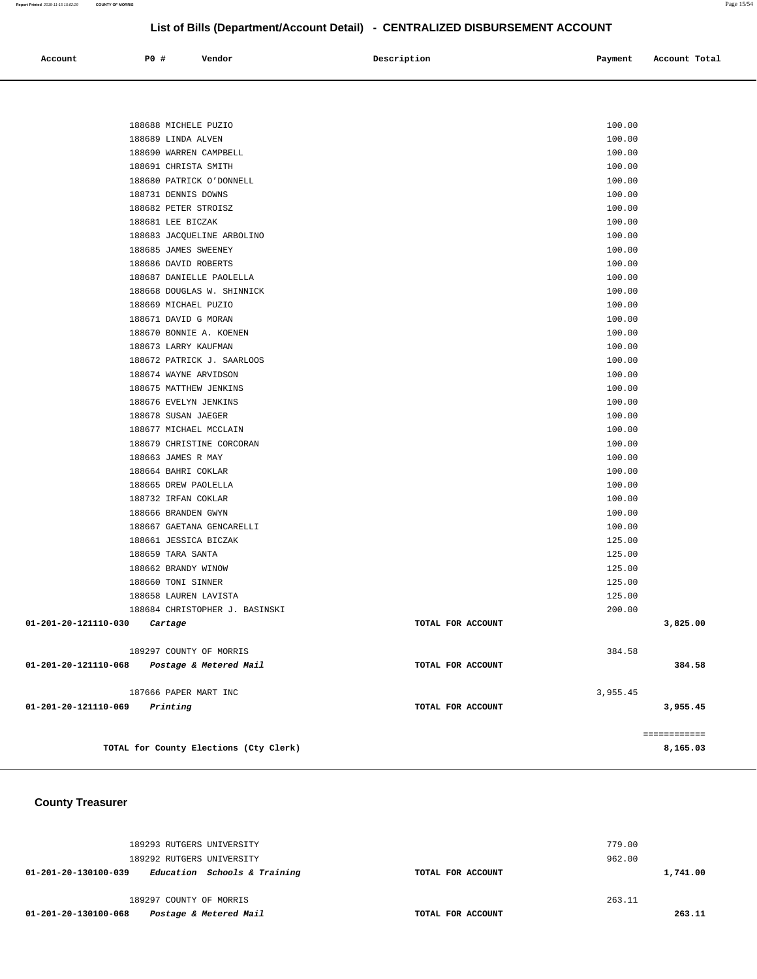| Account<br>. | PO# | Vendor<br>. | Description<br>$\sim$ $\sim$ | Payment | Account Total<br>.<br>. |
|--------------|-----|-------------|------------------------------|---------|-------------------------|
|              |     |             |                              |         |                         |

| 188688 MICHELE PUZIO                           | 100.00            |              |
|------------------------------------------------|-------------------|--------------|
| 188689 LINDA ALVEN                             | 100.00            |              |
| 188690 WARREN CAMPBELL                         | 100.00            |              |
| 188691 CHRISTA SMITH                           | 100.00            |              |
| 188680 PATRICK O'DONNELL                       | 100.00            |              |
| 188731 DENNIS DOWNS                            | 100.00            |              |
| 188682 PETER STROISZ                           | 100.00            |              |
| 188681 LEE BICZAK                              | 100.00            |              |
| 188683 JACQUELINE ARBOLINO                     | 100.00            |              |
| 188685 JAMES SWEENEY                           | 100.00            |              |
| 188686 DAVID ROBERTS                           | 100.00            |              |
| 188687 DANIELLE PAOLELLA                       | 100.00            |              |
| 188668 DOUGLAS W. SHINNICK                     | 100.00            |              |
| 188669 MICHAEL PUZIO                           | 100.00            |              |
| 188671 DAVID G MORAN                           | 100.00            |              |
| 188670 BONNIE A. KOENEN                        | 100.00            |              |
| 188673 LARRY KAUFMAN                           | 100.00            |              |
| 188672 PATRICK J. SAARLOOS                     | 100.00            |              |
| 188674 WAYNE ARVIDSON                          | 100.00            |              |
| 188675 MATTHEW JENKINS                         | 100.00            |              |
| 188676 EVELYN JENKINS                          | 100.00            |              |
| 188678 SUSAN JAEGER                            | 100.00            |              |
| 188677 MICHAEL MCCLAIN                         | 100.00            |              |
| 188679 CHRISTINE CORCORAN                      | 100.00            |              |
| 188663 JAMES R MAY                             | 100.00            |              |
| 188664 BAHRI COKLAR                            | 100.00            |              |
| 188665 DREW PAOLELLA                           | 100.00            |              |
| 188732 IRFAN COKLAR                            | 100.00            |              |
| 188666 BRANDEN GWYN                            | 100.00            |              |
| 188667 GAETANA GENCARELLI                      | 100.00            |              |
| 188661 JESSICA BICZAK                          | 125.00            |              |
| 188659 TARA SANTA                              | 125.00            |              |
| 188662 BRANDY WINOW                            | 125.00            |              |
| 188660 TONI SINNER                             | 125.00            |              |
| 188658 LAUREN LAVISTA                          | 125.00            |              |
| 188684 CHRISTOPHER J. BASINSKI                 | 200.00            |              |
| 01-201-20-121110-030<br>Cartage                | TOTAL FOR ACCOUNT | 3,825.00     |
| 189297 COUNTY OF MORRIS                        | 384.58            |              |
| 01-201-20-121110-068<br>Postage & Metered Mail | TOTAL FOR ACCOUNT | 384.58       |
| 187666 PAPER MART INC                          | 3,955.45          |              |
| 01-201-20-121110-069<br>Printing               | TOTAL FOR ACCOUNT | 3,955.45     |
|                                                |                   |              |
|                                                |                   | ============ |
| TOTAL for County Elections (Cty Clerk)         |                   | 8,165.03     |
|                                                |                   |              |

## **County Treasurer**

| 189293 RUTGERS UNIVERSITY<br>189292 RUTGERS UNIVERSITY | 779.00<br>962.00  |          |
|--------------------------------------------------------|-------------------|----------|
| Education Schools & Training<br>01-201-20-130100-039   | TOTAL FOR ACCOUNT | 1,741.00 |
| 189297 COUNTY OF MORRIS                                | 263.11            |          |
| Postage & Metered Mail<br>01-201-20-130100-068         | TOTAL FOR ACCOUNT | 263.11   |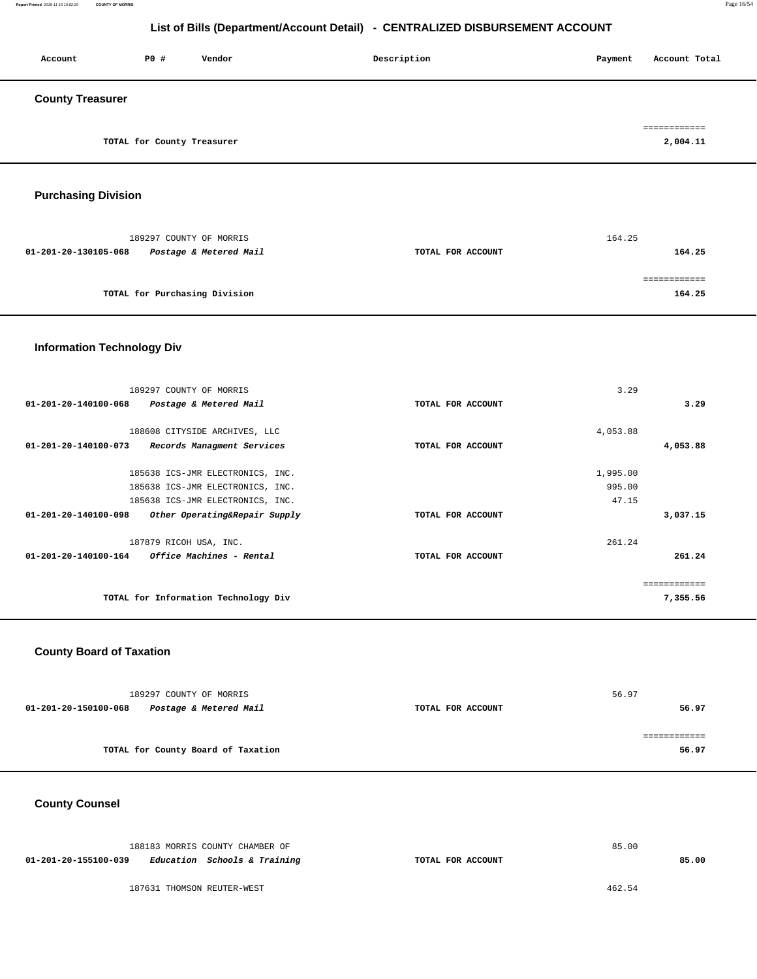**Report Printed** 2018-11-15 15:02:29 **COUNTY OF MORRIS** Page 16/54

## **List of Bills (Department/Account Detail) - CENTRALIZED DISBURSEMENT ACCOUNT**

| Account                 | P0 #                       | Vendor | Description | Account Total<br>Payment |
|-------------------------|----------------------------|--------|-------------|--------------------------|
| <b>County Treasurer</b> |                            |        |             |                          |
|                         | TOTAL for County Treasurer |        |             | ------------<br>2,004.11 |

## **Purchasing Division**

| 189297 COUNTY OF MORRIS                        |                   | 164.25 |
|------------------------------------------------|-------------------|--------|
| Postage & Metered Mail<br>01-201-20-130105-068 | TOTAL FOR ACCOUNT | 164.25 |
|                                                |                   |        |
|                                                |                   |        |
| TOTAL for Purchasing Division                  |                   | 164.25 |

## **Information Technology Div**

| 189297 COUNTY OF MORRIS                               |                   | 3.29     |              |
|-------------------------------------------------------|-------------------|----------|--------------|
| 01-201-20-140100-068<br>Postage & Metered Mail        | TOTAL FOR ACCOUNT |          | 3.29         |
|                                                       |                   |          |              |
| 188608 CITYSIDE ARCHIVES, LLC                         |                   | 4,053.88 |              |
| 01-201-20-140100-073<br>Records Managment Services    | TOTAL FOR ACCOUNT |          | 4,053.88     |
| 185638 ICS-JMR ELECTRONICS, INC.                      |                   | 1,995.00 |              |
|                                                       |                   |          |              |
| 185638 ICS-JMR ELECTRONICS, INC.                      |                   | 995.00   |              |
| 185638 ICS-JMR ELECTRONICS, INC.                      |                   | 47.15    |              |
| 01-201-20-140100-098<br>Other Operating&Repair Supply | TOTAL FOR ACCOUNT |          | 3,037.15     |
| 187879 RICOH USA, INC.                                |                   | 261.24   |              |
| 01-201-20-140100-164<br>Office Machines - Rental      | TOTAL FOR ACCOUNT |          | 261.24       |
|                                                       |                   |          | ============ |
| TOTAL for Information Technology Div                  |                   |          | 7,355.56     |
|                                                       |                   |          |              |

## **County Board of Taxation**

| 189297 COUNTY OF MORRIS                        |                   | 56.97 |
|------------------------------------------------|-------------------|-------|
| Postage & Metered Mail<br>01-201-20-150100-068 | TOTAL FOR ACCOUNT | 56.97 |
|                                                |                   |       |
|                                                |                   |       |
| TOTAL for County Board of Taxation             |                   | 56.97 |

## **County Counsel**

|                      | 188183 MORRIS COUNTY CHAMBER OF |                   | 85.00  |       |
|----------------------|---------------------------------|-------------------|--------|-------|
| 01-201-20-155100-039 | Education Schools & Training    | TOTAL FOR ACCOUNT |        | 85.00 |
|                      |                                 |                   |        |       |
|                      | 187631 THOMSON REUTER-WEST      |                   | 462.54 |       |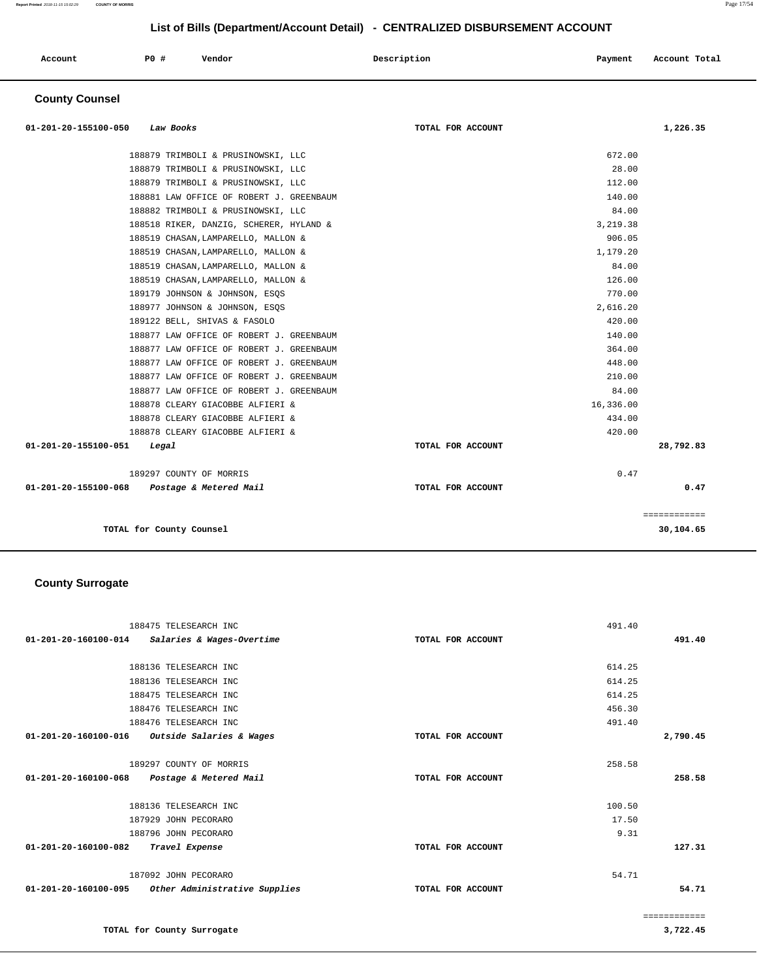| Account<br>. | P0 # | Vendor<br>. | Description | Payment | Account Total |
|--------------|------|-------------|-------------|---------|---------------|
|              |      |             |             |         |               |

## **County Counsel**

| 01-201-20-155100-050 Law Books              | TOTAL FOR ACCOUNT | 1,226.35     |
|---------------------------------------------|-------------------|--------------|
| 188879 TRIMBOLI & PRUSINOWSKI, LLC          |                   | 672.00       |
| 188879 TRIMBOLI & PRUSINOWSKI, LLC          |                   | 28.00        |
| 188879 TRIMBOLI & PRUSINOWSKI, LLC          |                   | 112.00       |
| 188881 LAW OFFICE OF ROBERT J. GREENBAUM    |                   | 140.00       |
| 188882 TRIMBOLI & PRUSINOWSKI, LLC          |                   | 84.00        |
| 188518 RIKER, DANZIG, SCHERER, HYLAND &     |                   | 3,219.38     |
| 188519 CHASAN, LAMPARELLO, MALLON &         |                   | 906.05       |
| 188519 CHASAN, LAMPARELLO, MALLON &         |                   | 1,179.20     |
| 188519 CHASAN, LAMPARELLO, MALLON &         |                   | 84.00        |
| 188519 CHASAN, LAMPARELLO, MALLON &         |                   | 126.00       |
| 189179 JOHNSON & JOHNSON, ESQS              |                   | 770.00       |
| 188977 JOHNSON & JOHNSON, ESQS              |                   | 2,616.20     |
| 189122 BELL, SHIVAS & FASOLO                |                   | 420.00       |
| 188877 LAW OFFICE OF ROBERT J. GREENBAUM    |                   | 140.00       |
| 188877 LAW OFFICE OF ROBERT J. GREENBAUM    |                   | 364.00       |
| 188877 LAW OFFICE OF ROBERT J. GREENBAUM    |                   | 448.00       |
| 188877 LAW OFFICE OF ROBERT J. GREENBAUM    |                   | 210.00       |
| 188877 LAW OFFICE OF ROBERT J. GREENBAUM    |                   | 84.00        |
| 188878 CLEARY GIACOBBE ALFIERI &            | 16,336.00         |              |
| 188878 CLEARY GIACOBBE ALFIERI &            |                   | 434.00       |
| 188878 CLEARY GIACOBBE ALFIERI &            |                   | 420.00       |
| 01-201-20-155100-051<br>Legal               | TOTAL FOR ACCOUNT | 28,792.83    |
| 189297 COUNTY OF MORRIS                     |                   | 0.47         |
| 01-201-20-155100-068 Postage & Metered Mail | TOTAL FOR ACCOUNT | 0.47         |
|                                             |                   | ============ |
| TOTAL for County Counsel                    |                   | 30,104.65    |

## **County Surrogate**

| 188475 TELESEARCH INC                              |                   | 491.40       |
|----------------------------------------------------|-------------------|--------------|
| 01-201-20-160100-014 Salaries & Wages-Overtime     | TOTAL FOR ACCOUNT | 491.40       |
|                                                    |                   |              |
| 188136 TELESEARCH INC                              |                   | 614.25       |
| 188136 TELESEARCH INC                              |                   | 614.25       |
| 188475 TELESEARCH INC                              |                   | 614.25       |
| 188476 TELESEARCH INC                              |                   | 456.30       |
| 188476 TELESEARCH INC                              |                   | 491.40       |
| 01-201-20-160100-016<br>Outside Salaries & Wages   | TOTAL FOR ACCOUNT | 2,790.45     |
|                                                    |                   |              |
| 189297 COUNTY OF MORRIS                            |                   | 258.58       |
| 01-201-20-160100-068 Postage & Metered Mail        | TOTAL FOR ACCOUNT | 258.58       |
|                                                    |                   |              |
| 188136 TELESEARCH INC                              |                   | 100.50       |
| 187929 JOHN PECORARO                               |                   | 17.50        |
| 188796 JOHN PECORARO                               |                   | 9.31         |
| 01-201-20-160100-082<br>Travel Expense             | TOTAL FOR ACCOUNT | 127.31       |
|                                                    |                   |              |
| 187092 JOHN PECORARO                               |                   | 54.71        |
| 01-201-20-160100-095 Other Administrative Supplies | TOTAL FOR ACCOUNT | 54.71        |
|                                                    |                   |              |
|                                                    |                   | ============ |
| TOTAL for County Surrogate                         |                   | 3,722.45     |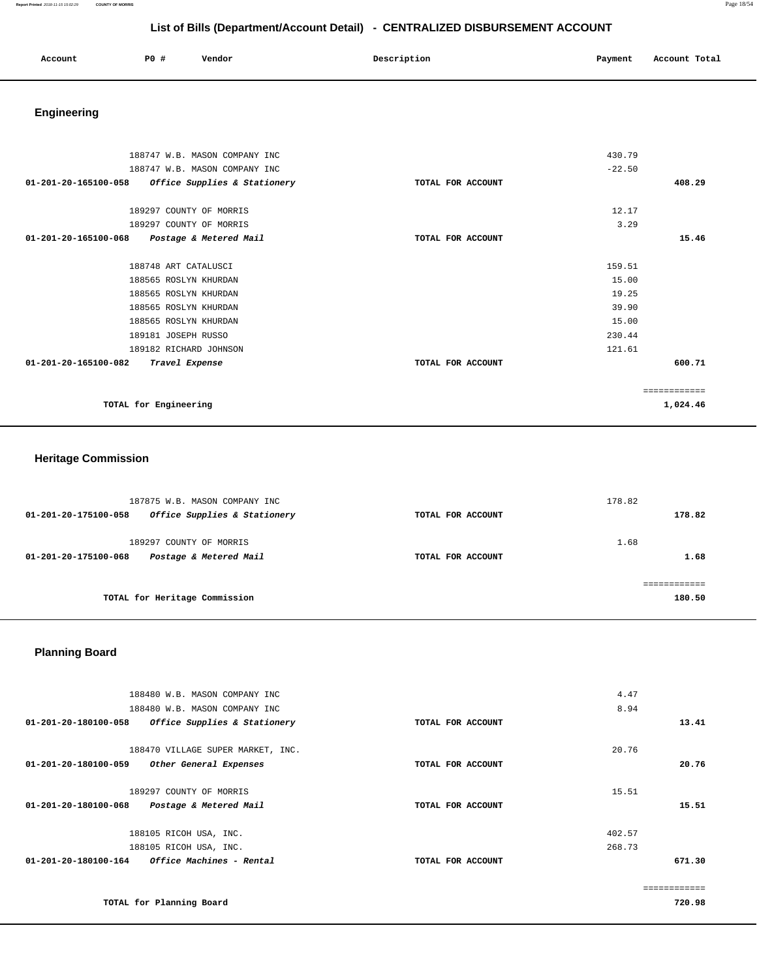**Report Printed** 2018-11-15 15:02:29 **COUNTY OF MORRIS** Page 18/54

## **List of Bills (Department/Account Detail) - CENTRALIZED DISBURSEMENT ACCOUNT**

| Account | P0 # | Vendor | Description | Payment Account Total |
|---------|------|--------|-------------|-----------------------|
|         |      |        |             |                       |

# **Engineering**

| 188747 W.B. MASON COMPANY INC                            |                   | 430.79   |              |
|----------------------------------------------------------|-------------------|----------|--------------|
| 188747 W.B. MASON COMPANY INC                            |                   | $-22.50$ |              |
| Office Supplies & Stationery<br>01-201-20-165100-058     | TOTAL FOR ACCOUNT |          | 408.29       |
|                                                          |                   |          |              |
| 189297 COUNTY OF MORRIS                                  |                   | 12.17    |              |
| 189297 COUNTY OF MORRIS                                  |                   | 3.29     |              |
| $01 - 201 - 20 - 165100 - 068$<br>Postage & Metered Mail | TOTAL FOR ACCOUNT |          | 15.46        |
|                                                          |                   |          |              |
| 188748 ART CATALUSCI                                     |                   | 159.51   |              |
| 188565 ROSLYN KHURDAN                                    |                   | 15.00    |              |
| 188565 ROSLYN KHURDAN                                    |                   | 19.25    |              |
| 188565 ROSLYN KHURDAN                                    |                   | 39.90    |              |
| 188565 ROSLYN KHURDAN                                    |                   | 15.00    |              |
| 189181 JOSEPH RUSSO                                      |                   | 230.44   |              |
| 189182 RICHARD JOHNSON                                   |                   | 121.61   |              |
| 01-201-20-165100-082<br>Travel Expense                   | TOTAL FOR ACCOUNT |          | 600.71       |
|                                                          |                   |          | ============ |
| TOTAL for Engineering                                    |                   |          | 1,024.46     |
|                                                          |                   |          |              |

## **Heritage Commission**

| 187875 W.B. MASON COMPANY INC<br>Office Supplies & Stationery<br>01-201-20-175100-058 | TOTAL FOR ACCOUNT | 178.82<br>178.82 |
|---------------------------------------------------------------------------------------|-------------------|------------------|
| 189297 COUNTY OF MORRIS<br>Postage & Metered Mail<br>01-201-20-175100-068             | TOTAL FOR ACCOUNT | 1.68<br>1.68     |
| TOTAL for Heritage Commission                                                         |                   | 180.50           |

## **Planning Board**

| 188480 W.B. MASON COMPANY INC                                  |                   | 4.47   |
|----------------------------------------------------------------|-------------------|--------|
| 188480 W.B. MASON COMPANY INC                                  |                   | 8.94   |
| $01 - 201 - 20 - 180100 - 058$<br>Office Supplies & Stationery | TOTAL FOR ACCOUNT | 13.41  |
| 188470 VILLAGE SUPER MARKET, INC.                              |                   | 20.76  |
| 01-201-20-180100-059<br>Other General Expenses                 | TOTAL FOR ACCOUNT | 20.76  |
| 189297 COUNTY OF MORRIS                                        |                   | 15.51  |
| 01-201-20-180100-068<br>Postage & Metered Mail                 | TOTAL FOR ACCOUNT | 15.51  |
| 188105 RICOH USA, INC.                                         |                   | 402.57 |
| 188105 RICOH USA, INC.                                         |                   | 268.73 |
| 01-201-20-180100-164<br>Office Machines - Rental               | TOTAL FOR ACCOUNT | 671.30 |
|                                                                |                   |        |
| TOTAL for Planning Board                                       |                   | 720.98 |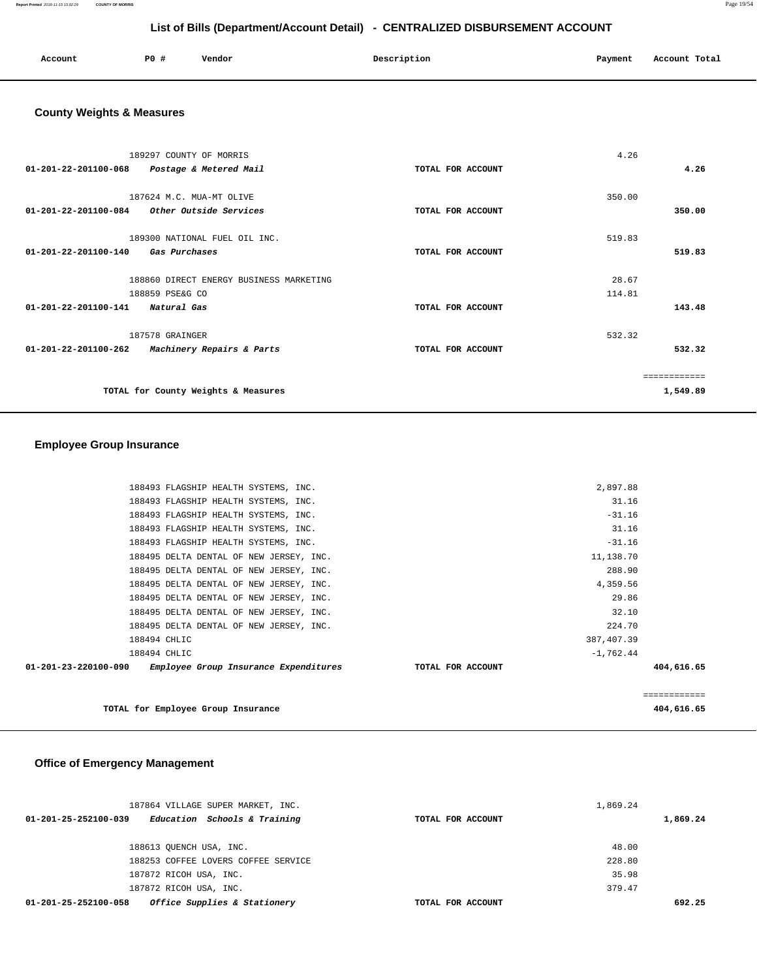**Report Printed** 2018-11-15 15:02:29 **COUNTY OF MORRIS** Page 19/54

## **List of Bills (Department/Account Detail) - CENTRALIZED DISBURSEMENT ACCOUNT**

| Account<br>. | <b>PO #</b> | Vendor | Description | Payment | Account Total |
|--------------|-------------|--------|-------------|---------|---------------|
|              |             |        |             |         |               |

## **County Weights & Measures**

| 189297 COUNTY OF MORRIS                           |                   | 4.26         |          |
|---------------------------------------------------|-------------------|--------------|----------|
| 01-201-22-201100-068<br>Postage & Metered Mail    | TOTAL FOR ACCOUNT |              | 4.26     |
|                                                   |                   |              |          |
| 187624 M.C. MUA-MT OLIVE                          |                   | 350.00       |          |
| 01-201-22-201100-084 Other Outside Services       | TOTAL FOR ACCOUNT |              | 350.00   |
| 189300 NATIONAL FUEL OIL INC.                     |                   | 519.83       |          |
| 01-201-22-201100-140<br>Gas Purchases             | TOTAL FOR ACCOUNT |              | 519.83   |
| 188860 DIRECT ENERGY BUSINESS MARKETING           |                   | 28.67        |          |
| 188859 PSE&G CO                                   |                   | 114.81       |          |
|                                                   |                   |              |          |
| 01-201-22-201100-141 Natural Gas                  | TOTAL FOR ACCOUNT |              | 143.48   |
| 187578 GRAINGER                                   |                   | 532.32       |          |
| 01-201-22-201100-262<br>Machinery Repairs & Parts | TOTAL FOR ACCOUNT |              | 532.32   |
|                                                   |                   | ------------ |          |
|                                                   |                   |              |          |
| TOTAL for County Weights & Measures               |                   |              | 1,549.89 |

## **Employee Group Insurance**

| 188493 FLAGSHIP HEALTH SYSTEMS, INC.                          |                   | 2,897.88    |              |
|---------------------------------------------------------------|-------------------|-------------|--------------|
| 188493 FLAGSHIP HEALTH SYSTEMS, INC.                          |                   | 31.16       |              |
|                                                               |                   |             |              |
| 188493 FLAGSHIP HEALTH SYSTEMS, INC.                          |                   | $-31.16$    |              |
| 188493 FLAGSHIP HEALTH SYSTEMS, INC.                          |                   | 31.16       |              |
| 188493 FLAGSHIP HEALTH SYSTEMS, INC.                          |                   | $-31.16$    |              |
| 188495 DELTA DENTAL OF NEW JERSEY, INC.                       |                   | 11,138.70   |              |
| 188495 DELTA DENTAL OF NEW JERSEY, INC.                       |                   | 288.90      |              |
| 188495 DELTA DENTAL OF NEW JERSEY, INC.                       |                   | 4,359.56    |              |
| 188495 DELTA DENTAL OF NEW JERSEY, INC.                       |                   | 29.86       |              |
| 188495 DELTA DENTAL OF NEW JERSEY, INC.                       |                   | 32.10       |              |
| 188495 DELTA DENTAL OF NEW JERSEY, INC.                       |                   | 224.70      |              |
| 188494 CHLIC                                                  |                   | 387,407.39  |              |
| 188494 CHLIC                                                  |                   | $-1,762.44$ |              |
| 01-201-23-220100-090<br>Employee Group Insurance Expenditures | TOTAL FOR ACCOUNT |             | 404,616.65   |
|                                                               |                   |             | ============ |
|                                                               |                   |             |              |
| TOTAL for Employee Group Insurance                            |                   |             | 404,616.65   |

## **Office of Emergency Management**

| 187864 VILLAGE SUPER MARKET, INC.                    |                   | 1,869.24 |
|------------------------------------------------------|-------------------|----------|
| Education Schools & Training<br>01-201-25-252100-039 | TOTAL FOR ACCOUNT | 1,869.24 |
|                                                      |                   |          |
| 188613 QUENCH USA, INC.                              |                   | 48.00    |
| 188253 COFFEE LOVERS COFFEE SERVICE                  |                   | 228.80   |
| 187872 RICOH USA, INC.                               |                   | 35.98    |
| 187872 RICOH USA, INC.                               |                   | 379.47   |
| Office Supplies & Stationery<br>01-201-25-252100-058 | TOTAL FOR ACCOUNT | 692.25   |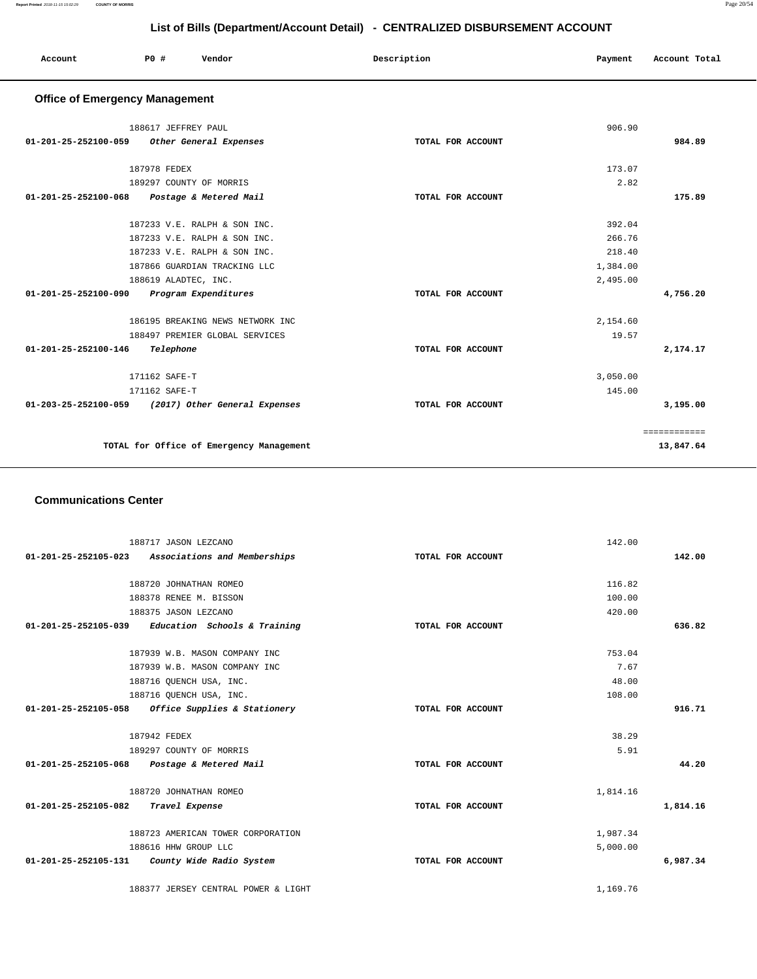| Account              | <b>PO #</b><br>Vendor                              | Description       | Payment  | Account Total |
|----------------------|----------------------------------------------------|-------------------|----------|---------------|
|                      | <b>Office of Emergency Management</b>              |                   |          |               |
|                      | 188617 JEFFREY PAUL                                |                   | 906.90   |               |
|                      | 01-201-25-252100-059 Other General Expenses        | TOTAL FOR ACCOUNT |          | 984.89        |
|                      | 187978 FEDEX                                       |                   | 173.07   |               |
|                      | 189297 COUNTY OF MORRIS                            |                   | 2.82     |               |
|                      | 01-201-25-252100-068 Postage & Metered Mail        | TOTAL FOR ACCOUNT |          | 175.89        |
|                      | 187233 V.E. RALPH & SON INC.                       |                   | 392.04   |               |
|                      | 187233 V.E. RALPH & SON INC.                       |                   | 266.76   |               |
|                      | 187233 V.E. RALPH & SON INC.                       |                   | 218.40   |               |
|                      | 187866 GUARDIAN TRACKING LLC                       |                   | 1,384.00 |               |
|                      | 188619 ALADTEC, INC.                               |                   | 2,495.00 |               |
| 01-201-25-252100-090 | Program Expenditures                               | TOTAL FOR ACCOUNT |          | 4,756.20      |
|                      | 186195 BREAKING NEWS NETWORK INC                   |                   | 2,154.60 |               |
|                      | 188497 PREMIER GLOBAL SERVICES                     |                   | 19.57    |               |
| 01-201-25-252100-146 | Telephone                                          | TOTAL FOR ACCOUNT |          | 2,174.17      |
|                      | 171162 SAFE-T                                      |                   | 3,050.00 |               |
|                      | 171162 SAFE-T                                      |                   | 145.00   |               |
|                      | 01-203-25-252100-059 (2017) Other General Expenses | TOTAL FOR ACCOUNT |          | 3,195.00      |
|                      |                                                    |                   |          | ============  |
|                      | TOTAL for Office of Emergency Management           |                   |          | 13,847.64     |

#### **Communications Center**

| 188717 JASON LEZCANO                                 |                   | 142.00   |          |
|------------------------------------------------------|-------------------|----------|----------|
| Associations and Memberships<br>01-201-25-252105-023 | TOTAL FOR ACCOUNT |          | 142.00   |
|                                                      |                   |          |          |
| 188720 JOHNATHAN ROMEO                               |                   | 116.82   |          |
| 188378 RENEE M. BISSON                               |                   | 100.00   |          |
| 188375 JASON LEZCANO                                 |                   | 420.00   |          |
| $01-201-25-252105-039$ Education Schools & Training  | TOTAL FOR ACCOUNT |          | 636.82   |
| 187939 W.B. MASON COMPANY INC                        |                   | 753.04   |          |
| 187939 W.B. MASON COMPANY INC                        |                   | 7.67     |          |
| 188716 QUENCH USA, INC.                              |                   | 48.00    |          |
| 188716 OUENCH USA, INC.                              |                   | 108.00   |          |
| $01-201-25-252105-058$ Office Supplies & Stationery  | TOTAL FOR ACCOUNT |          | 916.71   |
| 187942 FEDEX                                         |                   | 38.29    |          |
| 189297 COUNTY OF MORRIS                              |                   | 5.91     |          |
| 01-201-25-252105-068 Postage & Metered Mail          | TOTAL FOR ACCOUNT |          | 44.20    |
| 188720 JOHNATHAN ROMEO                               |                   | 1,814.16 |          |
| 01-201-25-252105-082 Travel Expense                  | TOTAL FOR ACCOUNT |          | 1,814.16 |
| 188723 AMERICAN TOWER CORPORATION                    |                   | 1,987.34 |          |
| 188616 HHW GROUP LLC                                 |                   | 5,000.00 |          |
| $01-201-25-252105-131$ County Wide Radio System      | TOTAL FOR ACCOUNT |          | 6,987.34 |
| 188377 JERSEY CENTRAL POWER & LIGHT                  |                   | 1,169.76 |          |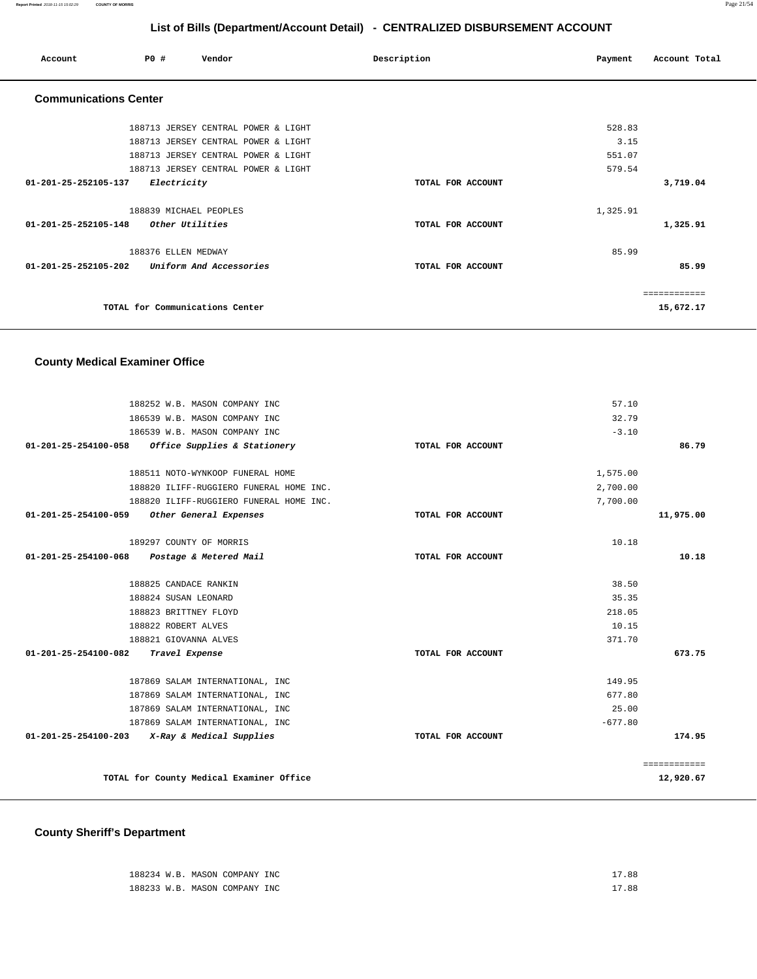**Report Printed** 2018-11-15 15:02:29 **COUNTY OF MORRIS** Page 21/54

## **List of Bills (Department/Account Detail) - CENTRALIZED DISBURSEMENT ACCOUNT**

| Account                        | PO# |                     | Vendor                              | Description       | Payment  | Account Total |
|--------------------------------|-----|---------------------|-------------------------------------|-------------------|----------|---------------|
| <b>Communications Center</b>   |     |                     |                                     |                   |          |               |
|                                |     |                     | 188713 JERSEY CENTRAL POWER & LIGHT |                   | 528.83   |               |
|                                |     |                     | 188713 JERSEY CENTRAL POWER & LIGHT |                   | 3.15     |               |
|                                |     |                     | 188713 JERSEY CENTRAL POWER & LIGHT |                   | 551.07   |               |
|                                |     |                     | 188713 JERSEY CENTRAL POWER & LIGHT |                   | 579.54   |               |
| 01-201-25-252105-137           |     | Electricity         |                                     | TOTAL FOR ACCOUNT |          | 3,719.04      |
|                                |     |                     | 188839 MICHAEL PEOPLES              |                   | 1,325.91 |               |
| $01 - 201 - 25 - 252105 - 148$ |     | Other Utilities     |                                     | TOTAL FOR ACCOUNT |          | 1,325.91      |
|                                |     | 188376 ELLEN MEDWAY |                                     |                   | 85.99    |               |
| 01-201-25-252105-202           |     |                     | Uniform And Accessories             | TOTAL FOR ACCOUNT |          | 85.99         |
|                                |     |                     |                                     |                   |          | ============  |
|                                |     |                     | TOTAL for Communications Center     |                   |          | 15,672.17     |

## **County Medical Examiner Office**

| 86.79        |
|--------------|
|              |
|              |
|              |
|              |
|              |
|              |
|              |
| 11,975.00    |
|              |
| 10.18        |
|              |
|              |
|              |
|              |
|              |
|              |
| 673.75       |
|              |
|              |
|              |
|              |
| 174.95       |
| ============ |
| 12,920.67    |
|              |

# **County Sheriff's Department**

| 188234 W.B. MASON COMPANY INC | 17.88 |
|-------------------------------|-------|
| 188233 W.B. MASON COMPANY INC | 17.88 |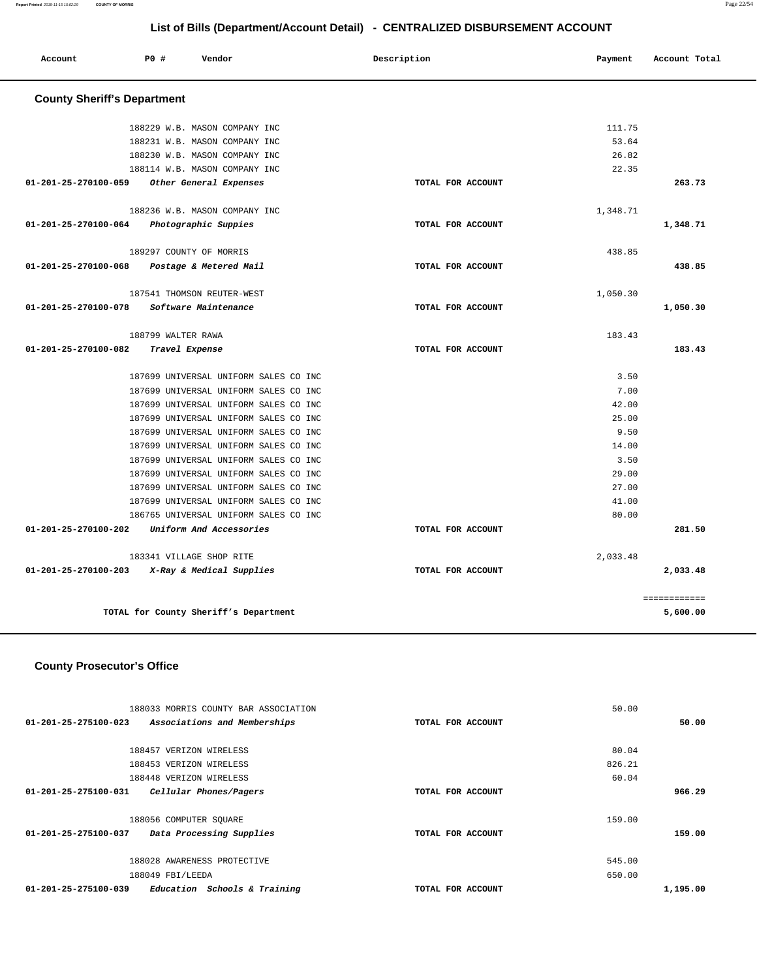**Report Printed** 2018-11-15 15:02:29 **COUNTY OF MORRIS** Page 22/54

## **List of Bills (Department/Account Detail) - CENTRALIZED DISBURSEMENT ACCOUNT**

| Account              | <b>PO #</b>                        | Vendor                                                                         | Description       | Payment        | Account Total |  |  |  |
|----------------------|------------------------------------|--------------------------------------------------------------------------------|-------------------|----------------|---------------|--|--|--|
|                      | <b>County Sheriff's Department</b> |                                                                                |                   |                |               |  |  |  |
|                      |                                    | 188229 W.B. MASON COMPANY INC                                                  |                   | 111.75         |               |  |  |  |
|                      |                                    | 188231 W.B. MASON COMPANY INC                                                  |                   | 53.64          |               |  |  |  |
|                      |                                    | 188230 W.B. MASON COMPANY INC                                                  |                   | 26.82          |               |  |  |  |
|                      |                                    | 188114 W.B. MASON COMPANY INC                                                  |                   | 22.35          |               |  |  |  |
| 01-201-25-270100-059 |                                    | Other General Expenses                                                         | TOTAL FOR ACCOUNT |                | 263.73        |  |  |  |
|                      |                                    | 188236 W.B. MASON COMPANY INC                                                  |                   | 1,348.71       |               |  |  |  |
| 01-201-25-270100-064 |                                    | Photographic Suppies                                                           | TOTAL FOR ACCOUNT |                | 1,348.71      |  |  |  |
|                      |                                    | 189297 COUNTY OF MORRIS                                                        |                   | 438.85         |               |  |  |  |
| 01-201-25-270100-068 |                                    | Postage & Metered Mail                                                         | TOTAL FOR ACCOUNT |                | 438.85        |  |  |  |
|                      |                                    | 187541 THOMSON REUTER-WEST                                                     |                   | 1,050.30       |               |  |  |  |
| 01-201-25-270100-078 |                                    | Software Maintenance                                                           | TOTAL FOR ACCOUNT |                | 1,050.30      |  |  |  |
|                      | 188799 WALTER RAWA                 |                                                                                |                   | 183.43         |               |  |  |  |
| 01-201-25-270100-082 |                                    | Travel Expense                                                                 | TOTAL FOR ACCOUNT |                | 183.43        |  |  |  |
|                      |                                    | 187699 UNIVERSAL UNIFORM SALES CO INC                                          |                   | 3.50           |               |  |  |  |
|                      |                                    | 187699 UNIVERSAL UNIFORM SALES CO INC                                          |                   | 7.00           |               |  |  |  |
|                      |                                    | 187699 UNIVERSAL UNIFORM SALES CO INC                                          |                   | 42.00          |               |  |  |  |
|                      |                                    | 187699 UNIVERSAL UNIFORM SALES CO INC                                          |                   | 25.00          |               |  |  |  |
|                      |                                    | 187699 UNIVERSAL UNIFORM SALES CO INC                                          |                   | 9.50           |               |  |  |  |
|                      |                                    | 187699 UNIVERSAL UNIFORM SALES CO INC                                          |                   | 14.00          |               |  |  |  |
|                      |                                    | 187699 UNIVERSAL UNIFORM SALES CO INC                                          |                   | 3.50           |               |  |  |  |
|                      |                                    | 187699 UNIVERSAL UNIFORM SALES CO INC                                          |                   | 29.00          |               |  |  |  |
|                      |                                    | 187699 UNIVERSAL UNIFORM SALES CO INC                                          |                   | 27.00          |               |  |  |  |
|                      |                                    | 187699 UNIVERSAL UNIFORM SALES CO INC<br>186765 UNIVERSAL UNIFORM SALES CO INC |                   | 41.00<br>80.00 |               |  |  |  |
| 01-201-25-270100-202 |                                    | Uniform And Accessories                                                        | TOTAL FOR ACCOUNT |                | 281.50        |  |  |  |
|                      |                                    | 183341 VILLAGE SHOP RITE                                                       |                   | 2,033.48       |               |  |  |  |
| 01-201-25-270100-203 |                                    | X-Ray & Medical Supplies                                                       | TOTAL FOR ACCOUNT |                | 2,033.48      |  |  |  |
|                      |                                    |                                                                                |                   |                | ============  |  |  |  |
|                      |                                    | TOTAL for County Sheriff's Department                                          |                   |                | 5,600.00      |  |  |  |

## **County Prosecutor's Office**

| 188033 MORRIS COUNTY BAR ASSOCIATION                           |                   | 50.00    |
|----------------------------------------------------------------|-------------------|----------|
| $01 - 201 - 25 - 275100 - 023$<br>Associations and Memberships | TOTAL FOR ACCOUNT | 50.00    |
|                                                                |                   |          |
| 188457 VERIZON WIRELESS                                        |                   | 80.04    |
| 188453 VERIZON WIRELESS                                        |                   | 826.21   |
| 188448 VERIZON WIRELESS                                        |                   | 60.04    |
| 01-201-25-275100-031<br>Cellular Phones/Pagers                 | TOTAL FOR ACCOUNT | 966.29   |
|                                                                |                   |          |
| 188056 COMPUTER SOUARE                                         |                   | 159.00   |
| 01-201-25-275100-037<br>Data Processing Supplies               | TOTAL FOR ACCOUNT | 159.00   |
|                                                                |                   |          |
| 188028 AWARENESS PROTECTIVE                                    |                   | 545.00   |
| 188049 FBI/LEEDA                                               |                   | 650.00   |
| 01-201-25-275100-039<br>Education Schools & Training           | TOTAL FOR ACCOUNT | 1,195.00 |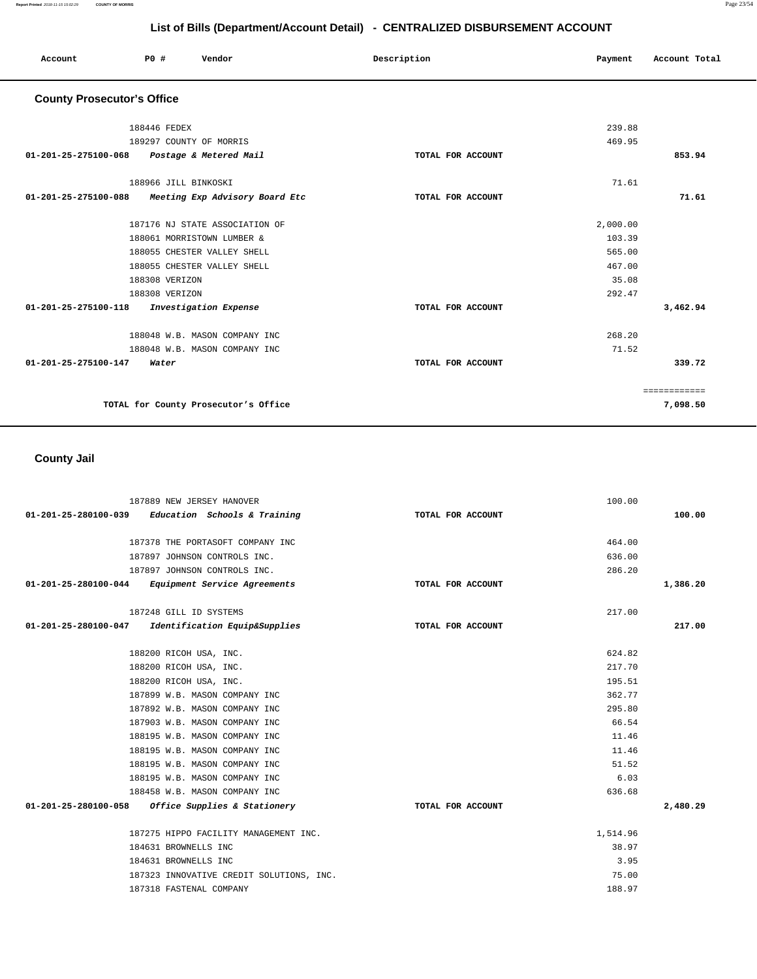| Account                           | PO#            | Vendor                               | Description       | Payment  | Account Total |
|-----------------------------------|----------------|--------------------------------------|-------------------|----------|---------------|
| <b>County Prosecutor's Office</b> |                |                                      |                   |          |               |
|                                   | 188446 FEDEX   |                                      |                   | 239.88   |               |
|                                   |                | 189297 COUNTY OF MORRIS              |                   | 469.95   |               |
| 01-201-25-275100-068              |                | Postage & Metered Mail               | TOTAL FOR ACCOUNT |          | 853.94        |
|                                   |                | 188966 JILL BINKOSKI                 |                   | 71.61    |               |
| 01-201-25-275100-088              |                | Meeting Exp Advisory Board Etc       | TOTAL FOR ACCOUNT |          | 71.61         |
|                                   |                | 187176 NJ STATE ASSOCIATION OF       |                   | 2,000.00 |               |
|                                   |                | 188061 MORRISTOWN LUMBER &           |                   | 103.39   |               |
|                                   |                | 188055 CHESTER VALLEY SHELL          |                   | 565.00   |               |
|                                   |                | 188055 CHESTER VALLEY SHELL          |                   | 467.00   |               |
|                                   | 188308 VERIZON |                                      |                   | 35.08    |               |
|                                   | 188308 VERIZON |                                      |                   | 292.47   |               |
| 01-201-25-275100-118              |                | Investigation Expense                | TOTAL FOR ACCOUNT |          | 3,462.94      |
|                                   |                | 188048 W.B. MASON COMPANY INC        |                   | 268.20   |               |
|                                   |                | 188048 W.B. MASON COMPANY INC        |                   | 71.52    |               |
| 01-201-25-275100-147              | Water          |                                      | TOTAL FOR ACCOUNT |          | 339.72        |
|                                   |                |                                      |                   |          | ============  |
|                                   |                | TOTAL for County Prosecutor's Office |                   |          | 7,098.50      |

## **County Jail**

| 187889 NEW JERSEY HANOVER                           |                   | 100.00   |          |
|-----------------------------------------------------|-------------------|----------|----------|
| $01-201-25-280100-039$ Education Schools & Training | TOTAL FOR ACCOUNT |          | 100.00   |
|                                                     |                   |          |          |
| 187378 THE PORTASOFT COMPANY INC                    |                   | 464.00   |          |
| 187897 JOHNSON CONTROLS INC.                        |                   | 636.00   |          |
| 187897 JOHNSON CONTROLS INC.                        |                   | 286.20   |          |
| 01-201-25-280100-044 Equipment Service Agreements   | TOTAL FOR ACCOUNT |          | 1,386.20 |
| 187248 GILL ID SYSTEMS                              |                   | 217.00   |          |
| 01-201-25-280100-047 Identification Equip&Supplies  | TOTAL FOR ACCOUNT |          | 217.00   |
| 188200 RICOH USA, INC.                              |                   | 624.82   |          |
| 188200 RICOH USA, INC.                              |                   | 217.70   |          |
| 188200 RICOH USA, INC.                              |                   | 195.51   |          |
| 187899 W.B. MASON COMPANY INC                       |                   | 362.77   |          |
| 187892 W.B. MASON COMPANY INC                       |                   | 295.80   |          |
| 187903 W.B. MASON COMPANY INC                       |                   | 66.54    |          |
| 188195 W.B. MASON COMPANY INC                       |                   | 11.46    |          |
| 188195 W.B. MASON COMPANY INC                       |                   | 11.46    |          |
| 188195 W.B. MASON COMPANY INC                       |                   | 51.52    |          |
| 188195 W.B. MASON COMPANY INC                       |                   | 6.03     |          |
| 188458 W.B. MASON COMPANY INC                       |                   | 636.68   |          |
| 01-201-25-280100-058 Office Supplies & Stationery   | TOTAL FOR ACCOUNT |          | 2,480.29 |
| 187275 HIPPO FACILITY MANAGEMENT INC.               |                   | 1,514.96 |          |
| 184631 BROWNELLS INC                                |                   | 38.97    |          |
| 184631 BROWNELLS INC                                |                   | 3.95     |          |
| 187323 INNOVATIVE CREDIT SOLUTIONS, INC.            |                   | 75.00    |          |
| 187318 FASTENAL COMPANY                             |                   | 188.97   |          |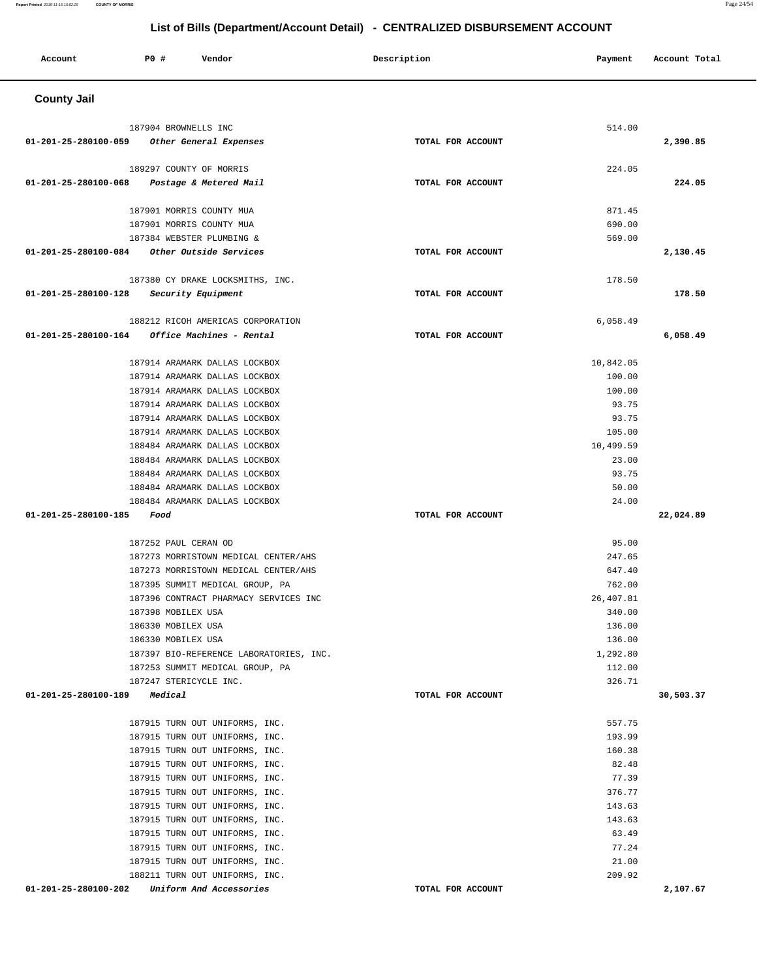**County Jail**  187904 BROWNELLS INC **01-201-25-280100-059 Other General Expenses TOTAL FOR ACCOUNT**  514.00 **2,390.85** 189297 COUNTY OF MORRIS **01-201-25-280100-068 Postage & Metered Mail TOTAL FOR ACCOUNT**  224.05 **224.05** 187901 MORRIS COUNTY MUA 187901 MORRIS COUNTY MUA 187384 WEBSTER PLUMBING & **01-201-25-280100-084 Other Outside Services TOTAL FOR ACCOUNT**  871.45 690.00 569.00 **2,130.45** 187380 CY DRAKE LOCKSMITHS, INC. **01-201-25-280100-128 Security Equipment TOTAL FOR ACCOUNT**  178.50 **178.50** 188212 RICOH AMERICAS CORPORATION **01-201-25-280100-164 Office Machines - Rental TOTAL FOR ACCOUNT**  6,058.49 **6,058.49** 187914 ARAMARK DALLAS LOCKBOX 187914 ARAMARK DALLAS LOCKBOX 187914 ARAMARK DALLAS LOCKBOX 187914 ARAMARK DALLAS LOCKBOX 187914 ARAMARK DALLAS LOCKBOX 187914 ARAMARK DALLAS LOCKBOX 188484 ARAMARK DALLAS LOCKBOX 188484 ARAMARK DALLAS LOCKBOX 188484 ARAMARK DALLAS LOCKBOX 188484 ARAMARK DALLAS LOCKBOX 188484 ARAMARK DALLAS LOCKBOX **01-201-25-280100-185 Food TOTAL FOR ACCOUNT**  10,842.05 100.00 100.00 93.75 93.75 105.00 10,499.59 23.00 93.75 50.00 24.00 **22,024.89** 187252 PAUL CERAN OD 187273 MORRISTOWN MEDICAL CENTER/AHS 187273 MORRISTOWN MEDICAL CENTER/AHS 187395 SUMMIT MEDICAL GROUP, PA 187396 CONTRACT PHARMACY SERVICES INC 187398 MOBILEX USA 186330 MOBILEX USA 186330 MOBILEX USA 187397 BIO-REFERENCE LABORATORIES, INC. 187253 SUMMIT MEDICAL GROUP, PA 187247 STERICYCLE INC. **01-201-25-280100-189 Medical TOTAL FOR ACCOUNT**  95.00 247.65 647.40 762.00 26,407.81 340.00 136.00 136.00 1,292.80 112.00 326.71 **30,503.37** 187915 TURN OUT UNIFORMS, INC. 187915 TURN OUT UNIFORMS, INC. 187915 TURN OUT UNIFORMS, INC. 187915 TURN OUT UNIFORMS, INC. 187915 TURN OUT UNIFORMS, INC. 187915 TURN OUT UNIFORMS, INC. 187915 TURN OUT UNIFORMS, INC. 187915 TURN OUT UNIFORMS, INC. 187915 TURN OUT UNIFORMS, INC. 187915 TURN OUT UNIFORMS, INC. 187915 TURN OUT UNIFORMS, INC. 188211 TURN OUT UNIFORMS, INC. 557.75 193.99 160.38 82.48 77.39 376.77 143.63 143.63 63.49 77.24 21.00 209.92

**01-201-25-280100-202 Uniform And Accessories TOTAL FOR ACCOUNT** 

**2,107.67** 

#### **List of Bills (Department/Account Detail) - CENTRALIZED DISBURSEMENT ACCOUNT**

 **Account P0 # Vendor Description Payment Account Total** 

**Report Printed** 2018-11-15 15:02:29 **COUNTY OF MORRIS** Page 24/54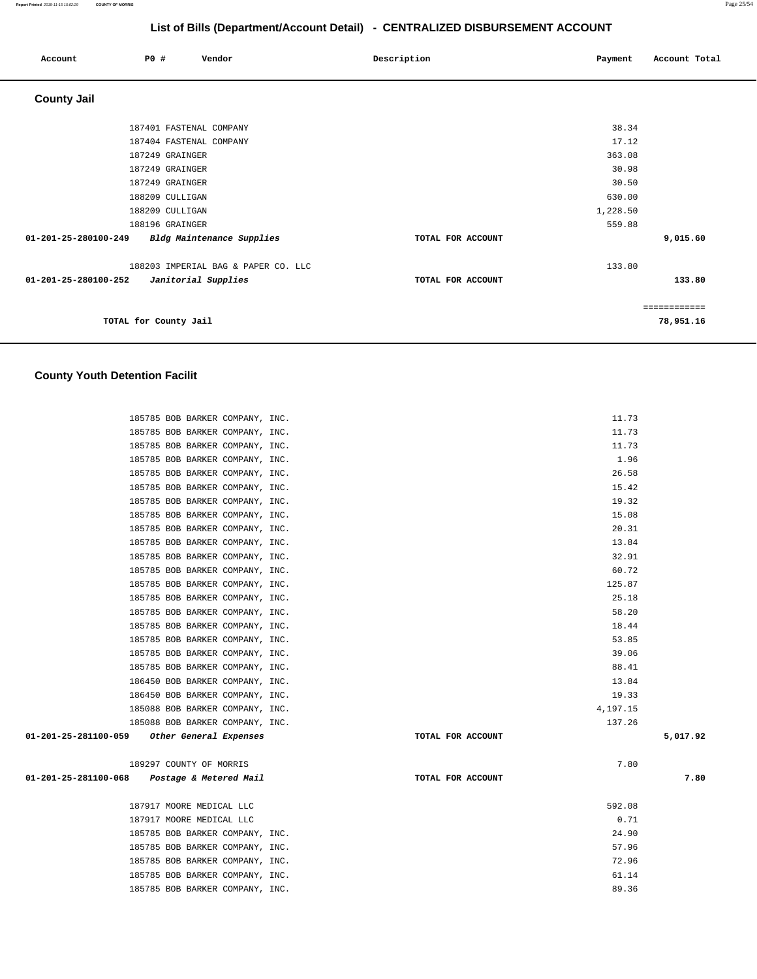| Account              | P0 #                  | Vendor                              | Description       | Payment         | Account Total |
|----------------------|-----------------------|-------------------------------------|-------------------|-----------------|---------------|
| <b>County Jail</b>   |                       |                                     |                   |                 |               |
|                      |                       | 187401 FASTENAL COMPANY             |                   | 38.34           |               |
|                      | 187249 GRAINGER       | 187404 FASTENAL COMPANY             |                   | 17.12<br>363.08 |               |
|                      | 187249 GRAINGER       |                                     |                   | 30.98           |               |
|                      | 187249 GRAINGER       |                                     |                   | 30.50           |               |
|                      | 188209 CULLIGAN       |                                     |                   | 630.00          |               |
|                      | 188209 CULLIGAN       |                                     |                   | 1,228.50        |               |
|                      | 188196 GRAINGER       |                                     |                   | 559.88          |               |
| 01-201-25-280100-249 |                       | Bldg Maintenance Supplies           | TOTAL FOR ACCOUNT |                 | 9,015.60      |
|                      |                       | 188203 IMPERIAL BAG & PAPER CO. LLC |                   | 133.80          |               |
| 01-201-25-280100-252 |                       | Janitorial Supplies                 | TOTAL FOR ACCOUNT |                 | 133.80        |
|                      |                       |                                     |                   |                 | ============  |
|                      | TOTAL for County Jail |                                     |                   |                 | 78,951.16     |

# **County Youth Detention Facilit**

| 185785 BOB BARKER COMPANY, INC.             | 11.73             |          |
|---------------------------------------------|-------------------|----------|
| 185785 BOB BARKER COMPANY, INC.             | 11.73             |          |
| 185785 BOB BARKER COMPANY, INC.             | 11.73             |          |
| 185785 BOB BARKER COMPANY, INC.             | 1.96              |          |
| 185785 BOB BARKER COMPANY, INC.             | 26.58             |          |
| 185785 BOB BARKER COMPANY, INC.             | 15.42             |          |
| 185785 BOB BARKER COMPANY, INC.             | 19.32             |          |
| 185785 BOB BARKER COMPANY, INC.             | 15.08             |          |
| 185785 BOB BARKER COMPANY, INC.             | 20.31             |          |
| 185785 BOB BARKER COMPANY, INC.             | 13.84             |          |
| 185785 BOB BARKER COMPANY, INC.             | 32.91             |          |
| 185785 BOB BARKER COMPANY, INC.             | 60.72             |          |
| 185785 BOB BARKER COMPANY, INC.             | 125.87            |          |
| 185785 BOB BARKER COMPANY, INC.             | 25.18             |          |
| 185785 BOB BARKER COMPANY, INC.             | 58.20             |          |
| 185785 BOB BARKER COMPANY, INC.             | 18.44             |          |
| 185785 BOB BARKER COMPANY, INC.             | 53.85             |          |
| 185785 BOB BARKER COMPANY, INC.             | 39.06             |          |
| 185785 BOB BARKER COMPANY, INC.             | 88.41             |          |
| 186450 BOB BARKER COMPANY, INC.             | 13.84             |          |
| 186450 BOB BARKER COMPANY, INC.             | 19.33             |          |
| 185088 BOB BARKER COMPANY, INC.             | 4,197.15          |          |
| 185088 BOB BARKER COMPANY, INC.             | 137.26            |          |
| 01-201-25-281100-059 Other General Expenses | TOTAL FOR ACCOUNT | 5,017.92 |
| 189297 COUNTY OF MORRIS                     | 7.80              |          |
| 01-201-25-281100-068 Postage & Metered Mail | TOTAL FOR ACCOUNT | 7.80     |
| 187917 MOORE MEDICAL LLC                    | 592.08            |          |
| 187917 MOORE MEDICAL LLC                    | 0.71              |          |
| 185785 BOB BARKER COMPANY, INC.             | 24.90             |          |
| 185785 BOB BARKER COMPANY, INC.             | 57.96             |          |
| 185785 BOB BARKER COMPANY, INC.             | 72.96             |          |
| 185785 BOB BARKER COMPANY, INC.             | 61.14             |          |
| 185785 BOB BARKER COMPANY, INC.             | 89.36             |          |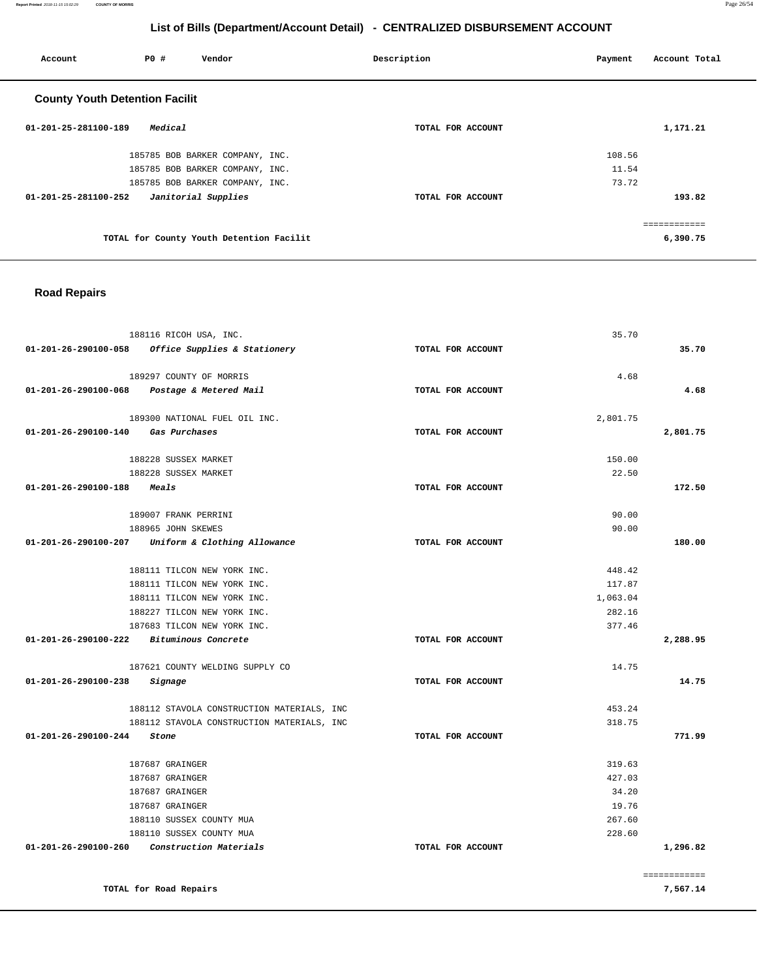**Report Printed** 2018-11-15 15:02:29 **COUNTY OF MORRIS** Page 26/54

## **List of Bills (Department/Account Detail) - CENTRALIZED DISBURSEMENT ACCOUNT**

| Account                               | P0 #    | Vendor                                   | Description       | Payment | Account Total |
|---------------------------------------|---------|------------------------------------------|-------------------|---------|---------------|
| <b>County Youth Detention Facilit</b> |         |                                          |                   |         |               |
| $01 - 201 - 25 - 281100 - 189$        | Medical |                                          | TOTAL FOR ACCOUNT |         | 1,171.21      |
|                                       |         | 185785 BOB BARKER COMPANY, INC.          |                   | 108.56  |               |
|                                       |         | 185785 BOB BARKER COMPANY, INC.          |                   | 11.54   |               |
|                                       |         | 185785 BOB BARKER COMPANY, INC.          |                   | 73.72   |               |
| 01-201-25-281100-252                  |         | Janitorial Supplies                      | TOTAL FOR ACCOUNT |         | 193.82        |
|                                       |         |                                          |                   |         | ------------  |
|                                       |         | TOTAL for County Youth Detention Facilit |                   |         | 6,390.75      |

## **Road Repairs**

| 188116 RICOH USA, INC.                            |                   | 35.70    |              |
|---------------------------------------------------|-------------------|----------|--------------|
| 01-201-26-290100-058 Office Supplies & Stationery | TOTAL FOR ACCOUNT |          | 35.70        |
| 189297 COUNTY OF MORRIS                           |                   | 4.68     |              |
| 01-201-26-290100-068 Postage & Metered Mail       | TOTAL FOR ACCOUNT |          | 4.68         |
| 189300 NATIONAL FUEL OIL INC.                     |                   | 2,801.75 |              |
| 01-201-26-290100-140 Gas Purchases                | TOTAL FOR ACCOUNT |          | 2,801.75     |
| 188228 SUSSEX MARKET                              |                   | 150.00   |              |
| 188228 SUSSEX MARKET                              |                   | 22.50    |              |
| 01-201-26-290100-188 Meals                        | TOTAL FOR ACCOUNT |          | 172.50       |
| 189007 FRANK PERRINI                              |                   | 90.00    |              |
| 188965 JOHN SKEWES                                |                   | 90.00    |              |
| 01-201-26-290100-207 Uniform & Clothing Allowance | TOTAL FOR ACCOUNT |          | 180.00       |
| 188111 TILCON NEW YORK INC.                       |                   | 448.42   |              |
| 188111 TILCON NEW YORK INC.                       |                   | 117.87   |              |
| 188111 TILCON NEW YORK INC.                       |                   | 1,063.04 |              |
| 188227 TILCON NEW YORK INC.                       |                   | 282.16   |              |
| 187683 TILCON NEW YORK INC.                       |                   | 377.46   |              |
| 01-201-26-290100-222 Bituminous Concrete          | TOTAL FOR ACCOUNT |          | 2,288.95     |
| 187621 COUNTY WELDING SUPPLY CO                   |                   | 14.75    |              |
| 01-201-26-290100-238<br>Signage                   | TOTAL FOR ACCOUNT |          | 14.75        |
| 188112 STAVOLA CONSTRUCTION MATERIALS, INC        |                   | 453.24   |              |
| 188112 STAVOLA CONSTRUCTION MATERIALS, INC        |                   | 318.75   |              |
| 01-201-26-290100-244 Stone                        | TOTAL FOR ACCOUNT |          | 771.99       |
| 187687 GRAINGER                                   |                   | 319.63   |              |
| 187687 GRAINGER                                   |                   | 427.03   |              |
| 187687 GRAINGER                                   |                   | 34.20    |              |
| 187687 GRAINGER                                   |                   | 19.76    |              |
| 188110 SUSSEX COUNTY MUA                          |                   | 267.60   |              |
| 188110 SUSSEX COUNTY MUA                          |                   | 228.60   |              |
| $01-201-26-290100-260$ Construction Materials     | TOTAL FOR ACCOUNT |          | 1,296.82     |
|                                                   |                   |          | ============ |
| TOTAL for Road Repairs                            |                   |          | 7,567.14     |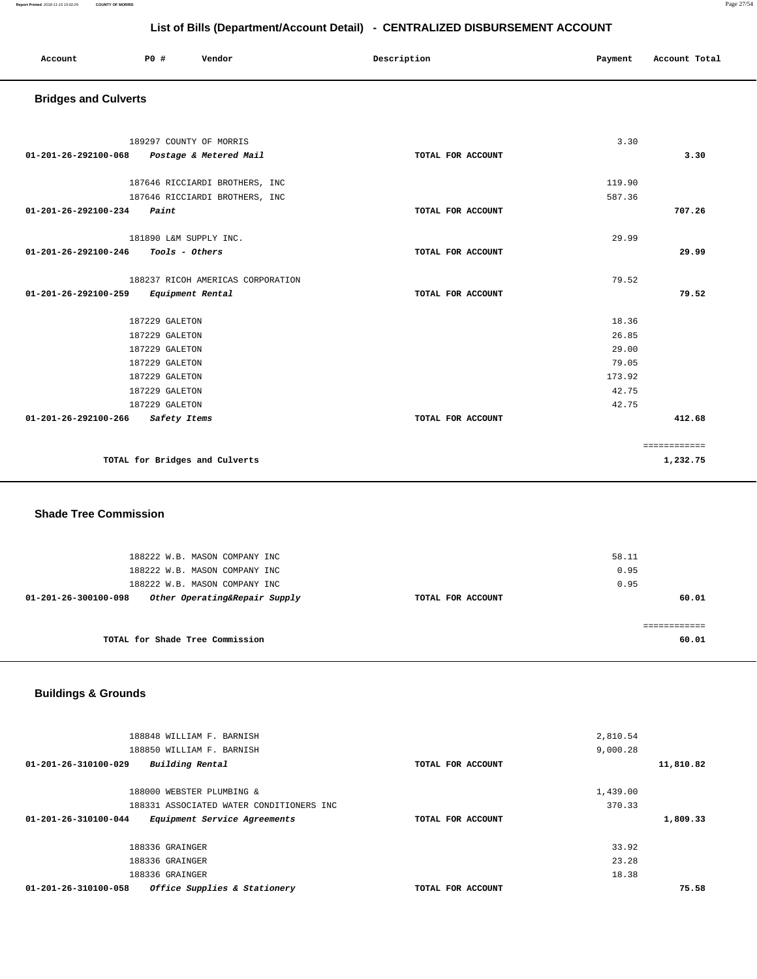**Report Printed** 2018-11-15 15:02:29 **COUNTY OF MORRIS** Page 27/54

## **List of Bills (Department/Account Detail) - CENTRALIZED DISBURSEMENT ACCOUNT**

| Account | PO# | Vendor | Description | Payment       | Account Total |
|---------|-----|--------|-------------|---------------|---------------|
| .       |     |        | .           | $\sim$ $\sim$ | .             |
|         |     |        |             |               |               |

## **Bridges and Culverts**

| 189297 COUNTY OF MORRIS                                          | 3.30   |              |
|------------------------------------------------------------------|--------|--------------|
| 01-201-26-292100-068 Postage & Metered Mail<br>TOTAL FOR ACCOUNT |        | 3.30         |
| 187646 RICCIARDI BROTHERS, INC                                   | 119.90 |              |
| 187646 RICCIARDI BROTHERS, INC                                   | 587.36 |              |
|                                                                  |        |              |
| Paint<br>01-201-26-292100-234<br>TOTAL FOR ACCOUNT               |        | 707.26       |
| 181890 L&M SUPPLY INC.                                           | 29.99  |              |
| Tools - Others<br>01-201-26-292100-246<br>TOTAL FOR ACCOUNT      |        | 29.99        |
|                                                                  |        |              |
| 188237 RICOH AMERICAS CORPORATION                                | 79.52  |              |
| 01-201-26-292100-259<br>Equipment Rental<br>TOTAL FOR ACCOUNT    |        | 79.52        |
| 187229 GALETON                                                   | 18.36  |              |
|                                                                  |        |              |
| 187229 GALETON                                                   | 26.85  |              |
| 187229 GALETON                                                   | 29.00  |              |
| 187229 GALETON                                                   | 79.05  |              |
| 187229 GALETON                                                   | 173.92 |              |
| 187229 GALETON                                                   | 42.75  |              |
| 187229 GALETON                                                   | 42.75  |              |
| 01-201-26-292100-266<br>Safety Items<br>TOTAL FOR ACCOUNT        |        | 412.68       |
|                                                                  |        | ============ |
| TOTAL for Bridges and Culverts                                   |        | 1,232.75     |

#### **Shade Tree Commission**

| 188222 W.B. MASON COMPANY INC<br>188222 W.B. MASON COMPANY INC<br>188222 W.B. MASON COMPANY INC |                   | 58.11<br>0.95<br>0.95 |
|-------------------------------------------------------------------------------------------------|-------------------|-----------------------|
| Other Operating&Repair Supply<br>01-201-26-300100-098                                           | TOTAL FOR ACCOUNT | 60.01                 |
| TOTAL for Shade Tree Commission                                                                 |                   | 60.01                 |

## **Buildings & Grounds**

| 188848 WILLIAM F. BARNISH<br>188850 WILLIAM F. BARNISH         |                   | 2,810.54<br>9,000.28 |
|----------------------------------------------------------------|-------------------|----------------------|
| Building Rental<br>$01 - 201 - 26 - 310100 - 029$              | TOTAL FOR ACCOUNT | 11,810.82            |
| 188000 WEBSTER PLUMBING &                                      |                   | 1,439.00             |
| 188331 ASSOCIATED WATER CONDITIONERS INC                       |                   | 370.33               |
| Equipment Service Agreements<br>$01 - 201 - 26 - 310100 - 044$ | TOTAL FOR ACCOUNT | 1,809.33             |
| 188336 GRAINGER                                                |                   | 33.92                |
|                                                                |                   |                      |
| 188336 GRAINGER                                                |                   | 23.28                |
| 188336 GRAINGER                                                |                   | 18.38                |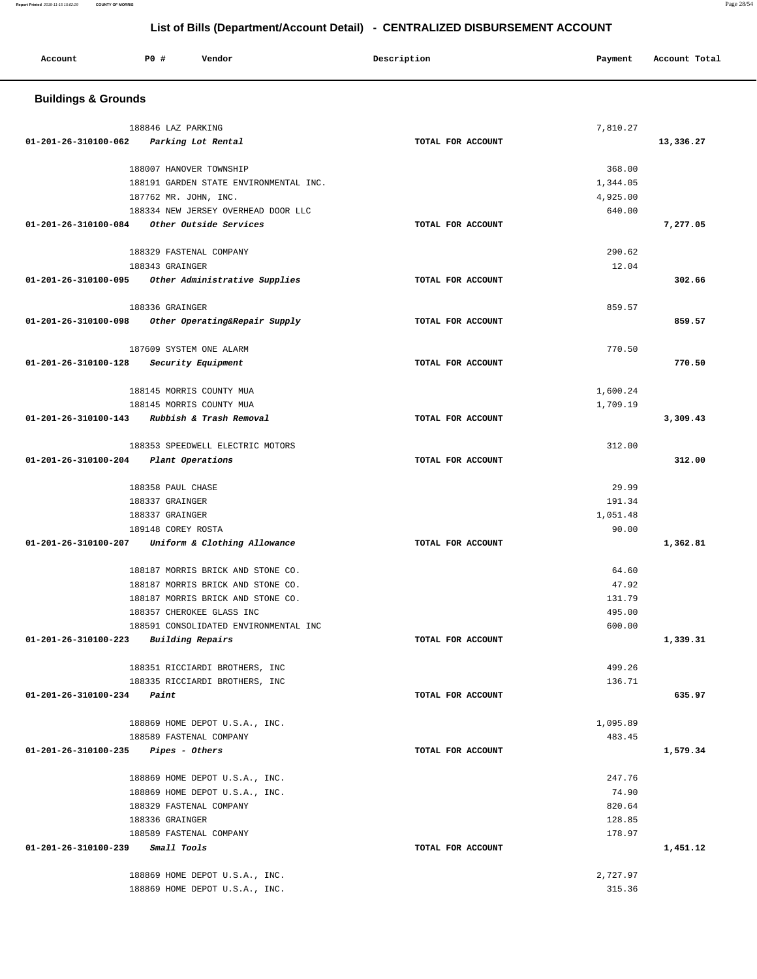| Account                                         | P0 # | Vendor                                                            | Description       | Payment  | Account Total |
|-------------------------------------------------|------|-------------------------------------------------------------------|-------------------|----------|---------------|
| <b>Buildings &amp; Grounds</b>                  |      |                                                                   |                   |          |               |
|                                                 |      | 188846 LAZ PARKING                                                |                   | 7,810.27 |               |
| 01-201-26-310100-062                            |      | Parking Lot Rental                                                | TOTAL FOR ACCOUNT |          | 13,336.27     |
|                                                 |      |                                                                   |                   | 368.00   |               |
|                                                 |      | 188007 HANOVER TOWNSHIP<br>188191 GARDEN STATE ENVIRONMENTAL INC. |                   | 1,344.05 |               |
|                                                 |      | 187762 MR. JOHN, INC.                                             |                   | 4,925.00 |               |
|                                                 |      | 188334 NEW JERSEY OVERHEAD DOOR LLC                               |                   | 640.00   |               |
|                                                 |      | 01-201-26-310100-084 Other Outside Services                       | TOTAL FOR ACCOUNT |          | 7,277.05      |
|                                                 |      | 188329 FASTENAL COMPANY                                           |                   | 290.62   |               |
|                                                 |      | 188343 GRAINGER                                                   |                   | 12.04    |               |
|                                                 |      | 01-201-26-310100-095 Other Administrative Supplies                | TOTAL FOR ACCOUNT |          | 302.66        |
|                                                 |      |                                                                   |                   |          |               |
| 01-201-26-310100-098                            |      | 188336 GRAINGER<br>Other Operating&Repair Supply                  | TOTAL FOR ACCOUNT | 859.57   | 859.57        |
|                                                 |      |                                                                   |                   |          |               |
|                                                 |      | 187609 SYSTEM ONE ALARM                                           |                   | 770.50   |               |
| 01-201-26-310100-128                            |      | <i>Security Equipment</i>                                         | TOTAL FOR ACCOUNT |          | 770.50        |
|                                                 |      | 188145 MORRIS COUNTY MUA                                          |                   | 1,600.24 |               |
|                                                 |      | 188145 MORRIS COUNTY MUA                                          |                   | 1,709.19 |               |
|                                                 |      | 01-201-26-310100-143 Rubbish & Trash Removal                      | TOTAL FOR ACCOUNT |          | 3,309.43      |
|                                                 |      | 188353 SPEEDWELL ELECTRIC MOTORS                                  |                   | 312.00   |               |
| 01-201-26-310100-204 Plant Operations           |      |                                                                   | TOTAL FOR ACCOUNT |          | 312.00        |
|                                                 |      |                                                                   |                   |          |               |
|                                                 |      | 188358 PAUL CHASE                                                 |                   | 29.99    |               |
|                                                 |      | 188337 GRAINGER                                                   |                   | 191.34   |               |
|                                                 |      | 188337 GRAINGER                                                   |                   | 1,051.48 |               |
| 01-201-26-310100-207                            |      | 189148 COREY ROSTA<br>Uniform & Clothing Allowance                | TOTAL FOR ACCOUNT | 90.00    | 1,362.81      |
|                                                 |      |                                                                   |                   |          |               |
|                                                 |      | 188187 MORRIS BRICK AND STONE CO.                                 |                   | 64.60    |               |
|                                                 |      | 188187 MORRIS BRICK AND STONE CO.                                 |                   | 47.92    |               |
|                                                 |      | 188187 MORRIS BRICK AND STONE CO.                                 |                   | 131.79   |               |
|                                                 |      | 188357 CHEROKEE GLASS INC                                         |                   | 495.00   |               |
| $01 - 201 - 26 - 310100 - 223$ Building Repairs |      | 188591 CONSOLIDATED ENVIRONMENTAL INC                             | TOTAL FOR ACCOUNT | 600.00   | 1,339.31      |
|                                                 |      |                                                                   |                   |          |               |
|                                                 |      | 188351 RICCIARDI BROTHERS, INC                                    |                   | 499.26   |               |
|                                                 |      | 188335 RICCIARDI BROTHERS, INC                                    |                   | 136.71   |               |
| $01 - 201 - 26 - 310100 - 234$ Paint            |      |                                                                   | TOTAL FOR ACCOUNT |          | 635.97        |
|                                                 |      | 188869 HOME DEPOT U.S.A., INC.                                    |                   | 1,095.89 |               |
|                                                 |      | 188589 FASTENAL COMPANY                                           |                   | 483.45   |               |
| $01-201-26-310100-235$ Pipes - Others           |      |                                                                   | TOTAL FOR ACCOUNT |          | 1,579.34      |
|                                                 |      | 188869 HOME DEPOT U.S.A., INC.                                    |                   | 247.76   |               |
|                                                 |      | 188869 HOME DEPOT U.S.A., INC.                                    |                   | 74.90    |               |
|                                                 |      | 188329 FASTENAL COMPANY                                           |                   | 820.64   |               |
|                                                 |      | 188336 GRAINGER                                                   |                   | 128.85   |               |
|                                                 |      | 188589 FASTENAL COMPANY                                           |                   | 178.97   |               |
| $01 - 201 - 26 - 310100 - 239$ Small Tools      |      |                                                                   | TOTAL FOR ACCOUNT |          | 1,451.12      |
|                                                 |      | 188869 HOME DEPOT U.S.A., INC.                                    |                   | 2,727.97 |               |
|                                                 |      | 188869 HOME DEPOT U.S.A., INC.                                    |                   | 315.36   |               |
|                                                 |      |                                                                   |                   |          |               |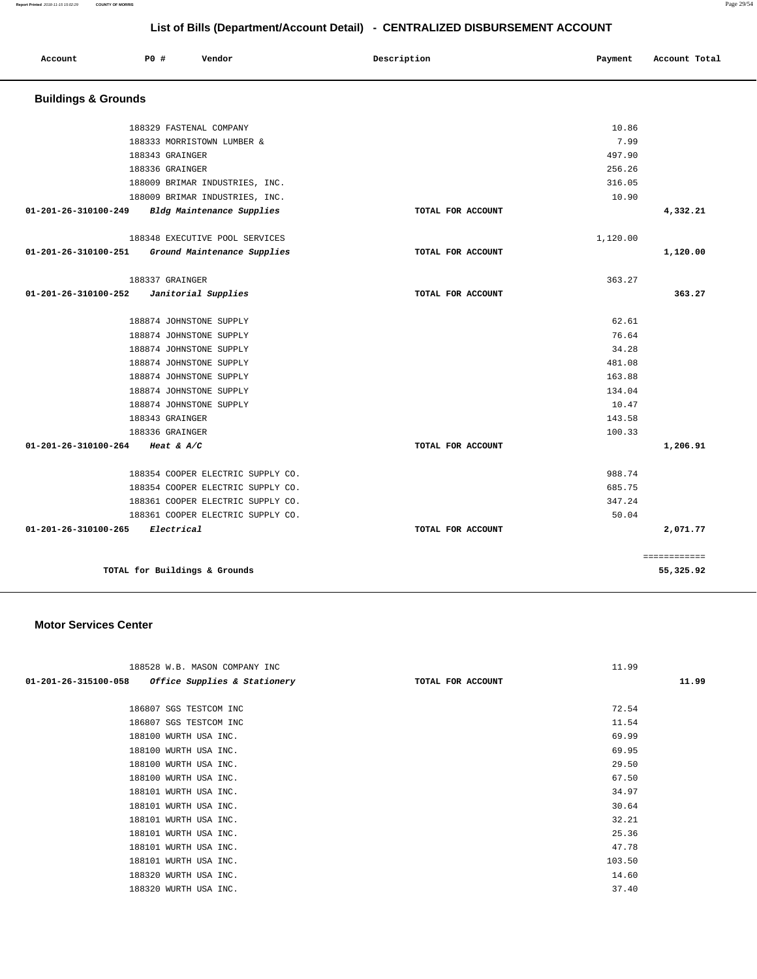**Report Printed** 2018-11-15 15:02:29 **COUNTY OF MORRIS** Page 29/54

## **List of Bills (Department/Account Detail) - CENTRALIZED DISBURSEMENT ACCOUNT**

| Account                        | <b>PO #</b><br>Vendor             | Description       | Payment  | Account Total |
|--------------------------------|-----------------------------------|-------------------|----------|---------------|
| <b>Buildings &amp; Grounds</b> |                                   |                   |          |               |
|                                | 188329 FASTENAL COMPANY           |                   | 10.86    |               |
|                                | 188333 MORRISTOWN LUMBER &        |                   | 7.99     |               |
|                                | 188343 GRAINGER                   |                   | 497.90   |               |
|                                | 188336 GRAINGER                   |                   | 256.26   |               |
|                                | 188009 BRIMAR INDUSTRIES, INC.    |                   | 316.05   |               |
|                                | 188009 BRIMAR INDUSTRIES, INC.    |                   | 10.90    |               |
| 01-201-26-310100-249           | Bldg Maintenance Supplies         | TOTAL FOR ACCOUNT |          | 4,332.21      |
|                                | 188348 EXECUTIVE POOL SERVICES    |                   | 1,120.00 |               |
| 01-201-26-310100-251           | Ground Maintenance Supplies       | TOTAL FOR ACCOUNT |          | 1,120.00      |
|                                | 188337 GRAINGER                   |                   | 363.27   |               |
| 01-201-26-310100-252           | Janitorial Supplies               | TOTAL FOR ACCOUNT |          | 363.27        |
|                                | 188874 JOHNSTONE SUPPLY           |                   | 62.61    |               |
|                                | 188874 JOHNSTONE SUPPLY           |                   | 76.64    |               |
|                                | 188874 JOHNSTONE SUPPLY           |                   | 34.28    |               |
|                                | 188874 JOHNSTONE SUPPLY           |                   | 481.08   |               |
|                                | 188874 JOHNSTONE SUPPLY           |                   | 163.88   |               |
|                                | 188874 JOHNSTONE SUPPLY           |                   | 134.04   |               |
|                                | 188874 JOHNSTONE SUPPLY           |                   | 10.47    |               |
|                                | 188343 GRAINGER                   |                   | 143.58   |               |
|                                | 188336 GRAINGER                   |                   | 100.33   |               |
| 01-201-26-310100-264           | Heat & $A/C$                      | TOTAL FOR ACCOUNT |          | 1,206.91      |
|                                | 188354 COOPER ELECTRIC SUPPLY CO. |                   | 988.74   |               |
|                                | 188354 COOPER ELECTRIC SUPPLY CO. |                   | 685.75   |               |
|                                | 188361 COOPER ELECTRIC SUPPLY CO. |                   | 347.24   |               |
|                                | 188361 COOPER ELECTRIC SUPPLY CO. |                   | 50.04    |               |
| 01-201-26-310100-265           | Electrical                        | TOTAL FOR ACCOUNT |          | 2,071.77      |
|                                |                                   |                   |          | ============  |
|                                | TOTAL for Buildings & Grounds     |                   |          | 55,325.92     |

#### **Motor Services Center**

| 188528 W.B. MASON COMPANY INC                     |                   | 11.99  |       |
|---------------------------------------------------|-------------------|--------|-------|
| 01-201-26-315100-058 Office Supplies & Stationery | TOTAL FOR ACCOUNT |        | 11.99 |
|                                                   |                   |        |       |
| 186807 SGS TESTCOM INC                            |                   | 72.54  |       |
| 186807 SGS TESTCOM INC                            |                   | 11.54  |       |
| 188100 WURTH USA INC.                             |                   | 69.99  |       |
| 188100 WURTH USA INC.                             |                   | 69.95  |       |
| 188100 WURTH USA INC.                             |                   | 29.50  |       |
| 188100 WURTH USA INC.                             |                   | 67.50  |       |
| 188101 WURTH USA INC.                             |                   | 34.97  |       |
| 188101 WURTH USA INC.                             |                   | 30.64  |       |
| 188101 WURTH USA INC.                             |                   | 32.21  |       |
| 188101 WURTH USA INC.                             |                   | 25.36  |       |
| 188101 WURTH USA INC.                             |                   | 47.78  |       |
| 188101 WURTH USA INC.                             |                   | 103.50 |       |
| 188320 WURTH USA INC.                             |                   | 14.60  |       |
| 188320 WURTH USA INC.                             |                   | 37.40  |       |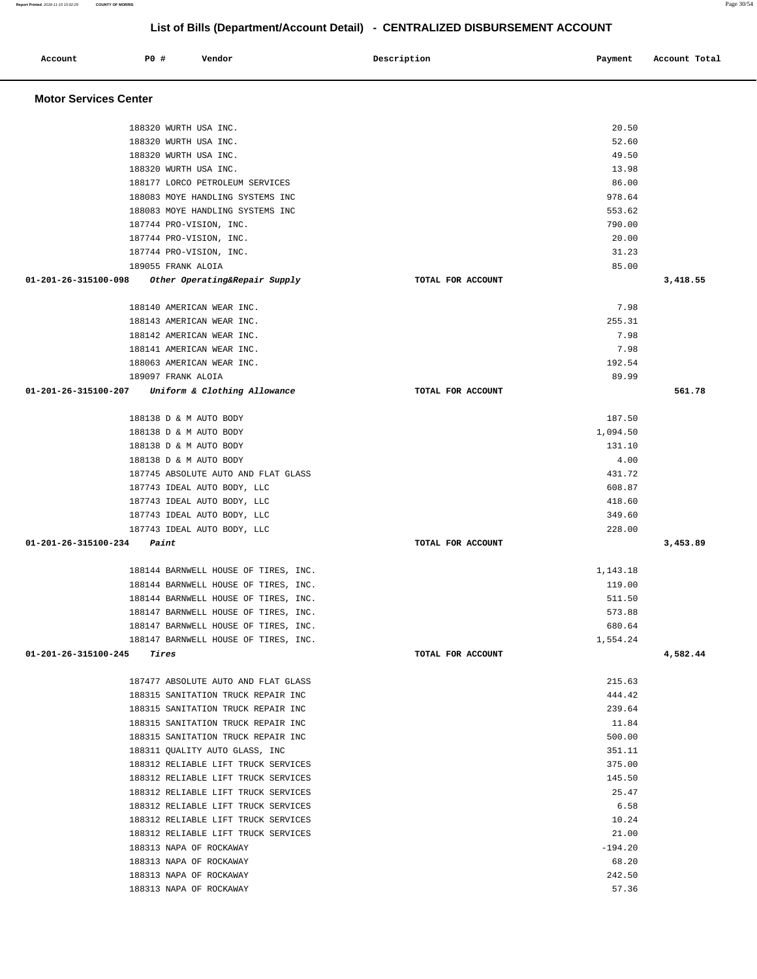**Report Printed** 2018-11-15 15:02:29 **COUNTY OF MORRIS** Page 30/54 **List of Bills (Department/Account Detail) - CENTRALIZED DISBURSEMENT ACCOUNT**

| Account                              | P0 # | Vendor                                                                       | Description       | Payment          | Account Total |
|--------------------------------------|------|------------------------------------------------------------------------------|-------------------|------------------|---------------|
| <b>Motor Services Center</b>         |      |                                                                              |                   |                  |               |
|                                      |      | 188320 WURTH USA INC.                                                        |                   | 20.50            |               |
|                                      |      | 188320 WURTH USA INC.                                                        |                   | 52.60            |               |
|                                      |      | 188320 WURTH USA INC.                                                        |                   | 49.50            |               |
|                                      |      | 188320 WURTH USA INC.                                                        |                   | 13.98            |               |
|                                      |      | 188177 LORCO PETROLEUM SERVICES                                              |                   | 86.00            |               |
|                                      |      | 188083 MOYE HANDLING SYSTEMS INC                                             |                   | 978.64           |               |
|                                      |      | 188083 MOYE HANDLING SYSTEMS INC                                             |                   | 553.62           |               |
|                                      |      | 187744 PRO-VISION, INC.                                                      |                   | 790.00           |               |
|                                      |      | 187744 PRO-VISION, INC.                                                      |                   | 20.00            |               |
|                                      |      | 187744 PRO-VISION, INC.                                                      |                   | 31.23            |               |
|                                      |      | 189055 FRANK ALOIA                                                           |                   | 85.00            |               |
| 01-201-26-315100-098                 |      | Other Operating&Repair Supply                                                | TOTAL FOR ACCOUNT |                  | 3,418.55      |
|                                      |      | 188140 AMERICAN WEAR INC.                                                    |                   | 7.98             |               |
|                                      |      | 188143 AMERICAN WEAR INC.                                                    |                   | 255.31           |               |
|                                      |      | 188142 AMERICAN WEAR INC.                                                    |                   | 7.98             |               |
|                                      |      | 188141 AMERICAN WEAR INC.                                                    |                   | 7.98             |               |
|                                      |      | 188063 AMERICAN WEAR INC.                                                    |                   | 192.54           |               |
|                                      |      | 189097 FRANK ALOIA                                                           |                   | 89.99            |               |
|                                      |      | 01-201-26-315100-207 Uniform & Clothing Allowance                            | TOTAL FOR ACCOUNT |                  | 561.78        |
|                                      |      | 188138 D & M AUTO BODY                                                       |                   | 187.50           |               |
|                                      |      | 188138 D & M AUTO BODY                                                       |                   | 1,094.50         |               |
|                                      |      | 188138 D & M AUTO BODY                                                       |                   | 131.10           |               |
|                                      |      | 188138 D & M AUTO BODY                                                       |                   | 4.00             |               |
|                                      |      | 187745 ABSOLUTE AUTO AND FLAT GLASS                                          |                   | 431.72           |               |
|                                      |      | 187743 IDEAL AUTO BODY, LLC                                                  |                   | 608.87           |               |
|                                      |      | 187743 IDEAL AUTO BODY, LLC                                                  |                   | 418.60<br>349.60 |               |
|                                      |      | 187743 IDEAL AUTO BODY, LLC<br>187743 IDEAL AUTO BODY, LLC                   |                   | 228.00           |               |
| $01 - 201 - 26 - 315100 - 234$ Paint |      |                                                                              | TOTAL FOR ACCOUNT |                  | 3,453.89      |
|                                      |      |                                                                              |                   |                  |               |
|                                      |      | 188144 BARNWELL HOUSE OF TIRES, INC.                                         |                   | 1,143.18         |               |
|                                      |      | 188144 BARNWELL HOUSE OF TIRES, INC.<br>188144 BARNWELL HOUSE OF TIRES, INC. |                   | 119.00<br>511.50 |               |
|                                      |      | 188147 BARNWELL HOUSE OF TIRES, INC.                                         |                   | 573.88           |               |
|                                      |      | 188147 BARNWELL HOUSE OF TIRES, INC.                                         |                   | 680.64           |               |
|                                      |      | 188147 BARNWELL HOUSE OF TIRES, INC.                                         |                   | 1,554.24         |               |
| $01 - 201 - 26 - 315100 - 245$ Tires |      |                                                                              | TOTAL FOR ACCOUNT |                  | 4,582.44      |
|                                      |      |                                                                              |                   |                  |               |
|                                      |      | 187477 ABSOLUTE AUTO AND FLAT GLASS                                          |                   | 215.63           |               |
|                                      |      | 188315 SANITATION TRUCK REPAIR INC                                           |                   | 444.42<br>239.64 |               |
|                                      |      | 188315 SANITATION TRUCK REPAIR INC<br>188315 SANITATION TRUCK REPAIR INC     |                   | 11.84            |               |
|                                      |      | 188315 SANITATION TRUCK REPAIR INC                                           |                   | 500.00           |               |
|                                      |      | 188311 OUALITY AUTO GLASS, INC                                               |                   | 351.11           |               |
|                                      |      | 188312 RELIABLE LIFT TRUCK SERVICES                                          |                   | 375.00           |               |
|                                      |      | 188312 RELIABLE LIFT TRUCK SERVICES                                          |                   | 145.50           |               |
|                                      |      | 188312 RELIABLE LIFT TRUCK SERVICES                                          |                   | 25.47            |               |
|                                      |      | 188312 RELIABLE LIFT TRUCK SERVICES                                          |                   | 6.58             |               |
|                                      |      | 188312 RELIABLE LIFT TRUCK SERVICES                                          |                   | 10.24            |               |
|                                      |      | 188312 RELIABLE LIFT TRUCK SERVICES                                          |                   | 21.00            |               |
|                                      |      | 188313 NAPA OF ROCKAWAY                                                      |                   | $-194.20$        |               |
|                                      |      | 188313 NAPA OF ROCKAWAY                                                      |                   | 68.20            |               |
|                                      |      | 188313 NAPA OF ROCKAWAY                                                      |                   | 242.50           |               |
|                                      |      | 188313 NAPA OF ROCKAWAY                                                      |                   | 57.36            |               |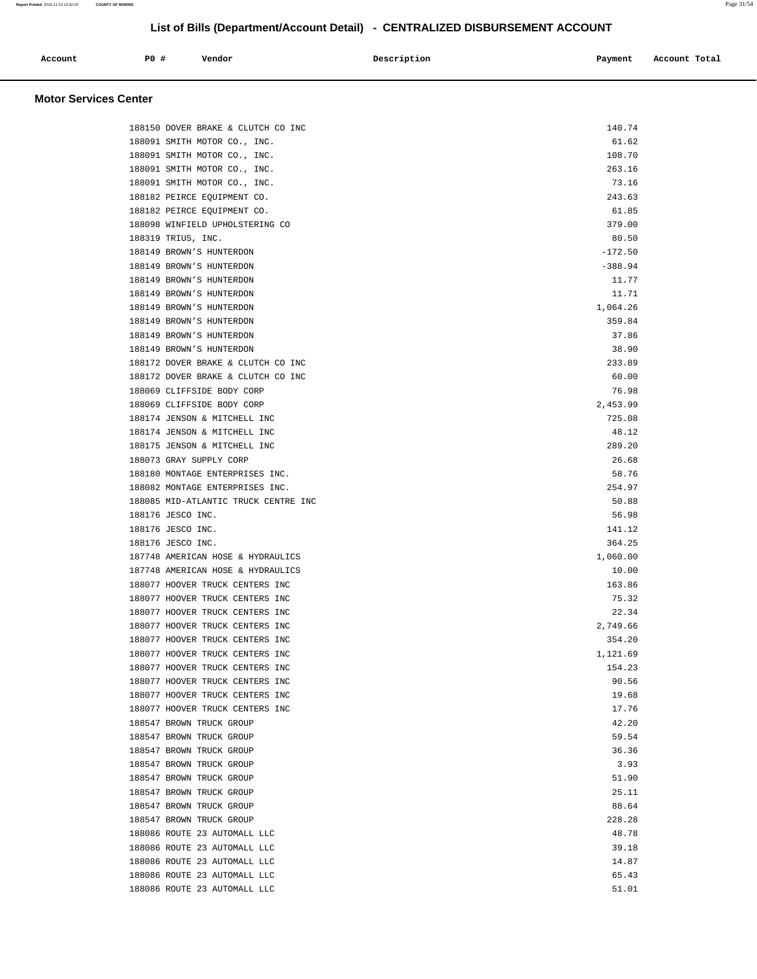| Account | PO# | Vendor | Description | Payment | Account Total |
|---------|-----|--------|-------------|---------|---------------|
|         |     |        |             |         |               |

## **Motor Services Center**

| 188150 DOVER BRAKE & CLUTCH CO INC   | 140.74    |
|--------------------------------------|-----------|
| 188091 SMITH MOTOR CO., INC.         | 61.62     |
| 188091 SMITH MOTOR CO., INC.         | 108.70    |
| 188091 SMITH MOTOR CO., INC.         | 263.16    |
| 188091 SMITH MOTOR CO., INC.         | 73.16     |
| 188182 PEIRCE EQUIPMENT CO.          | 243.63    |
| 188182 PEIRCE EQUIPMENT CO.          | 61.85     |
| 188098 WINFIELD UPHOLSTERING CO      | 379.00    |
| 188319 TRIUS, INC.                   | 80.50     |
| 188149 BROWN'S HUNTERDON             | $-172.50$ |
| 188149 BROWN'S HUNTERDON             | $-388.94$ |
| 188149 BROWN'S HUNTERDON             | 11.77     |
| 188149 BROWN'S HUNTERDON             | 11.71     |
| 188149 BROWN'S HUNTERDON             | 1,064.26  |
| 188149 BROWN'S HUNTERDON             | 359.84    |
| 188149 BROWN'S HUNTERDON             | 37.86     |
| 188149 BROWN'S HUNTERDON             | 38.90     |
| 188172 DOVER BRAKE & CLUTCH CO INC   | 233.89    |
| 188172 DOVER BRAKE & CLUTCH CO INC   | 60.00     |
| 188069 CLIFFSIDE BODY CORP           | 76.98     |
| 188069 CLIFFSIDE BODY CORP           | 2,453.99  |
| 188174 JENSON & MITCHELL INC         | 725.08    |
| 188174 JENSON & MITCHELL INC         | 48.12     |
| 188175 JENSON & MITCHELL INC         | 289.20    |
| 188073 GRAY SUPPLY CORP              | 26.68     |
| 188180 MONTAGE ENTERPRISES INC.      | 58.76     |
| 188082 MONTAGE ENTERPRISES INC.      | 254.97    |
| 188085 MID-ATLANTIC TRUCK CENTRE INC | 50.88     |
| 188176 JESCO INC.                    | 56.98     |
| 188176 JESCO INC.                    | 141.12    |
| 188176 JESCO INC.                    | 364.25    |
| 187748 AMERICAN HOSE & HYDRAULICS    | 1,060.00  |
| 187748 AMERICAN HOSE & HYDRAULICS    | 10.00     |
| 188077 HOOVER TRUCK CENTERS INC      | 163.86    |
| 188077 HOOVER TRUCK CENTERS INC      | 75.32     |
| 188077 HOOVER TRUCK CENTERS INC      | 22.34     |
| 188077 HOOVER TRUCK CENTERS INC      | 2,749.66  |
| 188077 HOOVER TRUCK CENTERS INC      | 354.20    |
| 188077 HOOVER TRUCK CENTERS INC      | 1,121.69  |
| 188077 HOOVER TRUCK CENTERS INC      | 154.23    |
| 188077 HOOVER TRUCK CENTERS INC      | 90.56     |
| 188077 HOOVER TRUCK CENTERS INC      | 19.68     |
| 188077 HOOVER TRUCK CENTERS INC      | 17.76     |
| 188547 BROWN TRUCK GROUP             | 42.20     |
| 188547 BROWN TRUCK GROUP             | 59.54     |
| 188547 BROWN TRUCK GROUP             | 36.36     |
| 188547 BROWN TRUCK GROUP             | 3.93      |
| 188547 BROWN TRUCK GROUP             | 51.90     |
| 188547 BROWN TRUCK GROUP             | 25.11     |
| 188547 BROWN TRUCK GROUP             | 88.64     |
| 188547 BROWN TRUCK GROUP             | 228.28    |
| 188086 ROUTE 23 AUTOMALL LLC         | 48.78     |
| 188086 ROUTE 23 AUTOMALL LLC         | 39.18     |
| 188086 ROUTE 23 AUTOMALL LLC         | 14.87     |
| 188086 ROUTE 23 AUTOMALL LLC         | 65.43     |
| 188086 ROUTE 23 AUTOMALL LLC         | 51.01     |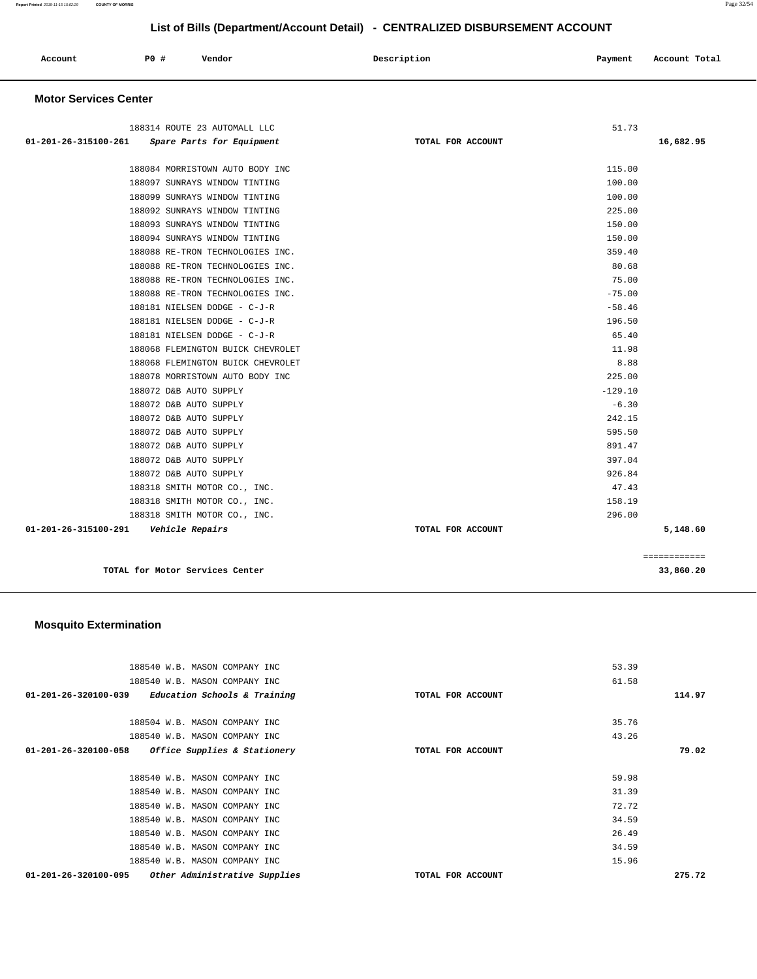| Account | P0 # | Vendor | Description | Payment | Account Total |
|---------|------|--------|-------------|---------|---------------|
|         |      |        |             |         |               |

## **Motor Services Center**

| 188314 ROUTE 23 AUTOMALL LLC                      |                   | 51.73     |
|---------------------------------------------------|-------------------|-----------|
| 01-201-26-315100-261<br>Spare Parts for Equipment | TOTAL FOR ACCOUNT | 16,682.95 |
|                                                   |                   |           |
| 188084 MORRISTOWN AUTO BODY INC                   |                   | 115.00    |
| 188097 SUNRAYS WINDOW TINTING                     |                   | 100.00    |
| 188099 SUNRAYS WINDOW TINTING                     |                   | 100.00    |
| 188092 SUNRAYS WINDOW TINTING                     |                   | 225.00    |
| 188093 SUNRAYS WINDOW TINTING                     |                   | 150.00    |
| 188094 SUNRAYS WINDOW TINTING                     |                   | 150.00    |
| 188088 RE-TRON TECHNOLOGIES INC.                  |                   | 359.40    |
| 188088 RE-TRON TECHNOLOGIES INC.                  |                   | 80.68     |
| 188088 RE-TRON TECHNOLOGIES INC.                  |                   | 75.00     |
| 188088 RE-TRON TECHNOLOGIES INC.                  |                   | $-75.00$  |
| 188181 NIELSEN DODGE - C-J-R                      |                   | $-58.46$  |
| 188181 NIELSEN DODGE - C-J-R                      |                   | 196.50    |
| 188181 NIELSEN DODGE - C-J-R                      |                   | 65.40     |
| 188068 FLEMINGTON BUICK CHEVROLET                 |                   | 11.98     |
| 188068 FLEMINGTON BUICK CHEVROLET                 |                   | 8.88      |
| 188078 MORRISTOWN AUTO BODY INC                   |                   | 225.00    |
| 188072 D&B AUTO SUPPLY                            |                   | $-129.10$ |
| 188072 D&B AUTO SUPPLY                            |                   | $-6.30$   |
| 188072 D&B AUTO SUPPLY                            |                   | 242.15    |
| 188072 D&B AUTO SUPPLY                            |                   | 595.50    |
| 188072 D&B AUTO SUPPLY                            |                   | 891.47    |
| 188072 D&B AUTO SUPPLY                            |                   | 397.04    |
| 188072 D&B AUTO SUPPLY                            |                   | 926.84    |
| 188318 SMITH MOTOR CO., INC.                      |                   | 47.43     |
| 188318 SMITH MOTOR CO., INC.                      |                   | 158.19    |
| 188318 SMITH MOTOR CO., INC.                      |                   | 296.00    |
| 01-201-26-315100-291<br>Vehicle Repairs           | TOTAL FOR ACCOUNT | 5,148.60  |
|                                                   |                   |           |

**TOTAL for Motor Services Center 33,860.20** 

============

## **Mosquito Extermination**

| 188540 W.B. MASON COMPANY INC                         |                   | 53.39  |
|-------------------------------------------------------|-------------------|--------|
| 188540 W.B. MASON COMPANY INC                         |                   | 61.58  |
| $01-201-26-320100-039$ Education Schools & Training   | TOTAL FOR ACCOUNT | 114.97 |
|                                                       |                   |        |
| 188504 W.B. MASON COMPANY INC                         |                   | 35.76  |
| 188540 W.B. MASON COMPANY INC                         |                   | 43.26  |
| Office Supplies & Stationery<br>01-201-26-320100-058  | TOTAL FOR ACCOUNT | 79.02  |
|                                                       |                   |        |
| 188540 W.B. MASON COMPANY INC                         |                   | 59.98  |
| 188540 W.B. MASON COMPANY INC                         |                   | 31.39  |
| 188540 W.B. MASON COMPANY INC                         |                   | 72.72  |
| 188540 W.B. MASON COMPANY INC                         |                   | 34.59  |
| 188540 W.B. MASON COMPANY INC                         |                   | 26.49  |
| 188540 W.B. MASON COMPANY INC                         |                   | 34.59  |
| 188540 W.B. MASON COMPANY INC                         |                   | 15.96  |
| Other Administrative Supplies<br>01-201-26-320100-095 | TOTAL FOR ACCOUNT | 275.72 |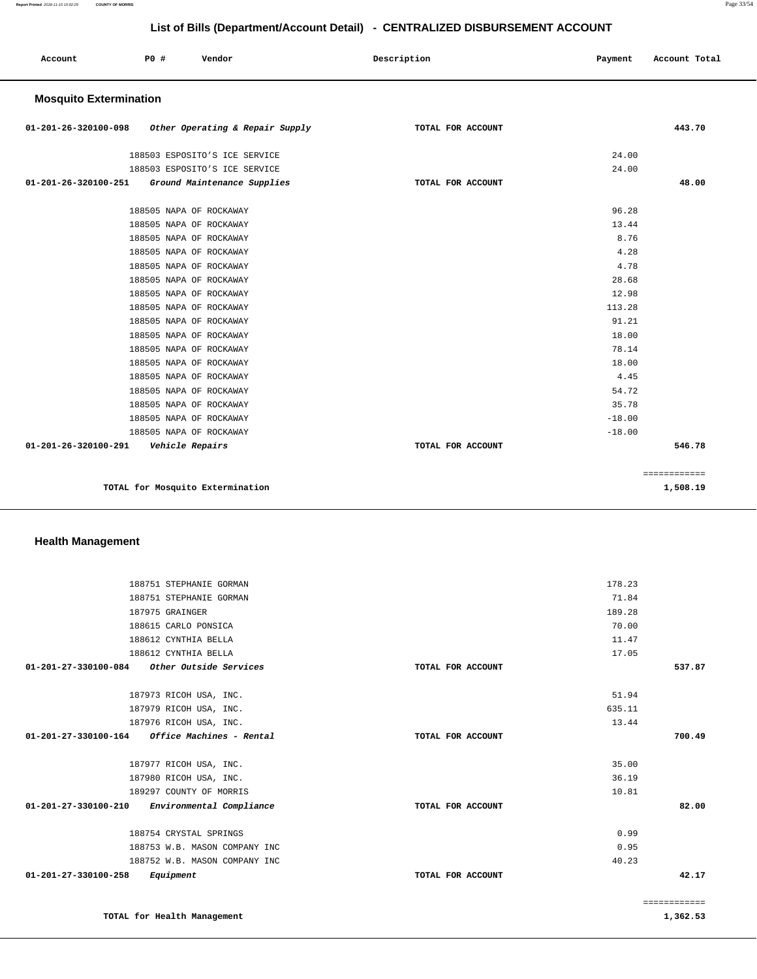============

|                               |                 |                                                                                                                                                                                                                                                                                                                                                                                                                                                                         | List of Bills (Department/Account Detail) - CENTRALIZED DISBURSEMENT ACCOUNT |                                                                                                                                                          |               |
|-------------------------------|-----------------|-------------------------------------------------------------------------------------------------------------------------------------------------------------------------------------------------------------------------------------------------------------------------------------------------------------------------------------------------------------------------------------------------------------------------------------------------------------------------|------------------------------------------------------------------------------|----------------------------------------------------------------------------------------------------------------------------------------------------------|---------------|
| Account                       | <b>PO #</b>     | Vendor                                                                                                                                                                                                                                                                                                                                                                                                                                                                  | Description                                                                  | Payment                                                                                                                                                  | Account Total |
| <b>Mosquito Extermination</b> |                 |                                                                                                                                                                                                                                                                                                                                                                                                                                                                         |                                                                              |                                                                                                                                                          |               |
| 01-201-26-320100-098          |                 | Other Operating & Repair Supply                                                                                                                                                                                                                                                                                                                                                                                                                                         | TOTAL FOR ACCOUNT                                                            |                                                                                                                                                          | 443.70        |
| 01-201-26-320100-251          |                 | 188503 ESPOSITO'S ICE SERVICE<br>188503 ESPOSITO'S ICE SERVICE<br>Ground Maintenance Supplies                                                                                                                                                                                                                                                                                                                                                                           | TOTAL FOR ACCOUNT                                                            | 24.00<br>24.00                                                                                                                                           | 48.00         |
|                               |                 | 188505 NAPA OF ROCKAWAY<br>188505 NAPA OF ROCKAWAY<br>188505 NAPA OF ROCKAWAY<br>188505 NAPA OF ROCKAWAY<br>188505 NAPA OF ROCKAWAY<br>188505 NAPA OF ROCKAWAY<br>188505 NAPA OF ROCKAWAY<br>188505 NAPA OF ROCKAWAY<br>188505 NAPA OF ROCKAWAY<br>188505 NAPA OF ROCKAWAY<br>188505 NAPA OF ROCKAWAY<br>188505 NAPA OF ROCKAWAY<br>188505 NAPA OF ROCKAWAY<br>188505 NAPA OF ROCKAWAY<br>188505 NAPA OF ROCKAWAY<br>188505 NAPA OF ROCKAWAY<br>188505 NAPA OF ROCKAWAY |                                                                              | 96.28<br>13.44<br>8.76<br>4.28<br>4.78<br>28.68<br>12.98<br>113.28<br>91.21<br>18.00<br>78.14<br>18.00<br>4.45<br>54.72<br>35.78<br>$-18.00$<br>$-18.00$ |               |
| 01-201-26-320100-291          | Vehicle Repairs |                                                                                                                                                                                                                                                                                                                                                                                                                                                                         | TOTAL FOR ACCOUNT                                                            |                                                                                                                                                          | 546.78        |

**TOTAL for Mosquito Extermination 1,508.19** 

## **Health Management**

| 188751 STEPHANIE GORMAN                          |                   | 178.23       |
|--------------------------------------------------|-------------------|--------------|
| 188751 STEPHANIE GORMAN                          |                   | 71.84        |
| 187975 GRAINGER                                  |                   | 189.28       |
| 188615 CARLO PONSICA                             |                   | 70.00        |
| 188612 CYNTHIA BELLA                             |                   | 11.47        |
| 188612 CYNTHIA BELLA                             |                   | 17.05        |
| Other Outside Services<br>01-201-27-330100-084   | TOTAL FOR ACCOUNT | 537.87       |
| 187973 RICOH USA, INC.                           |                   | 51.94        |
| 187979 RICOH USA, INC.                           |                   | 635.11       |
| 187976 RICOH USA, INC.                           |                   | 13.44        |
| 01-201-27-330100-164<br>Office Machines - Rental | TOTAL FOR ACCOUNT | 700.49       |
| 187977 RICOH USA, INC.                           |                   | 35.00        |
| 187980 RICOH USA, INC.                           |                   | 36.19        |
| 189297 COUNTY OF MORRIS                          |                   | 10.81        |
| 01-201-27-330100-210<br>Environmental Compliance | TOTAL FOR ACCOUNT | 82.00        |
| 188754 CRYSTAL SPRINGS                           |                   | 0.99         |
| 188753 W.B. MASON COMPANY INC                    |                   | 0.95         |
| 188752 W.B. MASON COMPANY INC                    |                   | 40.23        |
| 01-201-27-330100-258<br>Equipment                | TOTAL FOR ACCOUNT | 42.17        |
|                                                  |                   | ============ |
| TOTAL for Health Management                      |                   | 1,362.53     |
|                                                  |                   |              |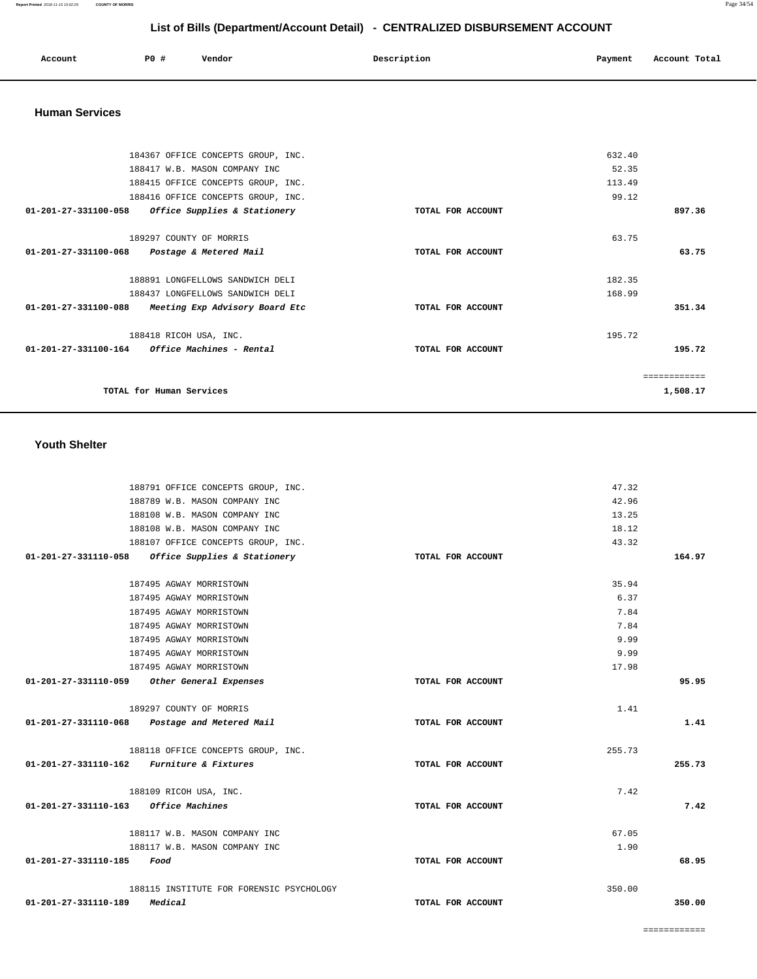| Account | P0 # | Vendor | Description | Payment | Account Total |
|---------|------|--------|-------------|---------|---------------|
|         |      |        |             |         |               |

#### **Human Services**

|                                                 | 184367 OFFICE CONCEPTS GROUP, INC. |                   | 632.40 |              |
|-------------------------------------------------|------------------------------------|-------------------|--------|--------------|
|                                                 | 188417 W.B. MASON COMPANY INC      |                   | 52.35  |              |
|                                                 | 188415 OFFICE CONCEPTS GROUP, INC. |                   | 113.49 |              |
|                                                 | 188416 OFFICE CONCEPTS GROUP, INC. |                   | 99.12  |              |
| 01-201-27-331100-058                            | Office Supplies & Stationery       | TOTAL FOR ACCOUNT |        | 897.36       |
|                                                 | 189297 COUNTY OF MORRIS            |                   | 63.75  |              |
| $01 - 201 - 27 - 331100 - 068$                  | Postage & Metered Mail             | TOTAL FOR ACCOUNT |        | 63.75        |
|                                                 | 188891 LONGFELLOWS SANDWICH DELI   |                   | 182.35 |              |
|                                                 | 188437 LONGFELLOWS SANDWICH DELI   |                   | 168.99 |              |
| 01-201-27-331100-088                            | Meeting Exp Advisory Board Etc     | TOTAL FOR ACCOUNT |        | 351.34       |
|                                                 | 188418 RICOH USA, INC.             |                   | 195.72 |              |
| $01-201-27-331100-164$ Office Machines - Rental |                                    | TOTAL FOR ACCOUNT |        | 195.72       |
|                                                 |                                    |                   |        | ------------ |
| TOTAL for Human Services                        |                                    |                   |        | 1,508.17     |

#### **Youth Shelter**

| 188791 OFFICE CONCEPTS GROUP, INC.                |                   | 47.32  |        |
|---------------------------------------------------|-------------------|--------|--------|
| 188789 W.B. MASON COMPANY INC                     |                   | 42.96  |        |
| 188108 W.B. MASON COMPANY INC                     |                   | 13.25  |        |
| 188108 W.B. MASON COMPANY INC                     |                   | 18.12  |        |
| 188107 OFFICE CONCEPTS GROUP, INC.                |                   | 43.32  |        |
| 01-201-27-331110-058 Office Supplies & Stationery | TOTAL FOR ACCOUNT |        | 164.97 |
| 187495 AGWAY MORRISTOWN                           |                   | 35.94  |        |
| 187495 AGWAY MORRISTOWN                           |                   | 6.37   |        |
| 187495 AGWAY MORRISTOWN                           |                   | 7.84   |        |
| 187495 AGWAY MORRISTOWN                           |                   | 7.84   |        |
| 187495 AGWAY MORRISTOWN                           |                   | 9.99   |        |
| 187495 AGWAY MORRISTOWN                           |                   | 9.99   |        |
| 187495 AGWAY MORRISTOWN                           |                   | 17.98  |        |
| 01-201-27-331110-059 Other General Expenses       | TOTAL FOR ACCOUNT |        | 95.95  |
| 189297 COUNTY OF MORRIS                           |                   | 1.41   |        |
| 01-201-27-331110-068 Postage and Metered Mail     | TOTAL FOR ACCOUNT |        | 1.41   |
| 188118 OFFICE CONCEPTS GROUP, INC.                |                   | 255.73 |        |
| $01-201-27-331110-162$ Furniture & Fixtures       | TOTAL FOR ACCOUNT |        | 255.73 |
| 188109 RICOH USA, INC.                            |                   | 7.42   |        |
| 01-201-27-331110-163 Office Machines              | TOTAL FOR ACCOUNT |        | 7.42   |
| 188117 W.B. MASON COMPANY INC                     |                   | 67.05  |        |
| 188117 W.B. MASON COMPANY INC                     |                   | 1.90   |        |
| 01-201-27-331110-185<br>Food                      | TOTAL FOR ACCOUNT |        | 68.95  |
| 188115 INSTITUTE FOR FORENSIC PSYCHOLOGY          |                   | 350.00 |        |
| Medical<br>01-201-27-331110-189                   | TOTAL FOR ACCOUNT |        | 350.00 |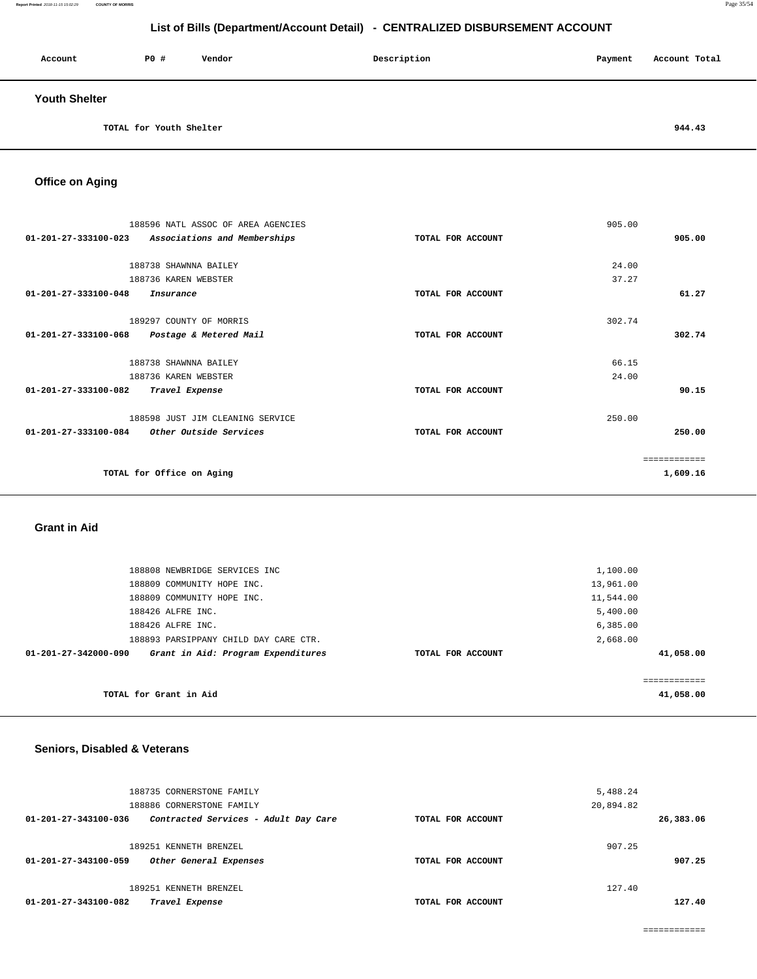| Account              | <b>PO #</b>             | Vendor | Description | Payment | Account Total |
|----------------------|-------------------------|--------|-------------|---------|---------------|
| <b>Youth Shelter</b> |                         |        |             |         |               |
|                      | TOTAL for Youth Shelter |        |             |         | 944.43        |

**Office on Aging** 

| 188596 NATL ASSOC OF AREA AGENCIES                             |                   | 905.00       |
|----------------------------------------------------------------|-------------------|--------------|
| $01 - 201 - 27 - 333100 - 023$<br>Associations and Memberships | TOTAL FOR ACCOUNT | 905.00       |
|                                                                |                   |              |
| 188738 SHAWNNA BAILEY                                          |                   | 24.00        |
| 188736 KAREN WEBSTER                                           |                   | 37.27        |
| 01-201-27-333100-048<br>Insurance                              | TOTAL FOR ACCOUNT | 61.27        |
|                                                                |                   |              |
| 189297 COUNTY OF MORRIS                                        |                   | 302.74       |
| 01-201-27-333100-068<br>Postage & Metered Mail                 | TOTAL FOR ACCOUNT | 302.74       |
|                                                                |                   |              |
| 188738 SHAWNNA BAILEY                                          |                   | 66.15        |
| 188736 KAREN WEBSTER                                           |                   | 24.00        |
| 01-201-27-333100-082<br>Travel Expense                         | TOTAL FOR ACCOUNT | 90.15        |
| 188598 JUST JIM CLEANING SERVICE                               |                   | 250.00       |
| 01-201-27-333100-084<br><i>Other Outside Services</i>          | TOTAL FOR ACCOUNT | 250.00       |
|                                                                |                   | ============ |
| TOTAL for Office on Aging                                      |                   | 1,609.16     |
|                                                                |                   |              |

#### **Grant in Aid**

|                      | TOTAL for Grant in Aid                |  |                   |           | ===========<br>41,058.00 |
|----------------------|---------------------------------------|--|-------------------|-----------|--------------------------|
| 01-201-27-342000-090 | Grant in Aid: Program Expenditures    |  | TOTAL FOR ACCOUNT |           | 41,058.00                |
|                      | 188893 PARSIPPANY CHILD DAY CARE CTR. |  |                   | 2,668.00  |                          |
|                      | 188426 ALFRE INC.                     |  |                   | 6,385.00  |                          |
|                      | 188426 ALFRE INC.                     |  |                   | 5,400.00  |                          |
|                      | 188809 COMMUNITY HOPE INC.            |  |                   | 11,544.00 |                          |
|                      | 188809 COMMUNITY HOPE INC.            |  |                   | 13,961.00 |                          |
|                      | 188808 NEWBRIDGE SERVICES INC         |  |                   | 1,100.00  |                          |
|                      |                                       |  |                   |           |                          |

## **Seniors, Disabled & Veterans**

| 188735 CORNERSTONE FAMILY<br>188886 CORNERSTONE FAMILY                   |                   | 5,488.24<br>20,894.82 |
|--------------------------------------------------------------------------|-------------------|-----------------------|
| Contracted Services - Adult Day Care<br>01-201-27-343100-036             | TOTAL FOR ACCOUNT | 26,383.06             |
| 189251 KENNETH BRENZEL<br>01-201-27-343100-059<br>Other General Expenses | TOTAL FOR ACCOUNT | 907.25<br>907.25      |
| 189251 KENNETH BRENZEL<br>01-201-27-343100-082<br>Travel Expense         | TOTAL FOR ACCOUNT | 127.40<br>127.40      |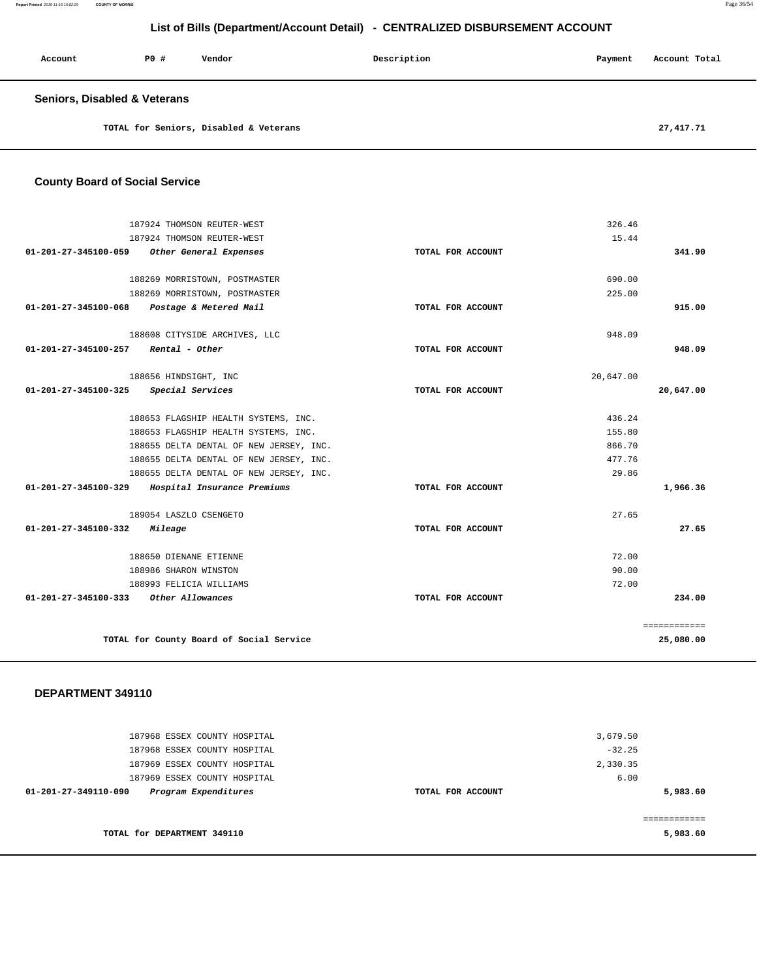**Report Printed** 2018-11-15 15:02:29 **COUNTY OF MORRIS** Page 36/54

## **List of Bills (Department/Account Detail) - CENTRALIZED DISBURSEMENT ACCOUNT**

| Account                                 | PO# | Vendor                                 | Description | Payment | Account Total |
|-----------------------------------------|-----|----------------------------------------|-------------|---------|---------------|
| <b>Seniors, Disabled &amp; Veterans</b> |     |                                        |             |         |               |
|                                         |     | TOTAL for Seniors, Disabled & Veterans |             |         | 27,417.71     |

| <b>County Board of Social Service</b> |
|---------------------------------------|
|---------------------------------------|

|                                | 187924 THOMSON REUTER-WEST               |                   | 326.46    |              |
|--------------------------------|------------------------------------------|-------------------|-----------|--------------|
|                                | 187924 THOMSON REUTER-WEST               |                   | 15.44     |              |
| 01-201-27-345100-059           | Other General Expenses                   | TOTAL FOR ACCOUNT |           | 341.90       |
|                                | 188269 MORRISTOWN, POSTMASTER            |                   | 690.00    |              |
|                                | 188269 MORRISTOWN, POSTMASTER            |                   | 225.00    |              |
| 01-201-27-345100-068           | Postage & Metered Mail                   | TOTAL FOR ACCOUNT |           | 915.00       |
|                                | 188608 CITYSIDE ARCHIVES, LLC            |                   | 948.09    |              |
| $01 - 201 - 27 - 345100 - 257$ | Rental - Other                           | TOTAL FOR ACCOUNT |           | 948.09       |
|                                | 188656 HINDSIGHT, INC                    |                   | 20,647.00 |              |
| 01-201-27-345100-325           | Special Services                         | TOTAL FOR ACCOUNT |           | 20,647.00    |
|                                | 188653 FLAGSHIP HEALTH SYSTEMS, INC.     |                   | 436.24    |              |
|                                | 188653 FLAGSHIP HEALTH SYSTEMS, INC.     |                   | 155.80    |              |
|                                | 188655 DELTA DENTAL OF NEW JERSEY, INC.  |                   | 866.70    |              |
|                                | 188655 DELTA DENTAL OF NEW JERSEY, INC.  |                   | 477.76    |              |
|                                | 188655 DELTA DENTAL OF NEW JERSEY, INC.  |                   | 29.86     |              |
| 01-201-27-345100-329           | Hospital Insurance Premiums              | TOTAL FOR ACCOUNT |           | 1,966.36     |
|                                | 189054 LASZLO CSENGETO                   |                   | 27.65     |              |
| 01-201-27-345100-332           | Mileage                                  | TOTAL FOR ACCOUNT |           | 27.65        |
|                                | 188650 DIENANE ETIENNE                   |                   | 72.00     |              |
|                                | 188986 SHARON WINSTON                    |                   | 90.00     |              |
|                                | 188993 FELICIA WILLIAMS                  |                   | 72.00     |              |
| 01-201-27-345100-333           | Other Allowances                         | TOTAL FOR ACCOUNT |           | 234.00       |
|                                |                                          |                   |           | ============ |
|                                | TOTAL for County Board of Social Service |                   |           | 25,080.00    |

| 187968 ESSEX COUNTY HOSPITAL<br>187968 ESSEX COUNTY HOSPITAL<br>187969 ESSEX COUNTY HOSPITAL |                   | 3,679.50<br>$-32.25$<br>2,330.35 |
|----------------------------------------------------------------------------------------------|-------------------|----------------------------------|
| 187969 ESSEX COUNTY HOSPITAL<br>Program Expenditures<br>01-201-27-349110-090                 | TOTAL FOR ACCOUNT | 6.00<br>5,983.60                 |
| TOTAL for DEPARTMENT 349110                                                                  |                   | 5,983.60                         |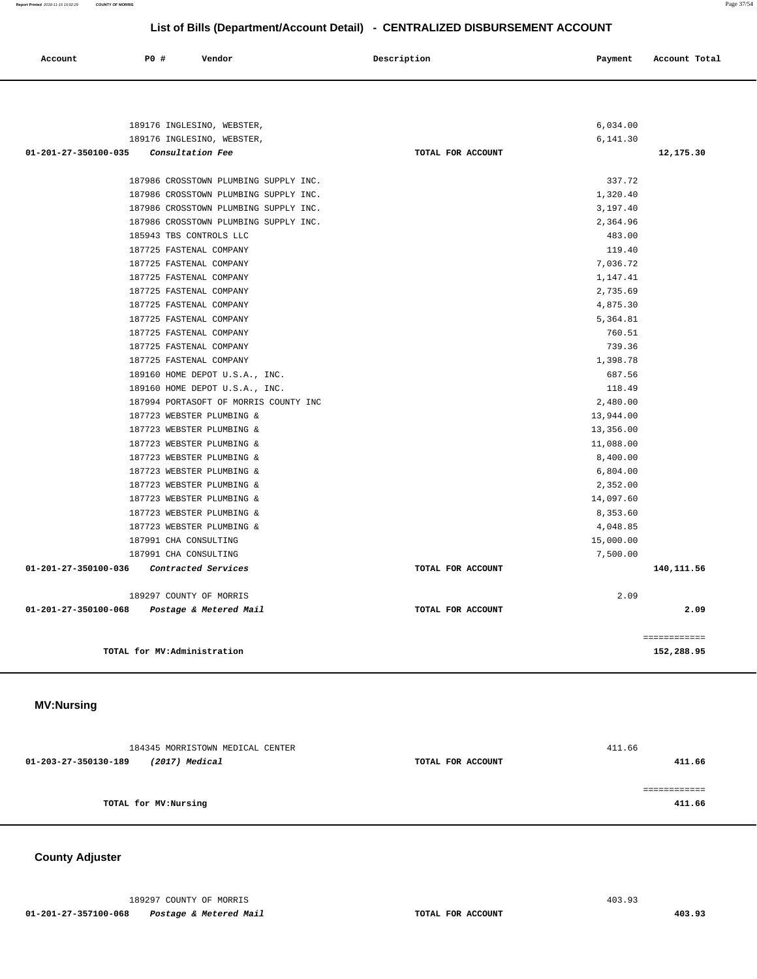**Report Printed** 2018-11-15 15:02:29 **COUNTY OF MORRIS** Page 37/54

## **List of Bills (Department/Account Detail) - CENTRALIZED DISBURSEMENT ACCOUNT**

| Account | <b>PO #</b> | Vendor | Description | Payment | Account Total |
|---------|-------------|--------|-------------|---------|---------------|
|         |             |        |             |         |               |

| 189176 INGLESINO, WEBSTER,                                                     |                   | 6,034.00             |
|--------------------------------------------------------------------------------|-------------------|----------------------|
| 189176 INGLESINO, WEBSTER,                                                     |                   | 6,141.30             |
| 01-201-27-350100-035<br>Consultation Fee                                       | TOTAL FOR ACCOUNT | 12,175.30            |
|                                                                                |                   | 337.72               |
| 187986 CROSSTOWN PLUMBING SUPPLY INC.                                          |                   |                      |
| 187986 CROSSTOWN PLUMBING SUPPLY INC.<br>187986 CROSSTOWN PLUMBING SUPPLY INC. |                   | 1,320.40             |
| 187986 CROSSTOWN PLUMBING SUPPLY INC.                                          |                   | 3,197.40<br>2,364.96 |
| 185943 TBS CONTROLS LLC                                                        |                   | 483.00               |
| 187725 FASTENAL COMPANY                                                        |                   | 119.40               |
| 187725 FASTENAL COMPANY                                                        |                   |                      |
|                                                                                |                   | 7.036.72             |
| 187725 FASTENAL COMPANY                                                        |                   | 1,147.41             |
| 187725 FASTENAL COMPANY                                                        |                   | 2,735.69             |
| 187725 FASTENAL COMPANY                                                        |                   | 4,875.30             |
| 187725 FASTENAL COMPANY                                                        |                   | 5,364.81             |
| 187725 FASTENAL COMPANY                                                        |                   | 760.51               |
| 187725 FASTENAL COMPANY                                                        |                   | 739.36               |
| 187725 FASTENAL COMPANY                                                        |                   | 1,398.78             |
| 189160 HOME DEPOT U.S.A., INC.                                                 |                   | 687.56               |
| 189160 HOME DEPOT U.S.A., INC.                                                 |                   | 118.49               |
| 187994 PORTASOFT OF MORRIS COUNTY INC                                          |                   | 2,480.00             |
| 187723 WEBSTER PLUMBING &                                                      |                   | 13,944.00            |
| 187723 WEBSTER PLUMBING &                                                      |                   | 13,356.00            |
| 187723 WEBSTER PLUMBING &                                                      |                   | 11,088.00            |
| 187723 WEBSTER PLUMBING &                                                      |                   | 8,400.00             |
| 187723 WEBSTER PLUMBING &                                                      |                   | 6,804.00             |
| 187723 WEBSTER PLUMBING &                                                      |                   | 2,352.00             |
| 187723 WEBSTER PLUMBING &                                                      |                   | 14,097.60            |
| 187723 WEBSTER PLUMBING &                                                      |                   | 8,353.60             |
| 187723 WEBSTER PLUMBING &                                                      |                   | 4,048.85             |
| 187991 CHA CONSULTING                                                          |                   | 15,000.00            |
| 187991 CHA CONSULTING                                                          |                   | 7,500.00             |
| Contracted Services<br>01-201-27-350100-036                                    | TOTAL FOR ACCOUNT | 140,111.56           |
| 189297 COUNTY OF MORRIS                                                        |                   | 2.09                 |
| 01-201-27-350100-068<br>Postage & Metered Mail                                 | TOTAL FOR ACCOUNT | 2.09                 |
|                                                                                |                   |                      |
|                                                                                |                   | ============         |
| TOTAL for MV:Administration                                                    |                   | 152,288.95           |
|                                                                                |                   |                      |

#### **MV:Nursing**

| 184345 MORRISTOWN MEDICAL CENTER       |                   | 411.66 |
|----------------------------------------|-------------------|--------|
| (2017) Medical<br>01-203-27-350130-189 | TOTAL FOR ACCOUNT | 411.66 |
| TOTAL for MV: Nursing                  |                   | 411.66 |
|                                        |                   |        |

## **County Adjuster**

189297 COUNTY OF MORRIS 403.93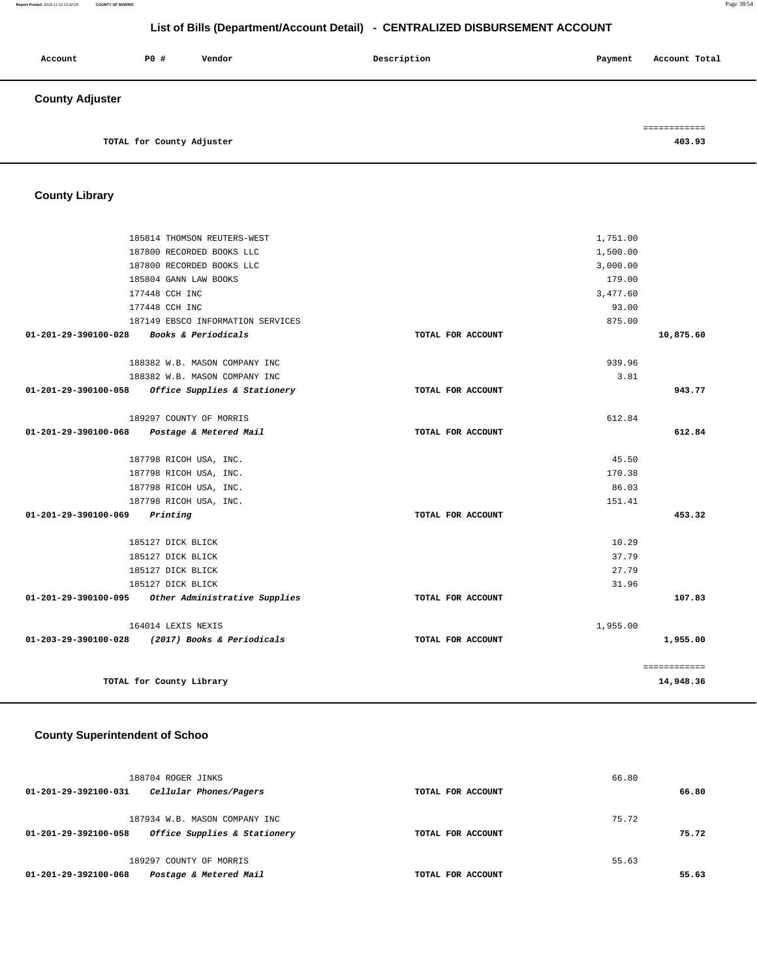| Account                | P0 #                      | Vendor | Description | Payment | Account Total |
|------------------------|---------------------------|--------|-------------|---------|---------------|
| <b>County Adjuster</b> |                           |        |             |         |               |
|                        |                           |        |             |         | ------------  |
|                        | TOTAL for County Adjuster |        |             |         | 403.93        |

**County Library** 

|                                             | 185814 THOMSON REUTERS-WEST                                                        | 1,751.00          |              |
|---------------------------------------------|------------------------------------------------------------------------------------|-------------------|--------------|
|                                             | 187800 RECORDED BOOKS LLC                                                          | 1,500.00          |              |
|                                             | 187800 RECORDED BOOKS LLC                                                          | 3,000.00          |              |
|                                             | 185804 GANN LAW BOOKS                                                              | 179.00            |              |
|                                             | 177448 CCH INC                                                                     | 3,477.60          |              |
|                                             | 177448 CCH INC                                                                     | 93.00             |              |
|                                             | 187149 EBSCO INFORMATION SERVICES                                                  | 875.00            |              |
| 01-201-29-390100-028                        | Books & Periodicals                                                                | TOTAL FOR ACCOUNT | 10,875.60    |
|                                             | 188382 W.B. MASON COMPANY INC                                                      | 939.96            |              |
|                                             |                                                                                    | 3.81              |              |
|                                             | 188382 W.B. MASON COMPANY INC<br>01-201-29-390100-058 Office Supplies & Stationery | TOTAL FOR ACCOUNT | 943.77       |
|                                             |                                                                                    |                   |              |
|                                             | 189297 COUNTY OF MORRIS                                                            | 612.84            |              |
| 01-201-29-390100-068 Postage & Metered Mail |                                                                                    | TOTAL FOR ACCOUNT | 612.84       |
|                                             | 187798 RICOH USA, INC.                                                             | 45.50             |              |
|                                             | 187798 RICOH USA, INC.                                                             | 170.38            |              |
|                                             | 187798 RICOH USA, INC.                                                             | 86.03             |              |
|                                             | 187798 RICOH USA, INC.                                                             | 151.41            |              |
| $01 - 201 - 29 - 390100 - 069$ Printing     |                                                                                    | TOTAL FOR ACCOUNT | 453.32       |
|                                             | 185127 DICK BLICK                                                                  | 10.29             |              |
|                                             | 185127 DICK BLICK                                                                  | 37.79             |              |
|                                             | 185127 DICK BLICK                                                                  | 27.79             |              |
|                                             | 185127 DICK BLICK                                                                  | 31.96             |              |
| 01-201-29-390100-095                        | Other Administrative Supplies                                                      | TOTAL FOR ACCOUNT | 107.83       |
|                                             | 164014 LEXIS NEXIS                                                                 | 1,955.00          |              |
|                                             | 01-203-29-390100-028 (2017) Books & Periodicals                                    | TOTAL FOR ACCOUNT | 1,955.00     |
|                                             |                                                                                    |                   | ============ |
|                                             | TOTAL for County Library                                                           |                   | 14,948.36    |
|                                             |                                                                                    |                   |              |

## **County Superintendent of Schoo**

| 188704 ROGER JINKS                                   |                   | 66.80 |       |
|------------------------------------------------------|-------------------|-------|-------|
| Cellular Phones/Pagers<br>01-201-29-392100-031       | TOTAL FOR ACCOUNT |       | 66.80 |
|                                                      |                   |       |       |
| 187934 W.B. MASON COMPANY INC                        |                   | 75.72 |       |
| Office Supplies & Stationery<br>01-201-29-392100-058 | TOTAL FOR ACCOUNT |       | 75.72 |
|                                                      |                   |       |       |
| 189297 COUNTY OF MORRIS                              |                   | 55.63 |       |
| Postage & Metered Mail<br>01-201-29-392100-068       | TOTAL FOR ACCOUNT |       | 55.63 |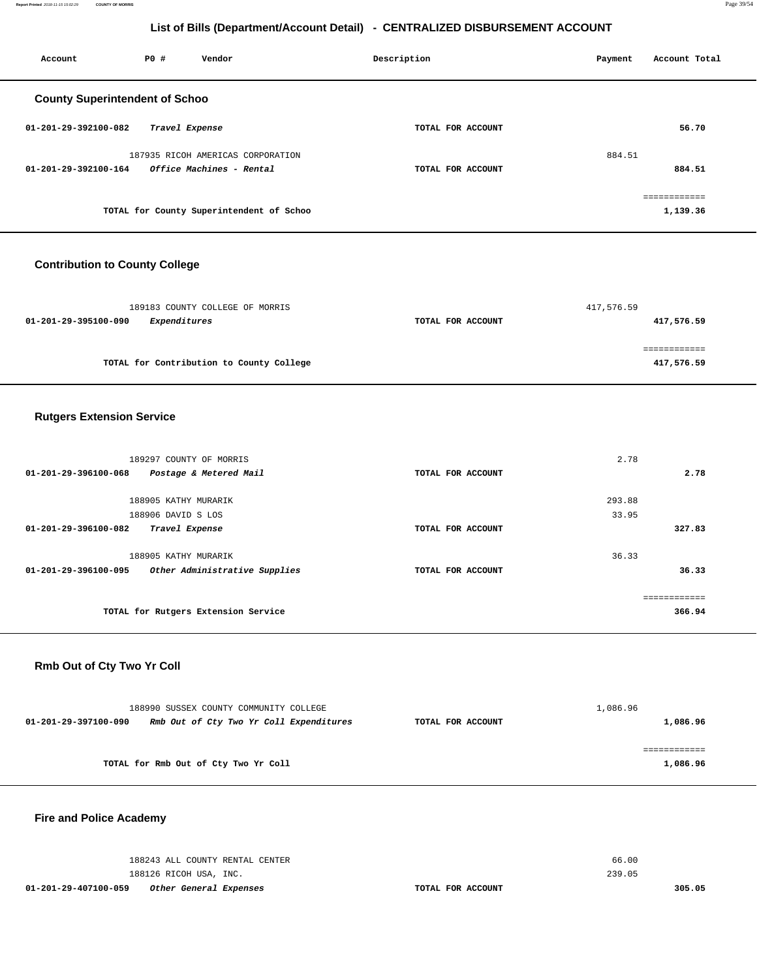**Report Printed** 2018-11-15 15:02:29 **COUNTY OF MORRIS** Page 39/54

## **List of Bills (Department/Account Detail) - CENTRALIZED DISBURSEMENT ACCOUNT**

| Account                               | PO#            | Vendor                                   | Description       | Payment | Account Total            |
|---------------------------------------|----------------|------------------------------------------|-------------------|---------|--------------------------|
| <b>County Superintendent of Schoo</b> |                |                                          |                   |         |                          |
| 01-201-29-392100-082                  | Travel Expense |                                          | TOTAL FOR ACCOUNT |         | 56.70                    |
|                                       |                | 187935 RICOH AMERICAS CORPORATION        |                   | 884.51  |                          |
| 01-201-29-392100-164                  |                | <i>Office Machines - Rental</i>          | TOTAL FOR ACCOUNT |         | 884.51                   |
|                                       |                | TOTAL for County Superintendent of Schoo |                   |         | ============<br>1,139.36 |

## **Contribution to County College**

| 189183 COUNTY COLLEGE OF MORRIS             |                   | 417,576.59 |
|---------------------------------------------|-------------------|------------|
| <i>Expenditures</i><br>01-201-29-395100-090 | TOTAL FOR ACCOUNT | 417,576.59 |
|                                             |                   |            |
|                                             |                   |            |
| TOTAL for Contribution to County College    |                   | 417,576.59 |

## **Rutgers Extension Service**

| 189297 COUNTY OF MORRIS                               |                   | 2.78   |
|-------------------------------------------------------|-------------------|--------|
| 01-201-29-396100-068<br>Postage & Metered Mail        | TOTAL FOR ACCOUNT | 2.78   |
| 188905 KATHY MURARIK                                  |                   | 293.88 |
|                                                       |                   |        |
| 188906 DAVID S LOS                                    |                   | 33.95  |
| 01-201-29-396100-082<br>Travel Expense                | TOTAL FOR ACCOUNT | 327.83 |
|                                                       |                   |        |
| 188905 KATHY MURARIK                                  |                   | 36.33  |
| Other Administrative Supplies<br>01-201-29-396100-095 | TOTAL FOR ACCOUNT | 36.33  |
|                                                       |                   |        |
|                                                       |                   |        |
| TOTAL for Rutgers Extension Service                   |                   | 366.94 |
|                                                       |                   |        |

## **Rmb Out of Cty Two Yr Coll**

| 188990 SUSSEX COUNTY COMMUNITY COLLEGE                          |                   | 1,086.96 |
|-----------------------------------------------------------------|-------------------|----------|
| Rmb Out of Cty Two Yr Coll Expenditures<br>01-201-29-397100-090 | TOTAL FOR ACCOUNT | 1,086.96 |
|                                                                 |                   |          |
|                                                                 |                   |          |
| TOTAL for Rmb Out of Cty Two Yr Coll                            |                   | 1,086.96 |

## **Fire and Police Academy**

| 188126 RICOH USA, INC.<br>01-201-29-407100-059<br>Other General Expenses | TOTAL FOR ACCOUNT | 239.05 | 305.05 |
|--------------------------------------------------------------------------|-------------------|--------|--------|
|                                                                          |                   |        |        |
| 188243 ALL COUNTY RENTAL CENTER                                          |                   | 66.00  |        |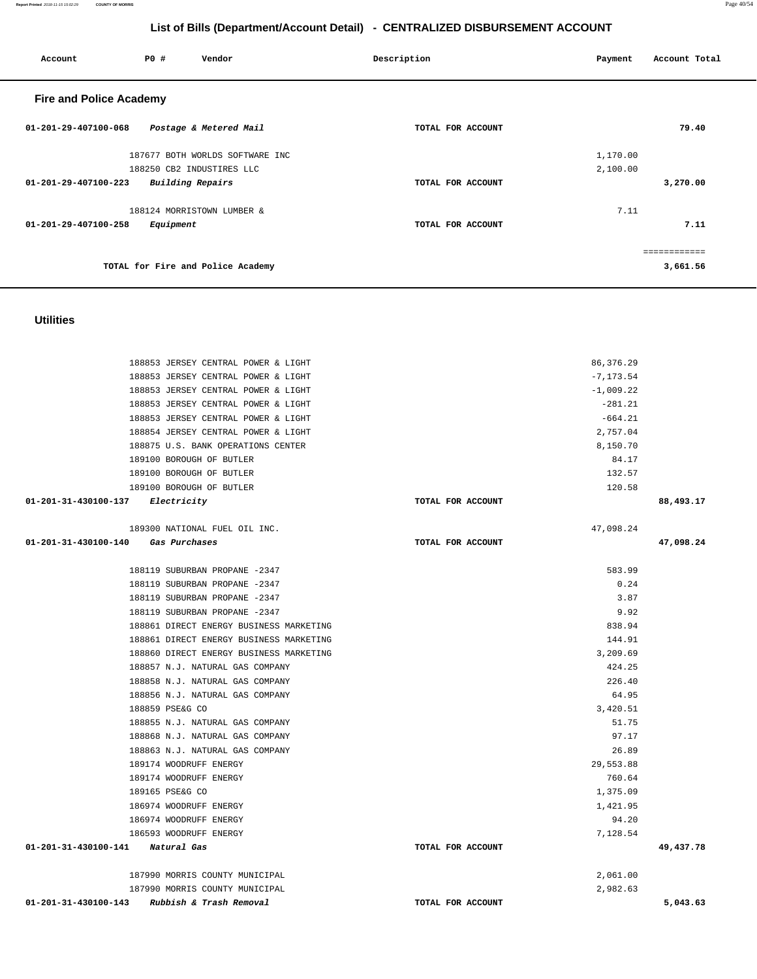**Report Printed** 2018-11-15 15:02:29 **COUNTY OF MORRIS** Page 40/54

## **List of Bills (Department/Account Detail) - CENTRALIZED DISBURSEMENT ACCOUNT**

| P0 #<br>Vendor<br>Account                       | Description       | Account Total<br>Payment |
|-------------------------------------------------|-------------------|--------------------------|
| <b>Fire and Police Academy</b>                  |                   |                          |
| 01-201-29-407100-068<br>Postage & Metered Mail  | TOTAL FOR ACCOUNT | 79.40                    |
| 187677 BOTH WORLDS SOFTWARE INC                 |                   | 1,170.00                 |
| 188250 CB2 INDUSTIRES LLC                       |                   | 2,100.00                 |
| <b>Building Repairs</b><br>01-201-29-407100-223 | TOTAL FOR ACCOUNT | 3,270.00                 |
| 188124 MORRISTOWN LUMBER &                      |                   | 7.11                     |
| 01-201-29-407100-258<br>Equipment               | TOTAL FOR ACCOUNT | 7.11                     |
|                                                 |                   |                          |
| TOTAL for Fire and Police Academy               |                   | 3,661.56                 |

## **Utilities**

| 188853 JERSEY CENTRAL POWER & LIGHT             |                   | 86, 376.29   |           |
|-------------------------------------------------|-------------------|--------------|-----------|
| 188853 JERSEY CENTRAL POWER & LIGHT             |                   | $-7, 173.54$ |           |
| 188853 JERSEY CENTRAL POWER & LIGHT             |                   | $-1,009.22$  |           |
| 188853 JERSEY CENTRAL POWER & LIGHT             |                   | $-281.21$    |           |
| 188853 JERSEY CENTRAL POWER & LIGHT             |                   | $-664.21$    |           |
| 188854 JERSEY CENTRAL POWER & LIGHT             |                   | 2,757.04     |           |
| 188875 U.S. BANK OPERATIONS CENTER              |                   | 8,150.70     |           |
| 189100 BOROUGH OF BUTLER                        |                   | 84.17        |           |
| 189100 BOROUGH OF BUTLER                        |                   | 132.57       |           |
| 189100 BOROUGH OF BUTLER                        |                   | 120.58       |           |
| $01 - 201 - 31 - 430100 - 137$ Electricity      | TOTAL FOR ACCOUNT |              | 88,493.17 |
| 189300 NATIONAL FUEL OIL INC.                   |                   | 47,098.24    |           |
| 01-201-31-430100-140<br>Gas Purchases           | TOTAL FOR ACCOUNT |              | 47,098.24 |
| 188119 SUBURBAN PROPANE -2347                   |                   | 583.99       |           |
| 188119 SUBURBAN PROPANE -2347                   |                   | 0.24         |           |
| 188119 SUBURBAN PROPANE -2347                   |                   | 3.87         |           |
| 188119 SUBURBAN PROPANE -2347                   |                   | 9.92         |           |
| 188861 DIRECT ENERGY BUSINESS MARKETING         |                   | 838.94       |           |
| 188861 DIRECT ENERGY BUSINESS MARKETING         |                   | 144.91       |           |
| 188860 DIRECT ENERGY BUSINESS MARKETING         |                   | 3,209.69     |           |
| 188857 N.J. NATURAL GAS COMPANY                 |                   | 424.25       |           |
| 188858 N.J. NATURAL GAS COMPANY                 |                   | 226.40       |           |
| 188856 N.J. NATURAL GAS COMPANY                 |                   | 64.95        |           |
| 188859 PSE&G CO                                 |                   | 3,420.51     |           |
| 188855 N.J. NATURAL GAS COMPANY                 |                   | 51.75        |           |
| 188868 N.J. NATURAL GAS COMPANY                 |                   | 97.17        |           |
| 188863 N.J. NATURAL GAS COMPANY                 |                   | 26.89        |           |
| 189174 WOODRUFF ENERGY                          |                   | 29,553.88    |           |
| 189174 WOODRUFF ENERGY                          |                   | 760.64       |           |
| 189165 PSE&G CO                                 |                   | 1,375.09     |           |
| 186974 WOODRUFF ENERGY                          |                   | 1,421.95     |           |
| 186974 WOODRUFF ENERGY                          |                   | 94.20        |           |
| 186593 WOODRUFF ENERGY                          |                   | 7,128.54     |           |
| 01-201-31-430100-141 Natural Gas                | TOTAL FOR ACCOUNT |              | 49,437.78 |
| 187990 MORRIS COUNTY MUNICIPAL                  |                   | 2,061.00     |           |
| 187990 MORRIS COUNTY MUNICIPAL                  |                   | 2,982.63     |           |
| Rubbish & Trash Removal<br>01-201-31-430100-143 | TOTAL FOR ACCOUNT |              | 5,043.63  |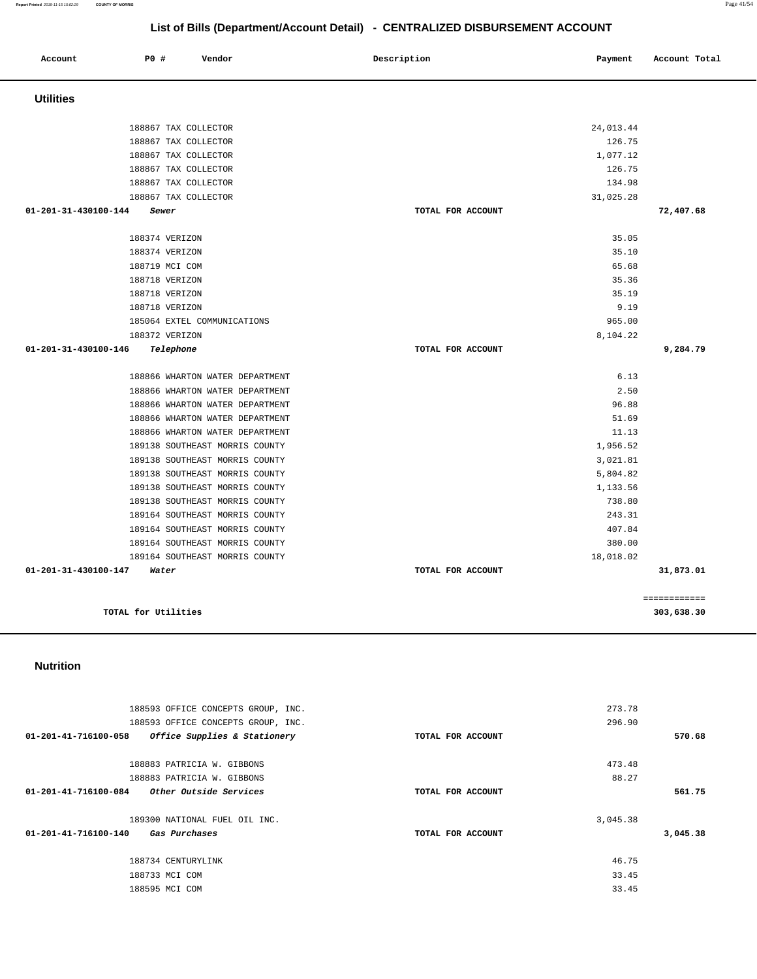#### 188593 OFFICE CONCEPTS GROUP, INC. 188593 OFFICE CONCEPTS GROUP, INC. **01-201-41-716100-058 Office Supplies & Stationery TOTAL FOR ACCOUNT**  273.78 296.90 **570.68** 188883 PATRICIA W. GIBBONS 188883 PATRICIA W. GIBBONS **01-201-41-716100-084 Other Outside Services TOTAL FOR ACCOUNT**  473.48 88.27 **561.75** 189300 NATIONAL FUEL OIL INC. **01-201-41-716100-140 Gas Purchases TOTAL FOR ACCOUNT**  3,045.38 **3,045.38** 188734 CENTURYLINK 188733 MCI COM 188595 MCI COM 46.75 33.45 33.45

**Nutrition** 

|                      | 188867 TAX COLLECTOR            | 24,013.44         |              |
|----------------------|---------------------------------|-------------------|--------------|
|                      | 188867 TAX COLLECTOR            | 126.75            |              |
|                      | 188867 TAX COLLECTOR            | 1,077.12          |              |
|                      | 188867 TAX COLLECTOR            | 126.75            |              |
|                      | 188867 TAX COLLECTOR            | 134.98            |              |
|                      | 188867 TAX COLLECTOR            | 31,025.28         |              |
| 01-201-31-430100-144 | Sewer                           | TOTAL FOR ACCOUNT | 72,407.68    |
|                      |                                 |                   |              |
|                      | 188374 VERIZON                  | 35.05             |              |
|                      | 188374 VERIZON                  | 35.10             |              |
|                      | 188719 MCI COM                  | 65.68             |              |
|                      | 188718 VERIZON                  | 35.36             |              |
|                      | 188718 VERIZON                  | 35.19             |              |
|                      | 188718 VERIZON                  | 9.19              |              |
|                      | 185064 EXTEL COMMUNICATIONS     | 965.00            |              |
|                      | 188372 VERIZON                  | 8,104.22          |              |
| 01-201-31-430100-146 | Telephone                       | TOTAL FOR ACCOUNT | 9,284.79     |
|                      |                                 |                   |              |
|                      | 188866 WHARTON WATER DEPARTMENT | 6.13              |              |
|                      | 188866 WHARTON WATER DEPARTMENT | 2.50              |              |
|                      | 188866 WHARTON WATER DEPARTMENT | 96.88             |              |
|                      | 188866 WHARTON WATER DEPARTMENT | 51.69             |              |
|                      | 188866 WHARTON WATER DEPARTMENT | 11.13             |              |
|                      | 189138 SOUTHEAST MORRIS COUNTY  | 1,956.52          |              |
|                      | 189138 SOUTHEAST MORRIS COUNTY  | 3,021.81          |              |
|                      | 189138 SOUTHEAST MORRIS COUNTY  | 5,804.82          |              |
|                      | 189138 SOUTHEAST MORRIS COUNTY  | 1,133.56          |              |
|                      | 189138 SOUTHEAST MORRIS COUNTY  | 738.80            |              |
|                      | 189164 SOUTHEAST MORRIS COUNTY  | 243.31            |              |
|                      | 189164 SOUTHEAST MORRIS COUNTY  | 407.84            |              |
|                      | 189164 SOUTHEAST MORRIS COUNTY  | 380.00            |              |
|                      | 189164 SOUTHEAST MORRIS COUNTY  | 18,018.02         |              |
| 01-201-31-430100-147 | Water                           | TOTAL FOR ACCOUNT | 31,873.01    |
|                      |                                 |                   |              |
|                      |                                 |                   | ============ |
| TOTAL for Utilities  |                                 |                   | 303,638.30   |

|                      |                                                                                                                                              |                             | List of Bills (Department/Account Detail) - CENTRALIZED DISBURSEMENT ACCOUNT |                                                                         |               |
|----------------------|----------------------------------------------------------------------------------------------------------------------------------------------|-----------------------------|------------------------------------------------------------------------------|-------------------------------------------------------------------------|---------------|
| Account              | P0 #                                                                                                                                         | Vendor                      | Description                                                                  | Payment                                                                 | Account Total |
| <b>Utilities</b>     |                                                                                                                                              |                             |                                                                              |                                                                         |               |
|                      | 188867 TAX COLLECTOR<br>188867 TAX COLLECTOR<br>188867 TAX COLLECTOR<br>188867 TAX COLLECTOR<br>188867 TAX COLLECTOR<br>188867 TAX COLLECTOR |                             |                                                                              | 24,013.44<br>126.75<br>1,077.12<br>126.75<br>134.98<br>31,025.28        |               |
| 01-201-31-430100-144 | Sewer<br>188374 VERIZON<br>188374 VERIZON<br>188719 MCI COM<br>188718 VERIZON<br>188718 VERIZON<br>188718 VERIZON<br>188372 VERIZON          | 185064 EXTEL COMMUNICATIONS | TOTAL FOR ACCOUNT                                                            | 35.05<br>35.10<br>65.68<br>35.36<br>35.19<br>9.19<br>965.00<br>8,104.22 | 72,407.68     |
| 01-201-31-430100-146 | Telephone                                                                                                                                    |                             | TOTAL FOR ACCOUNT                                                            |                                                                         | 9,284.79      |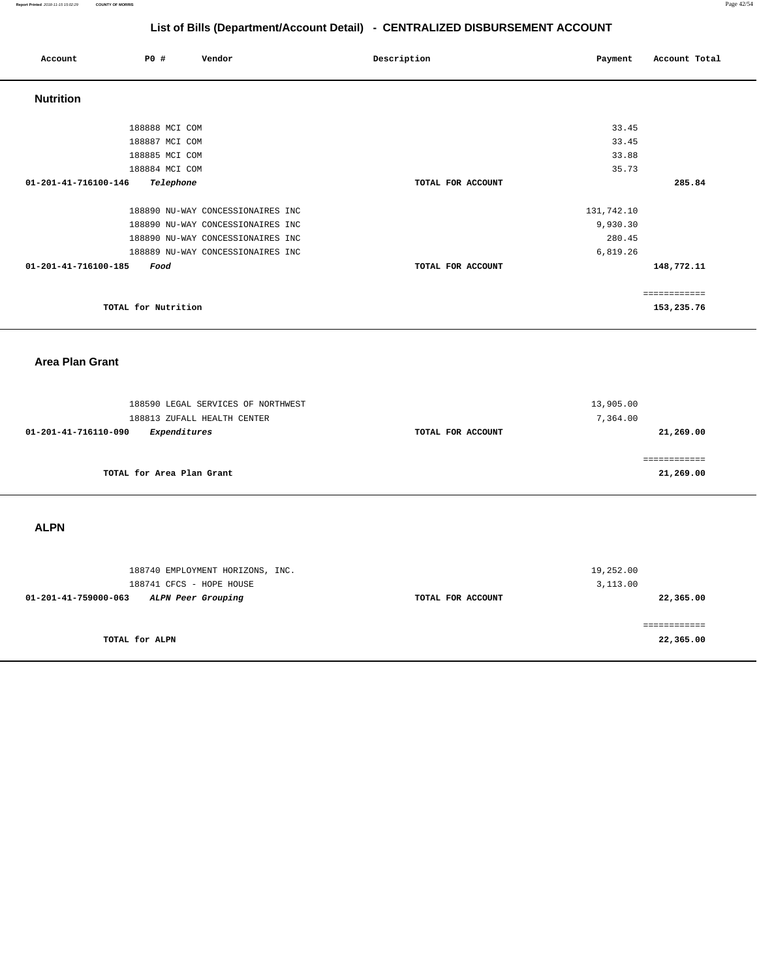| Account              | <b>PO #</b>         | Vendor                            | Description       | Payment    | Account Total |
|----------------------|---------------------|-----------------------------------|-------------------|------------|---------------|
| <b>Nutrition</b>     |                     |                                   |                   |            |               |
|                      | 188888 MCI COM      |                                   |                   | 33.45      |               |
|                      | 188887 MCI COM      |                                   |                   | 33.45      |               |
|                      | 188885 MCI COM      |                                   |                   | 33.88      |               |
|                      | 188884 MCI COM      |                                   |                   | 35.73      |               |
| 01-201-41-716100-146 | Telephone           |                                   | TOTAL FOR ACCOUNT |            | 285.84        |
|                      |                     | 188890 NU-WAY CONCESSIONAIRES INC |                   | 131,742.10 |               |
|                      |                     | 188890 NU-WAY CONCESSIONAIRES INC |                   | 9,930.30   |               |
|                      |                     | 188890 NU-WAY CONCESSIONAIRES INC |                   | 280.45     |               |
|                      |                     | 188889 NU-WAY CONCESSIONAIRES INC |                   | 6,819.26   |               |
| 01-201-41-716100-185 | Food                |                                   | TOTAL FOR ACCOUNT |            | 148,772.11    |
|                      |                     |                                   |                   |            | eessessesses  |
|                      | TOTAL for Nutrition |                                   |                   |            | 153,235.76    |

## **Area Plan Grant**

| 188590 LEGAL SERVICES OF NORTHWEST<br>188813 ZUFALL HEALTH CENTER |                   | 13,905.00<br>7,364.00 |
|-------------------------------------------------------------------|-------------------|-----------------------|
| Expenditures<br>01-201-41-716110-090                              | TOTAL FOR ACCOUNT | 21,269.00             |
| TOTAL for Area Plan Grant                                         |                   | 21,269.00             |

**ALPN** 

| 188740 EMPLOYMENT HORIZONS, INC.<br>188741 CFCS - HOPE HOUSE |                   | 19,252.00<br>3,113.00 |
|--------------------------------------------------------------|-------------------|-----------------------|
| 01-201-41-759000-063<br>ALPN Peer Grouping                   | TOTAL FOR ACCOUNT | 22,365.00             |
|                                                              |                   |                       |
| TOTAL for ALPN                                               |                   | 22,365.00             |
|                                                              |                   |                       |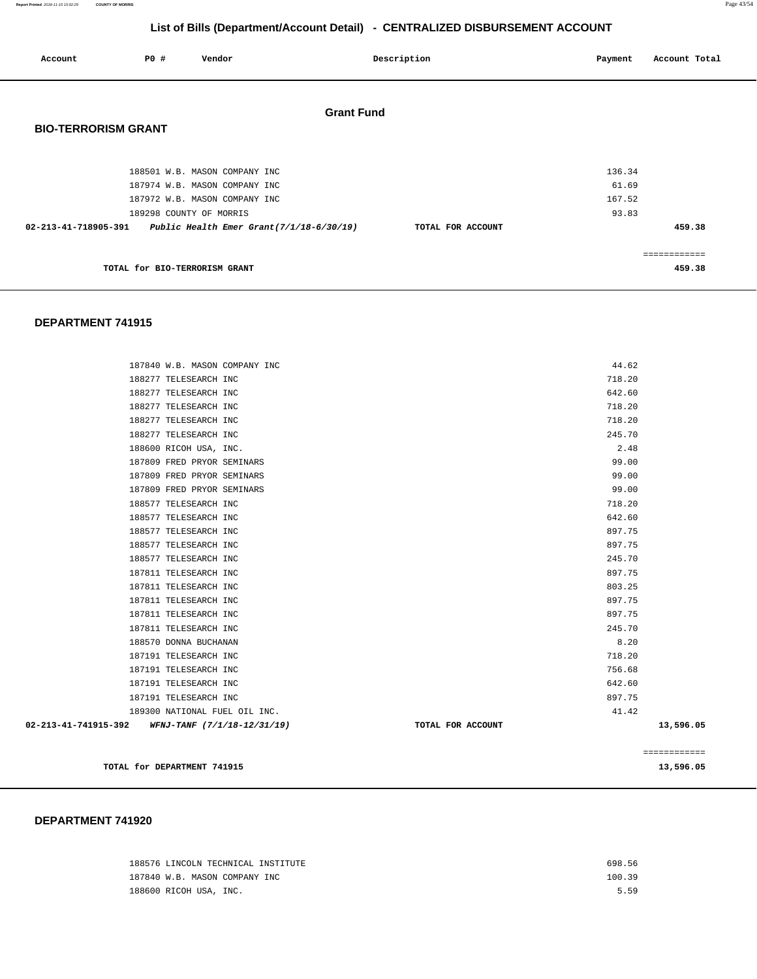**Report Printed** 2018-11-15 15:02:29 **COUNTY OF MORRIS** Page 43/54

## **List of Bills (Department/Account Detail) - CENTRALIZED DISBURSEMENT ACCOUNT**

| Account                                                       | <b>PO #</b>                   | Vendor                        |                   | Description       | Payment | Account Total |
|---------------------------------------------------------------|-------------------------------|-------------------------------|-------------------|-------------------|---------|---------------|
|                                                               |                               |                               | <b>Grant Fund</b> |                   |         |               |
| <b>BIO-TERRORISM GRANT</b>                                    |                               |                               |                   |                   |         |               |
|                                                               |                               | 188501 W.B. MASON COMPANY INC |                   |                   | 136.34  |               |
|                                                               |                               | 187974 W.B. MASON COMPANY INC |                   |                   | 61.69   |               |
|                                                               |                               | 187972 W.B. MASON COMPANY INC |                   |                   | 167.52  |               |
|                                                               |                               | 189298 COUNTY OF MORRIS       |                   |                   | 93.83   |               |
| 02-213-41-718905-391 Public Health Emer Grant(7/1/18-6/30/19) |                               |                               |                   | TOTAL FOR ACCOUNT |         | 459.38        |
|                                                               |                               |                               |                   |                   |         |               |
|                                                               |                               |                               |                   |                   |         | ============  |
|                                                               | TOTAL for BIO-TERRORISM GRANT |                               |                   |                   |         | 459.38        |

#### **DEPARTMENT 741915**

|                                                  |                               |  |                   |        | ============ |
|--------------------------------------------------|-------------------------------|--|-------------------|--------|--------------|
| 02-213-41-741915-392 WFNJ-TANF (7/1/18-12/31/19) |                               |  | TOTAL FOR ACCOUNT |        | 13,596.05    |
|                                                  | 189300 NATIONAL FUEL OIL INC. |  |                   | 41.42  |              |
|                                                  | 187191 TELESEARCH INC         |  |                   | 897.75 |              |
|                                                  | 187191 TELESEARCH INC         |  |                   | 642.60 |              |
|                                                  | 187191 TELESEARCH INC         |  |                   | 756.68 |              |
|                                                  | 187191 TELESEARCH INC         |  |                   | 718.20 |              |
|                                                  | 188570 DONNA BUCHANAN         |  |                   | 8.20   |              |
|                                                  | 187811 TELESEARCH INC         |  |                   | 245.70 |              |
|                                                  | 187811 TELESEARCH INC         |  |                   | 897.75 |              |
|                                                  | 187811 TELESEARCH INC         |  |                   | 897.75 |              |
|                                                  | 187811 TELESEARCH INC         |  |                   | 803.25 |              |
|                                                  | 187811 TELESEARCH INC         |  |                   | 897.75 |              |
|                                                  | 188577 TELESEARCH INC         |  |                   | 245.70 |              |
|                                                  | 188577 TELESEARCH INC         |  |                   | 897.75 |              |
|                                                  | 188577 TELESEARCH INC         |  |                   | 897.75 |              |
|                                                  | 188577 TELESEARCH INC         |  |                   | 642.60 |              |
|                                                  | 188577 TELESEARCH INC         |  |                   | 718.20 |              |
|                                                  | 187809 FRED PRYOR SEMINARS    |  |                   | 99.00  |              |
|                                                  | 187809 FRED PRYOR SEMINARS    |  |                   | 99.00  |              |
|                                                  | 187809 FRED PRYOR SEMINARS    |  |                   | 99.00  |              |
|                                                  | 188600 RICOH USA, INC.        |  |                   | 2.48   |              |
|                                                  | 188277 TELESEARCH INC         |  |                   | 245.70 |              |
|                                                  | 188277 TELESEARCH INC         |  |                   | 718.20 |              |
|                                                  | 188277 TELESEARCH INC         |  |                   | 718.20 |              |
|                                                  | 188277 TELESEARCH INC         |  |                   | 642.60 |              |
|                                                  | 188277 TELESEARCH INC         |  |                   | 718.20 |              |
|                                                  | 187840 W.B. MASON COMPANY INC |  |                   | 44.62  |              |

| 188576 LINCOLN TECHNICAL INSTITUTE | 698.56 |
|------------------------------------|--------|
| 187840 W.B. MASON COMPANY INC      | 100.39 |
| 188600 RICOH USA, INC.             | 5.59   |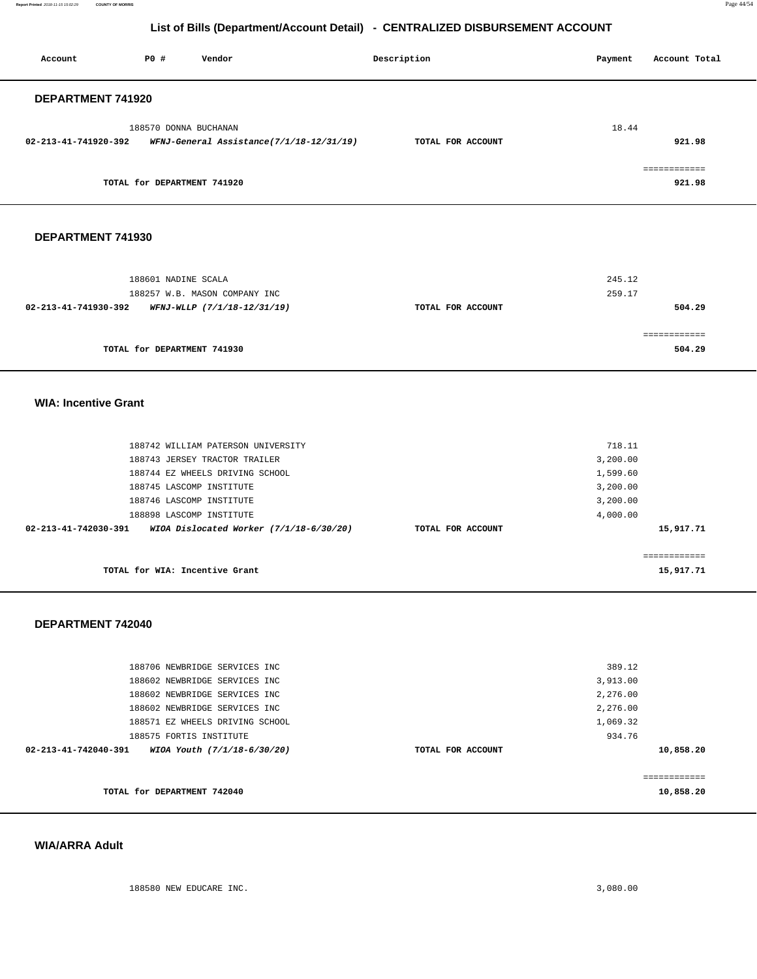**Report Printed** 2018-11-15 15:02:29 **COUNTY OF MORRIS** Page 44/54

## **List of Bills (Department/Account Detail) - CENTRALIZED DISBURSEMENT ACCOUNT**

| PO#<br>Vendor<br>Account                                                                  | Description       | Payment  | Account Total             |
|-------------------------------------------------------------------------------------------|-------------------|----------|---------------------------|
| DEPARTMENT 741920                                                                         |                   |          |                           |
| 188570 DONNA BUCHANAN<br>WFNJ-General Assistance(7/1/18-12/31/19)<br>02-213-41-741920-392 | TOTAL FOR ACCOUNT | 18.44    | 921.98                    |
| TOTAL for DEPARTMENT 741920                                                               |                   |          | ============<br>921.98    |
| DEPARTMENT 741930                                                                         |                   |          |                           |
|                                                                                           |                   |          |                           |
| 188601 NADINE SCALA                                                                       |                   | 245.12   |                           |
| 188257 W.B. MASON COMPANY INC<br>02-213-41-741930-392<br>WFNJ-WLLP (7/1/18-12/31/19)      | TOTAL FOR ACCOUNT | 259.17   | 504.29                    |
|                                                                                           |                   |          | ============              |
| TOTAL for DEPARTMENT 741930                                                               |                   |          | 504.29                    |
| <b>WIA: Incentive Grant</b>                                                               |                   |          |                           |
| 188742 WILLIAM PATERSON UNIVERSITY                                                        |                   | 718.11   |                           |
| 188743 JERSEY TRACTOR TRAILER                                                             |                   | 3,200.00 |                           |
| 188744 EZ WHEELS DRIVING SCHOOL                                                           |                   | 1,599.60 |                           |
| 188745 LASCOMP INSTITUTE                                                                  |                   | 3,200.00 |                           |
| 188746 LASCOMP INSTITUTE                                                                  |                   | 3,200.00 |                           |
| 188898 LASCOMP INSTITUTE                                                                  |                   | 4,000.00 |                           |
| 02-213-41-742030-391<br>WIOA Dislocated Worker (7/1/18-6/30/20)                           | TOTAL FOR ACCOUNT |          | 15,917.71                 |
| TOTAL for WIA: Incentive Grant                                                            |                   |          | 15,917.71                 |
|                                                                                           |                   |          |                           |
| DEPARTMENT 742040                                                                         |                   |          |                           |
|                                                                                           |                   |          |                           |
| 188706 NEWBRIDGE SERVICES INC                                                             |                   | 389.12   |                           |
| 188602 NEWBRIDGE SERVICES INC                                                             |                   | 3,913.00 |                           |
| 188602 NEWBRIDGE SERVICES INC                                                             |                   | 2,276.00 |                           |
| 188602 NEWBRIDGE SERVICES INC                                                             |                   | 2,276.00 |                           |
| 188571 EZ WHEELS DRIVING SCHOOL                                                           |                   | 1,069.32 |                           |
| 188575 FORTIS INSTITUTE                                                                   |                   | 934.76   |                           |
| 02-213-41-742040-391<br>WIOA Youth (7/1/18-6/30/20)                                       | TOTAL FOR ACCOUNT |          | 10,858.20                 |
| TOTAL for DEPARTMENT 742040                                                               |                   |          | ============<br>10,858.20 |

#### **WIA/ARRA Adult**

188580 NEW EDUCARE INC. 3,080.00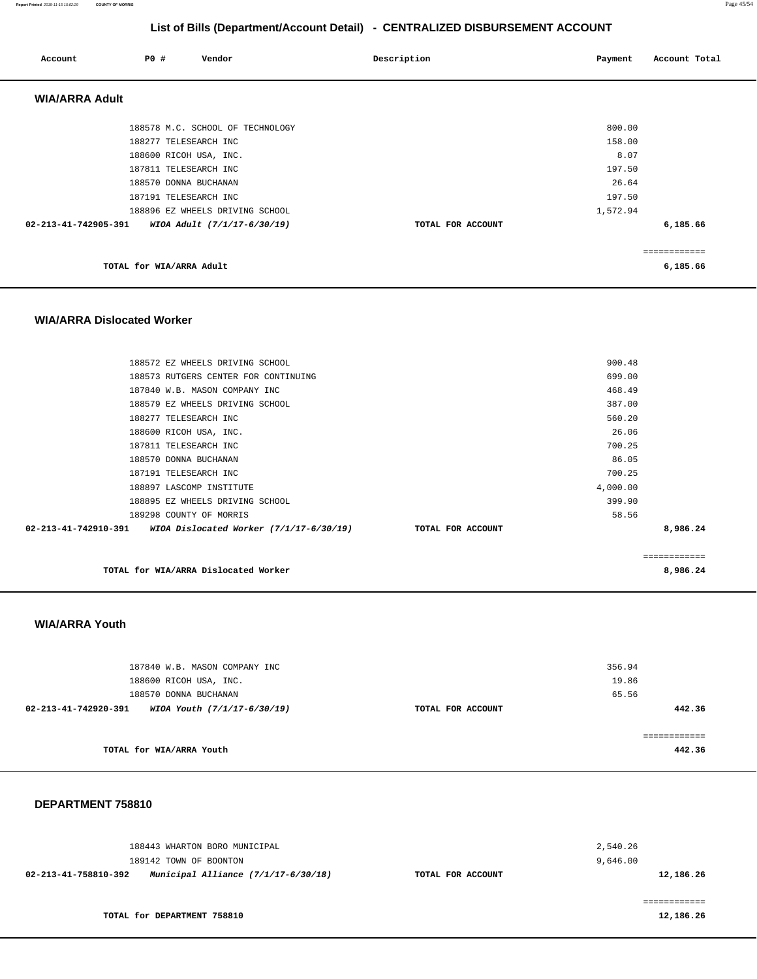**Report Printed** 2018-11-15 15:02:29 **COUNTY OF MORRIS** Page 45/54

## **List of Bills (Department/Account Detail) - CENTRALIZED DISBURSEMENT ACCOUNT**

| Account               | P0 #                     | Vendor                           | Description       | Payment  | Account Total |
|-----------------------|--------------------------|----------------------------------|-------------------|----------|---------------|
| <b>WIA/ARRA Adult</b> |                          |                                  |                   |          |               |
|                       |                          | 188578 M.C. SCHOOL OF TECHNOLOGY |                   | 800.00   |               |
|                       | 188277 TELESEARCH INC    |                                  |                   | 158.00   |               |
|                       | 188600 RICOH USA, INC.   |                                  |                   | 8.07     |               |
|                       | 187811 TELESEARCH INC    |                                  |                   | 197.50   |               |
|                       | 188570 DONNA BUCHANAN    |                                  |                   | 26.64    |               |
|                       | 187191 TELESEARCH INC    |                                  |                   | 197.50   |               |
|                       |                          | 188896 EZ WHEELS DRIVING SCHOOL  |                   | 1,572.94 |               |
| 02-213-41-742905-391  |                          | WIOA Adult (7/1/17-6/30/19)      | TOTAL FOR ACCOUNT |          | 6,185.66      |
|                       |                          |                                  |                   |          | ============  |
|                       | TOTAL for WIA/ARRA Adult |                                  |                   |          | 6,185.66      |

#### **WIA/ARRA Dislocated Worker**

| TOTAL for WIA/ARRA Dislocated Worker                             |                   |          | 8,986.24    |
|------------------------------------------------------------------|-------------------|----------|-------------|
|                                                                  |                   |          | =========== |
| 02-213-41-742910-391     WIOA Dislocated Worker (7/1/17-6/30/19) | TOTAL FOR ACCOUNT |          | 8,986.24    |
| 189298 COUNTY OF MORRIS                                          |                   | 58.56    |             |
| 188895 EZ WHEELS DRIVING SCHOOL                                  |                   | 399.90   |             |
| 188897 LASCOMP INSTITUTE                                         |                   | 4,000.00 |             |
| 187191 TELESEARCH INC                                            |                   | 700.25   |             |
| 188570 DONNA BUCHANAN                                            |                   | 86.05    |             |
| 187811 TELESEARCH INC                                            |                   | 700.25   |             |
| 188600 RICOH USA, INC.                                           |                   | 26.06    |             |
| 188277 TELESEARCH INC                                            |                   | 560.20   |             |
| 188579 EZ WHEELS DRIVING SCHOOL                                  |                   | 387.00   |             |
| 187840 W.B. MASON COMPANY INC                                    |                   | 468.49   |             |
| 188573 RUTGERS CENTER FOR CONTINUING                             |                   | 699.00   |             |
| 188572 EZ WHEELS DRIVING SCHOOL                                  |                   | 900.48   |             |
|                                                                  |                   |          |             |

#### **WIA/ARRA Youth**

| 187840 W.B. MASON COMPANY INC<br>188600 RICOH USA, INC. |                   | 356.94<br>19.86 |
|---------------------------------------------------------|-------------------|-----------------|
| 188570 DONNA BUCHANAN                                   |                   | 65.56           |
| 02-213-41-742920-391<br>WIOA Youth (7/1/17-6/30/19)     | TOTAL FOR ACCOUNT | 442.36          |
|                                                         |                   |                 |
|                                                         |                   |                 |
| TOTAL for WIA/ARRA Youth                                |                   | 442.36          |

| 188443 WHARTON BORO MUNICIPAL<br>189142 TOWN OF BOONTON       |                   | 2,540.26<br>9,646.00 |
|---------------------------------------------------------------|-------------------|----------------------|
| Municipal Alliance $(7/1/17-6/30/18)$<br>02-213-41-758810-392 | TOTAL FOR ACCOUNT | 12,186.26            |
| TOTAL for DEPARTMENT 758810                                   |                   | 12,186.26            |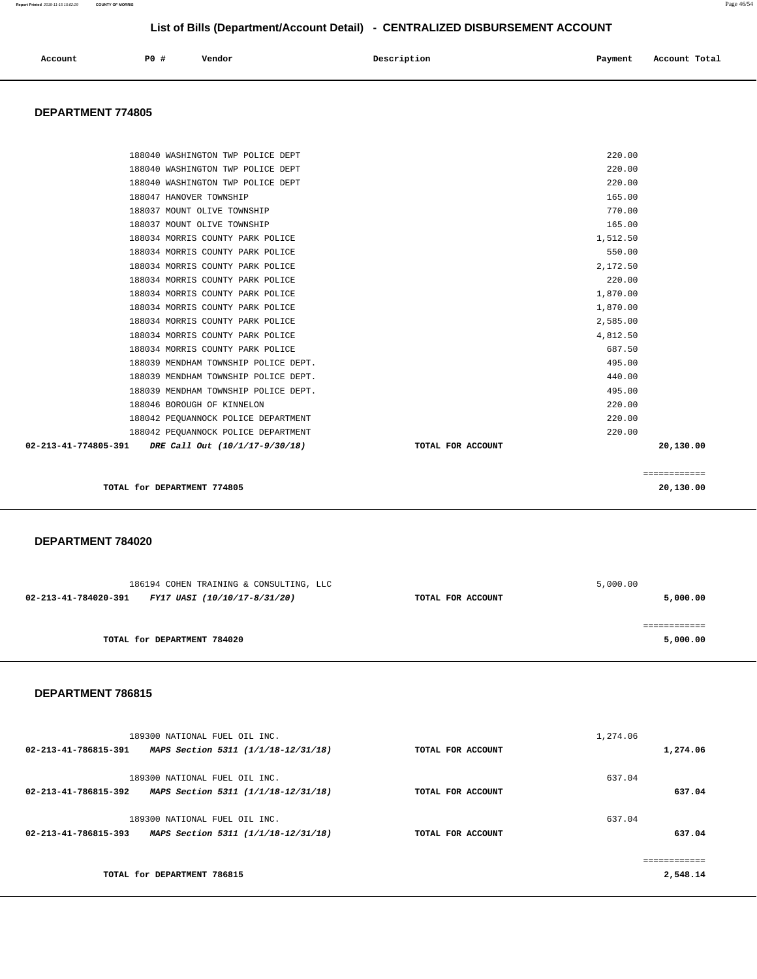| Account | P0# | Vendor | Description | Payment | Account Total |
|---------|-----|--------|-------------|---------|---------------|
|         |     |        |             |         |               |

#### **DEPARTMENT 774805**

| 188040 WASHINGTON TWP POLICE DEPT                      |                   | 220.00   |              |
|--------------------------------------------------------|-------------------|----------|--------------|
| 188040 WASHINGTON TWP POLICE DEPT                      |                   | 220.00   |              |
| 188040 WASHINGTON TWP POLICE DEPT                      |                   | 220.00   |              |
| 188047 HANOVER TOWNSHIP                                |                   | 165.00   |              |
| 188037 MOUNT OLIVE TOWNSHIP                            |                   | 770.00   |              |
| 188037 MOUNT OLIVE TOWNSHIP                            |                   | 165.00   |              |
| 188034 MORRIS COUNTY PARK POLICE                       |                   | 1,512.50 |              |
| 188034 MORRIS COUNTY PARK POLICE                       |                   | 550.00   |              |
| 188034 MORRIS COUNTY PARK POLICE                       |                   | 2,172.50 |              |
| 188034 MORRIS COUNTY PARK POLICE                       |                   | 220.00   |              |
| 188034 MORRIS COUNTY PARK POLICE                       |                   | 1,870.00 |              |
| 188034 MORRIS COUNTY PARK POLICE                       |                   | 1,870.00 |              |
| 188034 MORRIS COUNTY PARK POLICE                       |                   | 2,585.00 |              |
| 188034 MORRIS COUNTY PARK POLICE                       |                   | 4,812.50 |              |
| 188034 MORRIS COUNTY PARK POLICE                       |                   | 687.50   |              |
| 188039 MENDHAM TOWNSHIP POLICE DEPT.                   |                   | 495.00   |              |
| 188039 MENDHAM TOWNSHIP POLICE DEPT.                   |                   | 440.00   |              |
| 188039 MENDHAM TOWNSHIP POLICE DEPT.                   |                   | 495.00   |              |
| 188046 BOROUGH OF KINNELON                             |                   | 220.00   |              |
| 188042 PEOUANNOCK POLICE DEPARTMENT                    |                   | 220.00   |              |
| 188042 PEQUANNOCK POLICE DEPARTMENT                    |                   | 220.00   |              |
| 02-213-41-774805-391<br>DRE Call Out (10/1/17-9/30/18) | TOTAL FOR ACCOUNT |          | 20,130.00    |
|                                                        |                   |          |              |
|                                                        |                   |          | ============ |
| TOTAL for DEPARTMENT 774805                            |                   |          | 20,130.00    |

#### **DEPARTMENT 784020**

| 186194 COHEN TRAINING & CONSULTING, LLC              |                   | 5,000.00 |
|------------------------------------------------------|-------------------|----------|
| 02-213-41-784020-391<br>FY17 UASI (10/10/17-8/31/20) | TOTAL FOR ACCOUNT | 5,000.00 |
|                                                      |                   |          |
|                                                      |                   |          |
| TOTAL for DEPARTMENT 784020                          |                   | 5,000.00 |
|                                                      |                   |          |

| 1,274.06          |          |
|-------------------|----------|
| TOTAL FOR ACCOUNT | 1,274.06 |
| 637.04            |          |
| TOTAL FOR ACCOUNT | 637.04   |
| 637.04            |          |
| TOTAL FOR ACCOUNT | 637.04   |
|                   |          |
|                   | 2,548.14 |
|                   |          |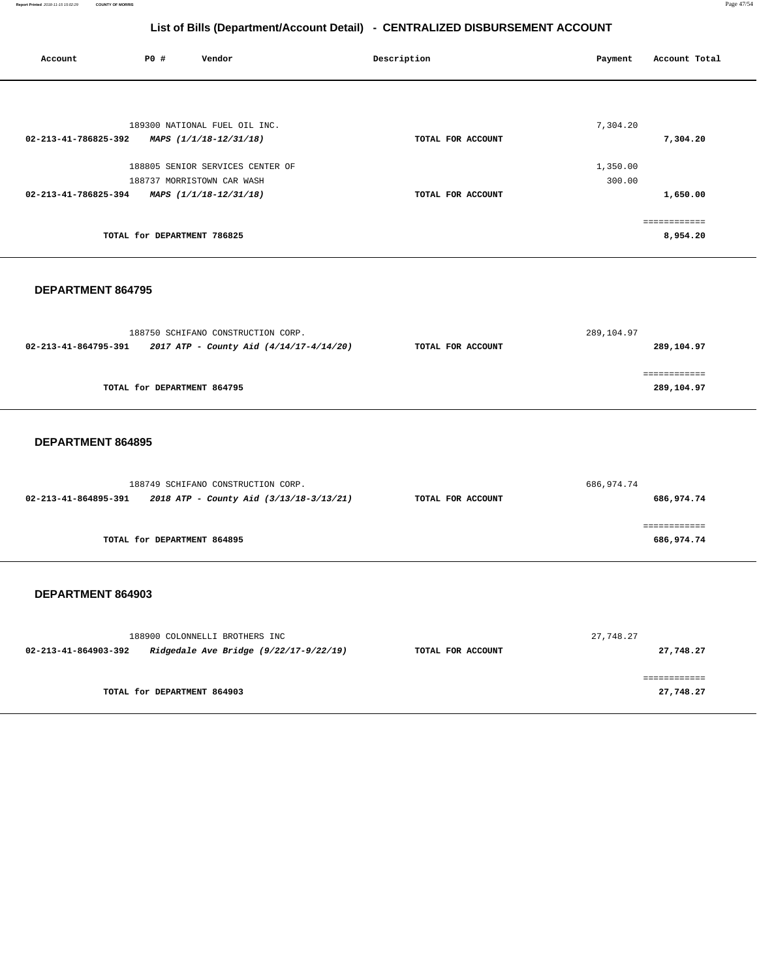| Account              | P0 #                        | Vendor                           | Description       | Account Total<br>Payment |
|----------------------|-----------------------------|----------------------------------|-------------------|--------------------------|
|                      |                             |                                  |                   |                          |
|                      |                             | 189300 NATIONAL FUEL OIL INC.    |                   | 7,304.20                 |
| 02-213-41-786825-392 |                             | MAPS (1/1/18-12/31/18)           | TOTAL FOR ACCOUNT | 7,304.20                 |
|                      |                             | 188805 SENIOR SERVICES CENTER OF |                   | 1,350.00                 |
|                      |                             | 188737 MORRISTOWN CAR WASH       |                   | 300.00                   |
| 02-213-41-786825-394 |                             | MAPS (1/1/18-12/31/18)           | TOTAL FOR ACCOUNT | 1,650.00                 |
|                      |                             |                                  |                   | ============             |
|                      | TOTAL for DEPARTMENT 786825 |                                  |                   | 8,954.20                 |

#### **DEPARTMENT 864795**

|                      | 188750 SCHIFANO CONSTRUCTION CORP.      |                   | 289,104.97 |
|----------------------|-----------------------------------------|-------------------|------------|
| 02-213-41-864795-391 | 2017 ATP - County Aid (4/14/17-4/14/20) | TOTAL FOR ACCOUNT | 289,104.97 |
|                      |                                         |                   |            |
|                      |                                         |                   |            |
|                      | TOTAL for DEPARTMENT 864795             |                   | 289,104.97 |

#### **DEPARTMENT 864895**

|                                                                 | 188749 SCHIFANO CONSTRUCTION CORP. |                   | 686,974.74 |
|-----------------------------------------------------------------|------------------------------------|-------------------|------------|
| 2018 ATP - County Aid (3/13/18-3/13/21)<br>02-213-41-864895-391 |                                    | TOTAL FOR ACCOUNT | 686,974.74 |
|                                                                 |                                    |                   |            |
|                                                                 |                                    |                   |            |
|                                                                 | TOTAL for DEPARTMENT 864895        |                   | 686,974.74 |
|                                                                 |                                    |                   |            |

|                      | 188900 COLONNELLI BROTHERS INC         |                   | 27,748.27 |
|----------------------|----------------------------------------|-------------------|-----------|
| 02-213-41-864903-392 | Ridgedale Ave Bridge (9/22/17-9/22/19) | TOTAL FOR ACCOUNT | 27,748.27 |
|                      |                                        |                   |           |
|                      |                                        |                   |           |
|                      | TOTAL for DEPARTMENT 864903            |                   | 27,748.27 |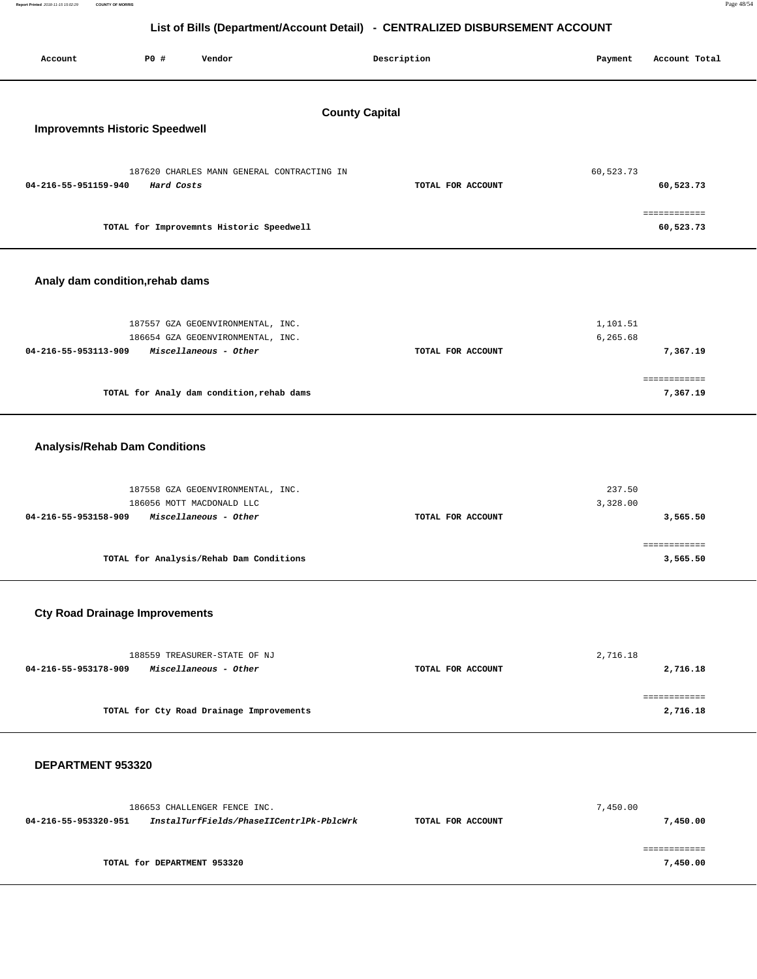| Report Printed 2018-11-15 15:02:29 | <b>COUNTY OF MORRIS</b>               |             |        |                                                                              |         | Page 48/54    |
|------------------------------------|---------------------------------------|-------------|--------|------------------------------------------------------------------------------|---------|---------------|
|                                    |                                       |             |        | List of Bills (Department/Account Detail) - CENTRALIZED DISBURSEMENT ACCOUNT |         |               |
| Account                            |                                       | <b>PO #</b> | Vendor | Description                                                                  | Payment | Account Total |
|                                    | <b>Improvemnts Historic Speedwell</b> |             |        | <b>County Capital</b>                                                        |         |               |

## **Improvemnts Historic Speedwell**

| 187620 CHARLES MANN GENERAL CONTRACTING IN |                   | 60,523.73 |
|--------------------------------------------|-------------------|-----------|
| 04-216-55-951159-940<br>Hard Costs         | TOTAL FOR ACCOUNT | 60,523.73 |
|                                            |                   |           |
|                                            |                   |           |
| TOTAL for Improvemnts Historic Speedwell   |                   | 60,523.73 |

## **Analy dam condition,rehab dams**

| 187557 GZA GEOENVIRONMENTAL, INC.<br>186654 GZA GEOENVIRONMENTAL, INC. |                   | 1,101.51<br>6,265.68 |
|------------------------------------------------------------------------|-------------------|----------------------|
| Miscellaneous - Other<br>04-216-55-953113-909                          | TOTAL FOR ACCOUNT | 7,367.19             |
|                                                                        |                   |                      |
| TOTAL for Analy dam condition, rehab dams                              |                   | 7,367.19             |

## **Analysis/Rehab Dam Conditions**

| 187558 GZA GEOENVIRONMENTAL, INC.<br>186056 MOTT MACDONALD LLC |                   | 237.50<br>3,328.00 |
|----------------------------------------------------------------|-------------------|--------------------|
| <i>Miscellaneous - Other</i><br>04-216-55-953158-909           | TOTAL FOR ACCOUNT | 3,565.50           |
|                                                                |                   |                    |
| TOTAL for Analysis/Rehab Dam Conditions                        |                   | 3,565.50           |

## **Cty Road Drainage Improvements**

| 188559 TREASURER-STATE OF NJ                  |                   | 2,716.18 |
|-----------------------------------------------|-------------------|----------|
| 04-216-55-953178-909<br>Miscellaneous - Other | TOTAL FOR ACCOUNT | 2,716.18 |
|                                               |                   |          |
|                                               |                   |          |
| TOTAL for Cty Road Drainage Improvements      |                   | 2,716.18 |

|                                                                                       | 186653 CHALLENGER FENCE INC. | 7,450.00 |
|---------------------------------------------------------------------------------------|------------------------------|----------|
| InstalTurfFields/PhaseIICentrlPk-PblcWrk<br>04-216-55-953320-951<br>TOTAL FOR ACCOUNT |                              | 7,450.00 |
|                                                                                       |                              |          |
|                                                                                       | TOTAL for DEPARTMENT 953320  | 7,450.00 |
|                                                                                       |                              |          |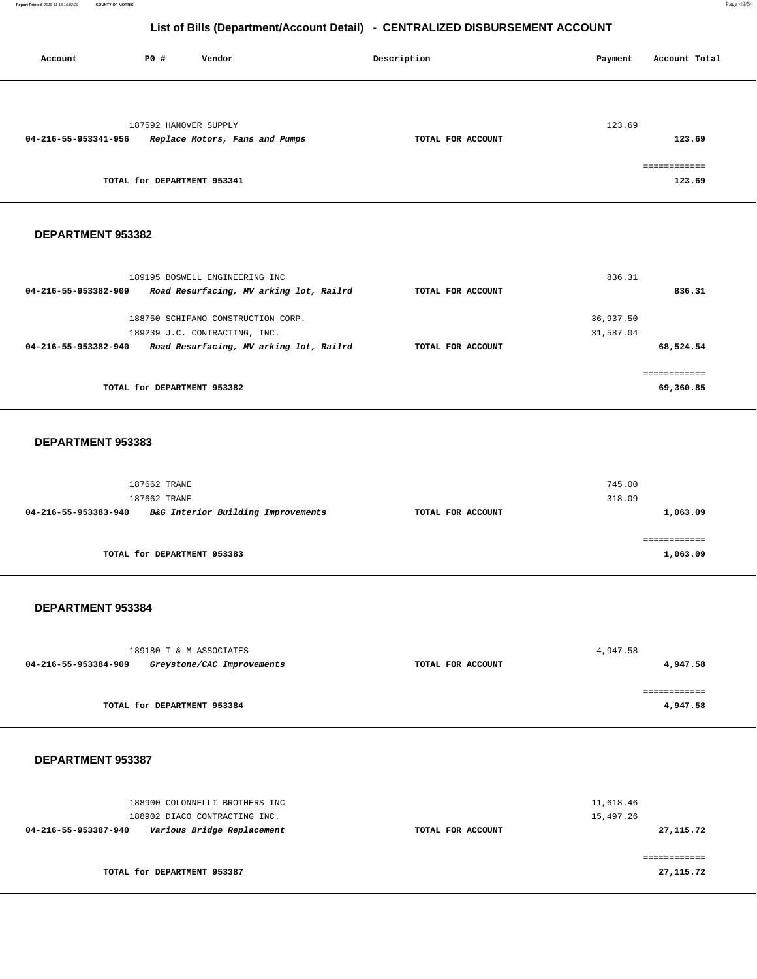**Report Printed** 2018-11-15 15:02:29 **COUNTY OF MORRIS** Page 49/54

## **List of Bills (Department/Account Detail) - CENTRALIZED DISBURSEMENT ACCOUNT**

| Account              | <b>PO #</b>                 | Vendor                         | Description       | Account Total<br>Payment |
|----------------------|-----------------------------|--------------------------------|-------------------|--------------------------|
|                      |                             |                                |                   |                          |
| 04-216-55-953341-956 | 187592 HANOVER SUPPLY       | Replace Motors, Fans and Pumps | TOTAL FOR ACCOUNT | 123.69<br>123.69         |
|                      |                             |                                |                   |                          |
|                      |                             |                                |                   | ============             |
|                      | TOTAL for DEPARTMENT 953341 |                                |                   | 123.69                   |

#### **DEPARTMENT 953382**

| 836.31            |                        |
|-------------------|------------------------|
| TOTAL FOR ACCOUNT | 836.31                 |
|                   |                        |
|                   |                        |
|                   |                        |
| TOTAL FOR ACCOUNT | 68,524.54              |
|                   |                        |
|                   | ===========            |
|                   | 69,360.85              |
|                   | 36,937.50<br>31,587.04 |

#### **DEPARTMENT 953383**

| 187662 TRANE<br>187662 TRANE |                                    |                   | 745.00<br>318.09 |
|------------------------------|------------------------------------|-------------------|------------------|
| 04-216-55-953383-940         | B&G Interior Building Improvements | TOTAL FOR ACCOUNT | 1,063.09         |
|                              |                                    |                   |                  |
|                              |                                    |                   |                  |
| TOTAL for DEPARTMENT 953383  |                                    |                   | 1,063.09         |

#### **DEPARTMENT 953384**

| 189180 T & M ASSOCIATES                            |                   | 4,947.58 |
|----------------------------------------------------|-------------------|----------|
| 04-216-55-953384-909<br>Greystone/CAC Improvements | TOTAL FOR ACCOUNT | 4,947.58 |
|                                                    |                   |          |
|                                                    |                   |          |
| TOTAL for DEPARTMENT 953384                        |                   | 4,947.58 |
|                                                    |                   |          |

| 188900 COLONNELLI BROTHERS INC<br>188902 DIACO CONTRACTING INC. | 11,618.46<br>15,497.26          |  |
|-----------------------------------------------------------------|---------------------------------|--|
| Various Bridge Replacement<br>04-216-55-953387-940              | 27, 115.72<br>TOTAL FOR ACCOUNT |  |
| TOTAL for DEPARTMENT 953387                                     | 27, 115.72                      |  |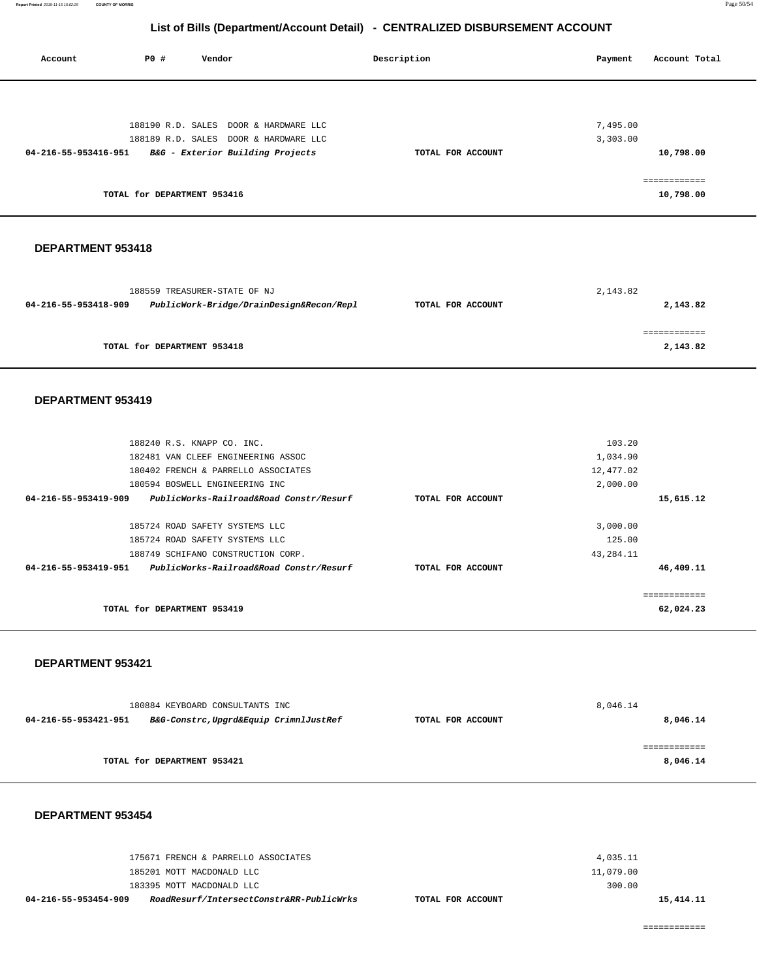**Report Printed** 2018-11-15 15:02:29 **COUNTY OF MORRIS** Page 50/54

## **List of Bills (Department/Account Detail) - CENTRALIZED DISBURSEMENT ACCOUNT**

 **Account P0 # Vendor Description Payment Account Total**

| 188190 R.D. SALES DOOR & HARDWARE LLC                            |                   | 7,495.00  |              |
|------------------------------------------------------------------|-------------------|-----------|--------------|
| 188189 R.D. SALES DOOR & HARDWARE LLC                            |                   | 3,303.00  |              |
| 04-216-55-953416-951 B&G - Exterior Building Projects            | TOTAL FOR ACCOUNT |           | 10,798.00    |
|                                                                  |                   |           |              |
|                                                                  |                   |           | ============ |
| TOTAL for DEPARTMENT 953416                                      |                   |           | 10,798.00    |
|                                                                  |                   |           |              |
|                                                                  |                   |           |              |
|                                                                  |                   |           |              |
| DEPARTMENT 953418                                                |                   |           |              |
|                                                                  |                   |           |              |
|                                                                  |                   |           |              |
| 188559 TREASURER-STATE OF NJ                                     |                   | 2,143.82  |              |
| 04-216-55-953418-909<br>PublicWork-Bridge/DrainDesign&Recon/Repl | TOTAL FOR ACCOUNT |           | 2,143.82     |
|                                                                  |                   |           |              |
|                                                                  |                   |           | ============ |
| TOTAL for DEPARTMENT 953418                                      |                   |           | 2,143.82     |
|                                                                  |                   |           |              |
|                                                                  |                   |           |              |
| DEPARTMENT 953419                                                |                   |           |              |
|                                                                  |                   |           |              |
|                                                                  |                   |           |              |
| 188240 R.S. KNAPP CO. INC.                                       |                   | 103.20    |              |
| 182481 VAN CLEEF ENGINEERING ASSOC                               |                   | 1,034.90  |              |
| 180402 FRENCH & PARRELLO ASSOCIATES                              |                   |           |              |
|                                                                  |                   | 12,477.02 |              |
| 180594 BOSWELL ENGINEERING INC                                   |                   | 2,000.00  |              |
| 04-216-55-953419-909<br>PublicWorks-Railroad&Road Constr/Resurf  | TOTAL FOR ACCOUNT |           | 15,615.12    |
|                                                                  |                   |           |              |
| 185724 ROAD SAFETY SYSTEMS LLC                                   |                   | 3,000.00  |              |
| 185724 ROAD SAFETY SYSTEMS LLC                                   |                   | 125.00    |              |
| 188749 SCHIFANO CONSTRUCTION CORP.                               |                   | 43,284.11 |              |
| 04-216-55-953419-951<br>PublicWorks-Railroad&Road Constr/Resurf  | TOTAL FOR ACCOUNT |           | 46,409.11    |
|                                                                  |                   |           |              |
|                                                                  |                   |           | ============ |
| TOTAL for DEPARTMENT 953419                                      |                   |           | 62,024.23    |
|                                                                  |                   |           |              |
|                                                                  |                   |           |              |
| DEPARTMENT 953421                                                |                   |           |              |
|                                                                  |                   |           |              |
|                                                                  |                   |           |              |
| 180884 KEYBOARD CONSULTANTS INC                                  |                   | 8,046.14  |              |
| 04-216-55-953421-951<br>B&G-Constrc, Upgrd&Equip CrimnlJustRef   | TOTAL FOR ACCOUNT |           | 8,046.14     |
|                                                                  |                   |           |              |
|                                                                  |                   |           | ============ |
| TOTAL for DEPARTMENT 953421                                      |                   |           | 8,046.14     |
|                                                                  |                   |           |              |
|                                                                  |                   |           |              |
|                                                                  |                   |           |              |
| DEPARTMENT 953454                                                |                   |           |              |
|                                                                  |                   |           |              |
|                                                                  |                   |           |              |
| 175671 FRENCH & PARRELLO ASSOCIATES                              |                   | 4,035.11  |              |
|                                                                  |                   |           |              |

| RoadResurf/IntersectConstr&RR-PublicWrks<br>04-216-55-953454-909 | TOTAL FOR ACCOUNT | 15, 414. 11 |
|------------------------------------------------------------------|-------------------|-------------|
| 183395 MOTT MACDONALD LLC                                        | 300.00            |             |
| 185201 MOTT MACDONALD LLC                                        | 11,079.00         |             |
| 175671 FRENCH & PARRELLO ASSOCIATES                              | 4,035.11          |             |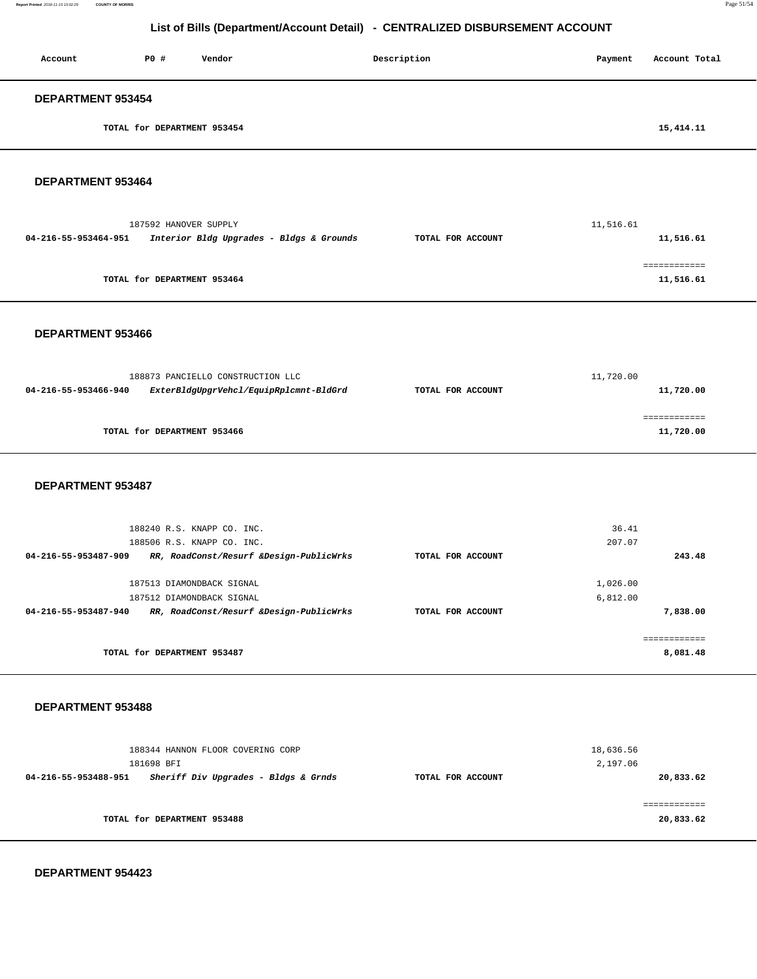| Account                  | P0 #                        | Vendor | Description | Payment | Account Total |
|--------------------------|-----------------------------|--------|-------------|---------|---------------|
| <b>DEPARTMENT 953454</b> |                             |        |             |         |               |
|                          | TOTAL for DEPARTMENT 953454 |        |             |         | 15,414.11     |

#### **DEPARTMENT 953464**

|                      | 187592 HANOVER SUPPLY                    |                   | 11,516.61 |
|----------------------|------------------------------------------|-------------------|-----------|
| 04-216-55-953464-951 | Interior Bldg Upgrades - Bldgs & Grounds | TOTAL FOR ACCOUNT | 11,516.61 |
|                      |                                          |                   |           |
|                      | TOTAL for DEPARTMENT 953464              |                   | 11,516.61 |
|                      |                                          |                   |           |

#### **DEPARTMENT 953466**

|                      | 188873 PANCIELLO CONSTRUCTION LLC      |                   | 11,720.00 |
|----------------------|----------------------------------------|-------------------|-----------|
| 04-216-55-953466-940 | ExterBldgUpgrVehcl/EquipRplcmnt-BldGrd | TOTAL FOR ACCOUNT | 11,720.00 |
|                      |                                        |                   |           |
|                      |                                        |                   |           |
|                      | TOTAL for DEPARTMENT 953466            |                   | 11,720.00 |
|                      |                                        |                   |           |

#### **DEPARTMENT 953487**

| 188240 R.S. KNAPP CO. INC.                                      |                   | 36.41    |
|-----------------------------------------------------------------|-------------------|----------|
| 188506 R.S. KNAPP CO. INC.                                      |                   | 207.07   |
| RR, RoadConst/Resurf &Design-PublicWrks<br>04-216-55-953487-909 | TOTAL FOR ACCOUNT | 243.48   |
|                                                                 |                   |          |
| 187513 DIAMONDBACK SIGNAL                                       |                   | 1,026.00 |
| 187512 DIAMONDBACK SIGNAL                                       |                   | 6,812.00 |
| RR, RoadConst/Resurf &Design-PublicWrks<br>04-216-55-953487-940 | TOTAL FOR ACCOUNT | 7,838,00 |
|                                                                 |                   |          |
| TOTAL for DEPARTMENT 953487                                     |                   | 8,081.48 |

#### **DEPARTMENT 953488**

|                      | 188344 HANNON FLOOR COVERING CORP<br>181698 BFI |                   | 18,636.56<br>2,197.06 |
|----------------------|-------------------------------------------------|-------------------|-----------------------|
| 04-216-55-953488-951 | Sheriff Div Upgrades - Bldgs & Grnds            | TOTAL FOR ACCOUNT | 20,833.62             |
|                      | TOTAL for DEPARTMENT 953488                     |                   | .<br>20,833.62        |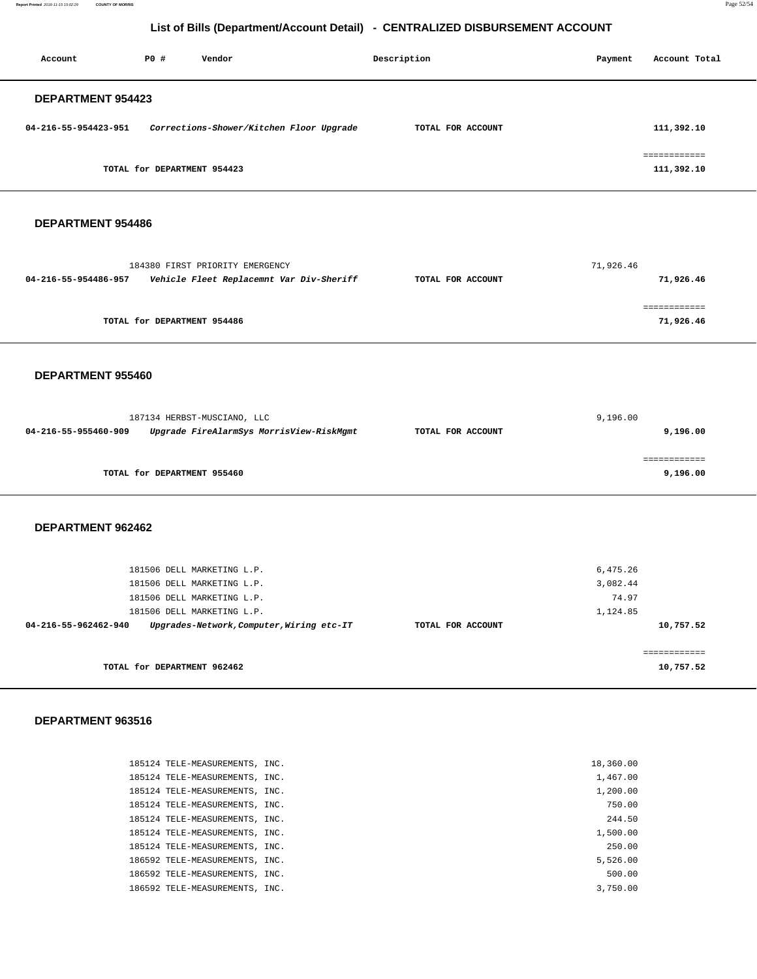**Report Printed** 2018-11-15 15:02:29 **COUNTY OF MORRIS** Page 52/54

## **List of Bills (Department/Account Detail) - CENTRALIZED DISBURSEMENT ACCOUNT**

| Account                  | PO#                         | Vendor                                   | Description       | Payment | Account Total              |
|--------------------------|-----------------------------|------------------------------------------|-------------------|---------|----------------------------|
| <b>DEPARTMENT 954423</b> |                             |                                          |                   |         |                            |
| 04-216-55-954423-951     |                             | Corrections-Shower/Kitchen Floor Upgrade | TOTAL FOR ACCOUNT |         | 111,392.10                 |
|                          | TOTAL for DEPARTMENT 954423 |                                          |                   |         | ============<br>111,392.10 |

#### **DEPARTMENT 954486**

|                      | 184380 FIRST PRIORITY EMERGENCY          |                   | 71,926.46 |
|----------------------|------------------------------------------|-------------------|-----------|
| 04-216-55-954486-957 | Vehicle Fleet Replacemnt Var Div-Sheriff | TOTAL FOR ACCOUNT | 71,926.46 |
|                      |                                          |                   |           |
|                      |                                          |                   |           |
|                      | TOTAL for DEPARTMENT 954486              |                   | 71,926.46 |

#### **DEPARTMENT 955460**

| 187134 HERBST-MUSCIANO, LLC                                      |                   | 9,196.00 |
|------------------------------------------------------------------|-------------------|----------|
| Upgrade FireAlarmSys MorrisView-RiskMgmt<br>04-216-55-955460-909 | TOTAL FOR ACCOUNT | 9,196.00 |
|                                                                  |                   |          |
|                                                                  |                   |          |
| TOTAL for DEPARTMENT 955460                                      |                   | 9,196.00 |

#### **DEPARTMENT 962462**

| 181506 DELL MARKETING L.P.<br>181506 DELL MARKETING L.P.          |                   | 6,475.26<br>3,082.44 |
|-------------------------------------------------------------------|-------------------|----------------------|
| 181506 DELL MARKETING L.P.                                        |                   | 74.97                |
| 181506 DELL MARKETING L.P.                                        |                   | 1,124.85             |
| Upgrades-Network, Computer, Wiring etc-IT<br>04-216-55-962462-940 | TOTAL FOR ACCOUNT | 10,757.52            |
|                                                                   |                   |                      |
| TOTAL for DEPARTMENT 962462                                       |                   | 10,757.52            |
|                                                                   |                   |                      |

| 185124 TELE-MEASUREMENTS, INC. | 18,360.00 |
|--------------------------------|-----------|
| 185124 TELE-MEASUREMENTS, INC. | 1,467.00  |
| 185124 TELE-MEASUREMENTS, INC. | 1,200.00  |
| 185124 TELE-MEASUREMENTS, INC. | 750.00    |
| 185124 TELE-MEASUREMENTS, INC. | 244.50    |
| 185124 TELE-MEASUREMENTS, INC. | 1,500.00  |
| 185124 TELE-MEASUREMENTS, INC. | 250.00    |
| 186592 TELE-MEASUREMENTS, INC. | 5,526.00  |
| 186592 TELE-MEASUREMENTS, INC. | 500.00    |
| 186592 TELE-MEASUREMENTS, INC. | 3,750.00  |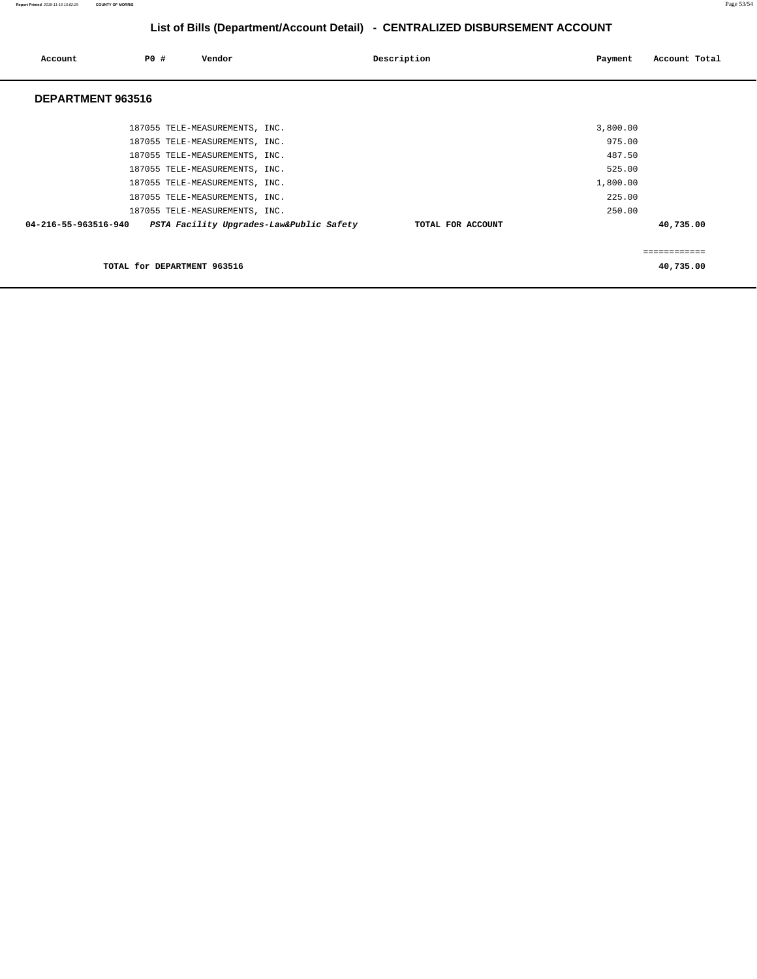| Account              | <b>PO #</b>                 | Vendor                         |                                          | Description       | Payment  | Account Total |
|----------------------|-----------------------------|--------------------------------|------------------------------------------|-------------------|----------|---------------|
| DEPARTMENT 963516    |                             |                                |                                          |                   |          |               |
|                      |                             | 187055 TELE-MEASUREMENTS, INC. |                                          |                   | 3,800.00 |               |
|                      |                             | 187055 TELE-MEASUREMENTS, INC. |                                          |                   | 975.00   |               |
|                      |                             | 187055 TELE-MEASUREMENTS, INC. |                                          |                   | 487.50   |               |
|                      |                             | 187055 TELE-MEASUREMENTS, INC. |                                          |                   | 525.00   |               |
|                      |                             | 187055 TELE-MEASUREMENTS, INC. |                                          |                   | 1,800.00 |               |
|                      |                             | 187055 TELE-MEASUREMENTS, INC. |                                          |                   | 225.00   |               |
|                      |                             | 187055 TELE-MEASUREMENTS, INC. |                                          |                   | 250.00   |               |
| 04-216-55-963516-940 |                             |                                | PSTA Facility Upgrades-Law&Public Safety | TOTAL FOR ACCOUNT |          | 40,735.00     |
|                      |                             |                                |                                          |                   |          | ===========   |
|                      | TOTAL for DEPARTMENT 963516 |                                |                                          |                   |          | 40,735.00     |